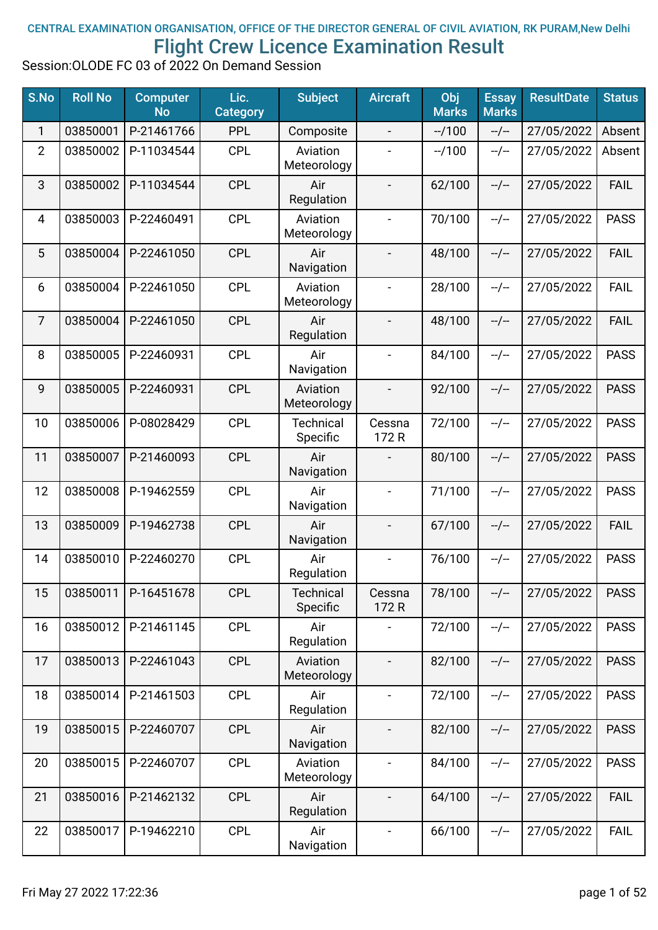## CENTRAL EXAMINATION ORGANISATION, OFFICE OF THE DIRECTOR GENERAL OF CIVIL AVIATION, RK PURAM,New Delhi Flight Crew Licence Examination Result

Session:OLODE FC 03 of 2022 On Demand Session

| S.No           | <b>Roll No</b> | <b>Computer</b><br><b>No</b> | Lic.<br><b>Category</b> | <b>Subject</b>               | <b>Aircraft</b>              | Obj<br><b>Marks</b> | <b>Essay</b><br><b>Marks</b> | <b>ResultDate</b> | <b>Status</b> |
|----------------|----------------|------------------------------|-------------------------|------------------------------|------------------------------|---------------------|------------------------------|-------------------|---------------|
| 1              | 03850001       | P-21461766                   | <b>PPL</b>              | Composite                    | $\overline{\phantom{0}}$     | $-1100$             | $-/-$                        | 27/05/2022        | Absent        |
| $\overline{2}$ | 03850002       | P-11034544                   | <b>CPL</b>              | Aviation<br>Meteorology      |                              | $-1100$             | $-/-$                        | 27/05/2022        | Absent        |
| 3              | 03850002       | P-11034544                   | <b>CPL</b>              | Air<br>Regulation            | $\qquad \qquad -$            | 62/100              | $-/-$                        | 27/05/2022        | <b>FAIL</b>   |
| 4              | 03850003       | P-22460491                   | <b>CPL</b>              | Aviation<br>Meteorology      | $\overline{\phantom{0}}$     | 70/100              | $-/-$                        | 27/05/2022        | <b>PASS</b>   |
| 5              | 03850004       | P-22461050                   | <b>CPL</b>              | Air<br>Navigation            |                              | 48/100              | $-/-$                        | 27/05/2022        | <b>FAIL</b>   |
| 6              | 03850004       | P-22461050                   | <b>CPL</b>              | Aviation<br>Meteorology      |                              | 28/100              | $-/-$                        | 27/05/2022        | <b>FAIL</b>   |
| $\overline{7}$ | 03850004       | P-22461050                   | <b>CPL</b>              | Air<br>Regulation            |                              | 48/100              | $-/-$                        | 27/05/2022        | <b>FAIL</b>   |
| 8              | 03850005       | P-22460931                   | <b>CPL</b>              | Air<br>Navigation            | $\overline{\phantom{0}}$     | 84/100              | $-/-$                        | 27/05/2022        | <b>PASS</b>   |
| 9              | 03850005       | P-22460931                   | <b>CPL</b>              | Aviation<br>Meteorology      | $\overline{\phantom{a}}$     | 92/100              | $-/-$                        | 27/05/2022        | <b>PASS</b>   |
| 10             | 03850006       | P-08028429                   | <b>CPL</b>              | <b>Technical</b><br>Specific | Cessna<br>172R               | 72/100              | $-/-$                        | 27/05/2022        | <b>PASS</b>   |
| 11             | 03850007       | P-21460093                   | <b>CPL</b>              | Air<br>Navigation            |                              | 80/100              | $-/-$                        | 27/05/2022        | <b>PASS</b>   |
| 12             | 03850008       | P-19462559                   | <b>CPL</b>              | Air<br>Navigation            | $\overline{\phantom{0}}$     | 71/100              | $-/-$                        | 27/05/2022        | <b>PASS</b>   |
| 13             | 03850009       | P-19462738                   | <b>CPL</b>              | Air<br>Navigation            | $\overline{a}$               | 67/100              | $-/-$                        | 27/05/2022        | <b>FAIL</b>   |
| 14             | 03850010       | P-22460270                   | <b>CPL</b>              | Air<br>Regulation            |                              | 76/100              | $-/-$                        | 27/05/2022        | <b>PASS</b>   |
| 15             | 03850011       | P-16451678                   | <b>CPL</b>              | <b>Technical</b><br>Specific | Cessna<br>172 R              | 78/100              | --/--                        | 27/05/2022        | <b>PASS</b>   |
| 16             | 03850012       | P-21461145                   | <b>CPL</b>              | Air<br>Regulation            | $\overline{\phantom{0}}$     | 72/100              | $-/-$                        | 27/05/2022        | <b>PASS</b>   |
| 17             | 03850013       | P-22461043                   | <b>CPL</b>              | Aviation<br>Meteorology      | $\blacksquare$               | 82/100              | $-/-$                        | 27/05/2022        | <b>PASS</b>   |
| 18             | 03850014       | P-21461503                   | <b>CPL</b>              | Air<br>Regulation            | $\overline{\phantom{0}}$     | 72/100              | $-/-$                        | 27/05/2022        | <b>PASS</b>   |
| 19             | 03850015       | P-22460707                   | <b>CPL</b>              | Air<br>Navigation            |                              | 82/100              | $-/-$                        | 27/05/2022        | <b>PASS</b>   |
| 20             | 03850015       | P-22460707                   | <b>CPL</b>              | Aviation<br>Meteorology      |                              | 84/100              | $-/-$                        | 27/05/2022        | <b>PASS</b>   |
| 21             | 03850016       | P-21462132                   | <b>CPL</b>              | Air<br>Regulation            |                              | 64/100              | $-/-$                        | 27/05/2022        | <b>FAIL</b>   |
| 22             | 03850017       | P-19462210                   | <b>CPL</b>              | Air<br>Navigation            | $\qquad \qquad \blacksquare$ | 66/100              | $-/-$                        | 27/05/2022        | <b>FAIL</b>   |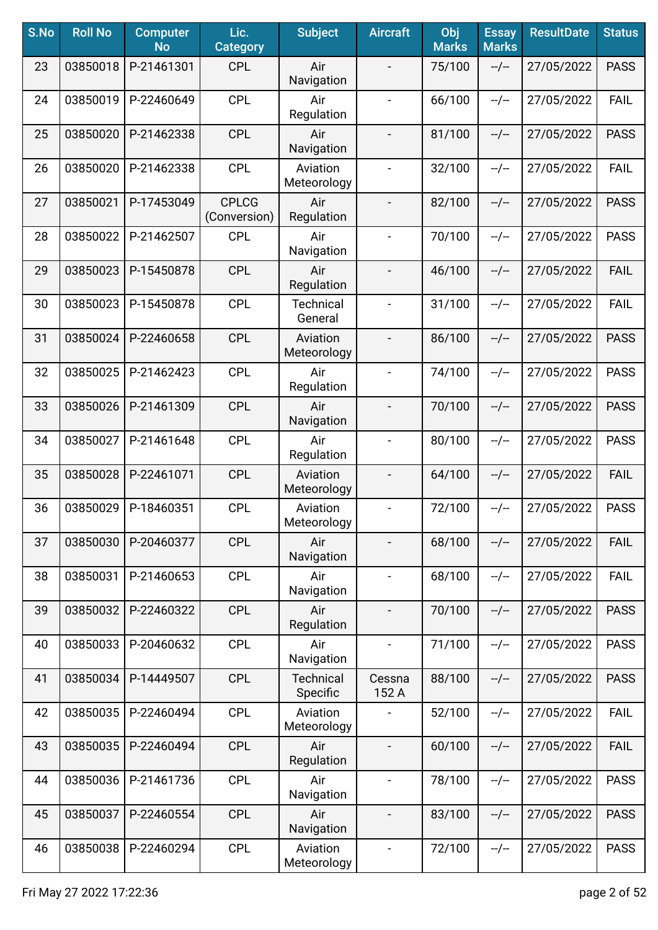| S.No | <b>Roll No</b> | <b>Computer</b><br><b>No</b> | Lic.<br><b>Category</b>      | <b>Subject</b>               | <b>Aircraft</b>              | Obj<br><b>Marks</b> | <b>Essay</b><br><b>Marks</b> | <b>ResultDate</b> | <b>Status</b> |
|------|----------------|------------------------------|------------------------------|------------------------------|------------------------------|---------------------|------------------------------|-------------------|---------------|
| 23   | 03850018       | P-21461301                   | <b>CPL</b>                   | Air<br>Navigation            |                              | 75/100              | $-/-$                        | 27/05/2022        | <b>PASS</b>   |
| 24   | 03850019       | P-22460649                   | <b>CPL</b>                   | Air<br>Regulation            | $\qquad \qquad \blacksquare$ | 66/100              | $-/-$                        | 27/05/2022        | <b>FAIL</b>   |
| 25   | 03850020       | P-21462338                   | <b>CPL</b>                   | Air<br>Navigation            | $\blacksquare$               | 81/100              | $-/-$                        | 27/05/2022        | <b>PASS</b>   |
| 26   | 03850020       | P-21462338                   | <b>CPL</b>                   | Aviation<br>Meteorology      | $\qquad \qquad \blacksquare$ | 32/100              | $-/-$                        | 27/05/2022        | <b>FAIL</b>   |
| 27   | 03850021       | P-17453049                   | <b>CPLCG</b><br>(Conversion) | Air<br>Regulation            | $\overline{\phantom{0}}$     | 82/100              | $-/-$                        | 27/05/2022        | <b>PASS</b>   |
| 28   | 03850022       | P-21462507                   | <b>CPL</b>                   | Air<br>Navigation            | $\overline{\phantom{a}}$     | 70/100              | $-/-$                        | 27/05/2022        | <b>PASS</b>   |
| 29   | 03850023       | P-15450878                   | <b>CPL</b>                   | Air<br>Regulation            |                              | 46/100              | $-/-$                        | 27/05/2022        | <b>FAIL</b>   |
| 30   | 03850023       | P-15450878                   | <b>CPL</b>                   | <b>Technical</b><br>General  | $\qquad \qquad -$            | 31/100              | $-/-$                        | 27/05/2022        | <b>FAIL</b>   |
| 31   | 03850024       | P-22460658                   | <b>CPL</b>                   | Aviation<br>Meteorology      | $\overline{\phantom{a}}$     | 86/100              | $-/-$                        | 27/05/2022        | <b>PASS</b>   |
| 32   | 03850025       | P-21462423                   | <b>CPL</b>                   | Air<br>Regulation            | $\blacksquare$               | 74/100              | $-/-$                        | 27/05/2022        | <b>PASS</b>   |
| 33   | 03850026       | P-21461309                   | <b>CPL</b>                   | Air<br>Navigation            | $\frac{1}{2}$                | 70/100              | $-/-$                        | 27/05/2022        | <b>PASS</b>   |
| 34   | 03850027       | P-21461648                   | <b>CPL</b>                   | Air<br>Regulation            | $\overline{\phantom{a}}$     | 80/100              | $-/-$                        | 27/05/2022        | <b>PASS</b>   |
| 35   | 03850028       | P-22461071                   | <b>CPL</b>                   | Aviation<br>Meteorology      |                              | 64/100              | $-/-$                        | 27/05/2022        | <b>FAIL</b>   |
| 36   | 03850029       | P-18460351                   | <b>CPL</b>                   | Aviation<br>Meteorology      | $\overline{a}$               | 72/100              | $-/-$                        | 27/05/2022        | <b>PASS</b>   |
| 37   | 03850030       | P-20460377                   | <b>CPL</b>                   | Air<br>Navigation            |                              | 68/100              | $-/-$                        | 27/05/2022        | <b>FAIL</b>   |
| 38   | 03850031       | P-21460653                   | <b>CPL</b>                   | Air<br>Navigation            | $\blacksquare$               | 68/100              | $-/-$                        | 27/05/2022        | <b>FAIL</b>   |
| 39   | 03850032       | P-22460322                   | <b>CPL</b>                   | Air<br>Regulation            | $\overline{\phantom{a}}$     | 70/100              | $-/-$                        | 27/05/2022        | <b>PASS</b>   |
| 40   | 03850033       | P-20460632                   | <b>CPL</b>                   | Air<br>Navigation            | $\blacksquare$               | 71/100              | $-/-$                        | 27/05/2022        | <b>PASS</b>   |
| 41   | 03850034       | P-14449507                   | <b>CPL</b>                   | <b>Technical</b><br>Specific | Cessna<br>152 A              | 88/100              | $-/-$                        | 27/05/2022        | <b>PASS</b>   |
| 42   | 03850035       | P-22460494                   | <b>CPL</b>                   | Aviation<br>Meteorology      |                              | 52/100              | $-/-$                        | 27/05/2022        | <b>FAIL</b>   |
| 43   | 03850035       | P-22460494                   | <b>CPL</b>                   | Air<br>Regulation            |                              | 60/100              | $-/-$                        | 27/05/2022        | <b>FAIL</b>   |
| 44   | 03850036       | P-21461736                   | <b>CPL</b>                   | Air<br>Navigation            |                              | 78/100              | $-/-$                        | 27/05/2022        | <b>PASS</b>   |
| 45   | 03850037       | P-22460554                   | <b>CPL</b>                   | Air<br>Navigation            | $\overline{\phantom{a}}$     | 83/100              | $-/-$                        | 27/05/2022        | <b>PASS</b>   |
| 46   | 03850038       | P-22460294                   | <b>CPL</b>                   | Aviation<br>Meteorology      | $\blacksquare$               | 72/100              | $-/-$                        | 27/05/2022        | <b>PASS</b>   |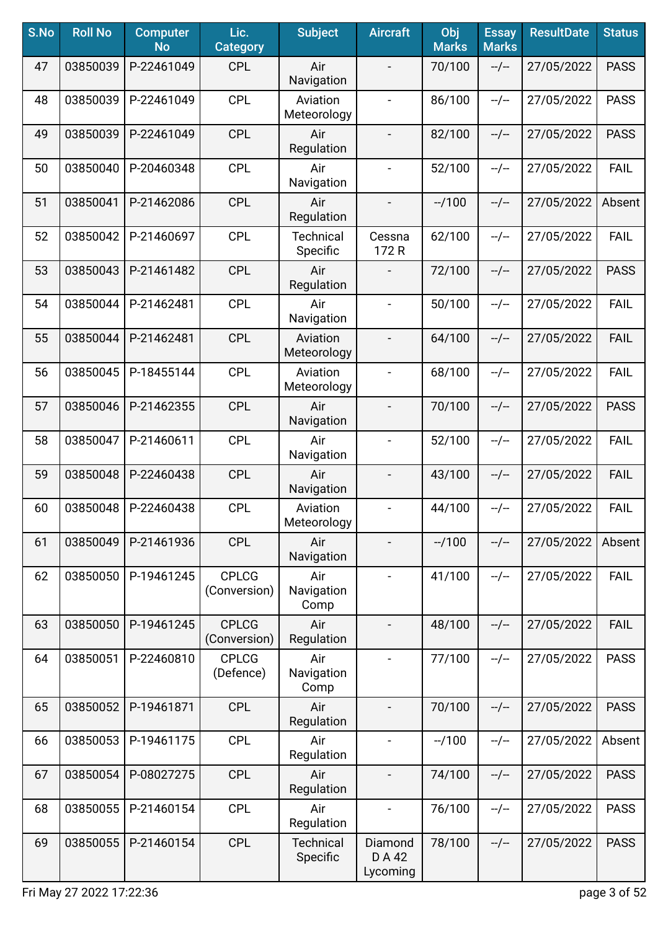| S.No | <b>Roll No</b> | <b>Computer</b><br><b>No</b> | Lic.<br><b>Category</b>      | <b>Subject</b>               | <b>Aircraft</b>               | Obj<br><b>Marks</b> | <b>Essay</b><br><b>Marks</b> | <b>ResultDate</b> | <b>Status</b> |
|------|----------------|------------------------------|------------------------------|------------------------------|-------------------------------|---------------------|------------------------------|-------------------|---------------|
| 47   | 03850039       | P-22461049                   | <b>CPL</b>                   | Air<br>Navigation            |                               | 70/100              | $-/-$                        | 27/05/2022        | <b>PASS</b>   |
| 48   | 03850039       | P-22461049                   | <b>CPL</b>                   | Aviation<br>Meteorology      | $\blacksquare$                | 86/100              | $-/-$                        | 27/05/2022        | <b>PASS</b>   |
| 49   | 03850039       | P-22461049                   | <b>CPL</b>                   | Air<br>Regulation            | $\overline{\phantom{0}}$      | 82/100              | $-/-$                        | 27/05/2022        | <b>PASS</b>   |
| 50   | 03850040       | P-20460348                   | <b>CPL</b>                   | Air<br>Navigation            | $\blacksquare$                | 52/100              | $-/-$                        | 27/05/2022        | <b>FAIL</b>   |
| 51   | 03850041       | P-21462086                   | <b>CPL</b>                   | Air<br>Regulation            | $\overline{\phantom{a}}$      | $-1100$             | $-/-$                        | 27/05/2022        | Absent        |
| 52   | 03850042       | P-21460697                   | <b>CPL</b>                   | <b>Technical</b><br>Specific | Cessna<br>172 R               | 62/100              | $-/-$                        | 27/05/2022        | <b>FAIL</b>   |
| 53   | 03850043       | P-21461482                   | <b>CPL</b>                   | Air<br>Regulation            |                               | 72/100              | $-/-$                        | 27/05/2022        | <b>PASS</b>   |
| 54   | 03850044       | P-21462481                   | <b>CPL</b>                   | Air<br>Navigation            | $\overline{\phantom{a}}$      | 50/100              | $-/-$                        | 27/05/2022        | <b>FAIL</b>   |
| 55   | 03850044       | P-21462481                   | <b>CPL</b>                   | Aviation<br>Meteorology      | $\overline{\phantom{a}}$      | 64/100              | $-/-$                        | 27/05/2022        | <b>FAIL</b>   |
| 56   | 03850045       | P-18455144                   | <b>CPL</b>                   | Aviation<br>Meteorology      | $\blacksquare$                | 68/100              | $-/-$                        | 27/05/2022        | <b>FAIL</b>   |
| 57   | 03850046       | P-21462355                   | <b>CPL</b>                   | Air<br>Navigation            | $\blacksquare$                | 70/100              | $-/-$                        | 27/05/2022        | <b>PASS</b>   |
| 58   | 03850047       | P-21460611                   | <b>CPL</b>                   | Air<br>Navigation            | $\blacksquare$                | 52/100              | $-/-$                        | 27/05/2022        | <b>FAIL</b>   |
| 59   | 03850048       | P-22460438                   | <b>CPL</b>                   | Air<br>Navigation            |                               | 43/100              | $-/-$                        | 27/05/2022        | <b>FAIL</b>   |
| 60   | 03850048       | P-22460438                   | <b>CPL</b>                   | Aviation<br>Meteorology      |                               | 44/100              | $-/-$                        | 27/05/2022        | <b>FAIL</b>   |
| 61   | 03850049       | P-21461936                   | <b>CPL</b>                   | Air<br>Navigation            |                               | $-1100$             | $-/-$                        | 27/05/2022        | Absent        |
| 62   | 03850050       | P-19461245                   | <b>CPLCG</b><br>(Conversion) | Air<br>Navigation<br>Comp    |                               | 41/100              | $-/-$                        | 27/05/2022        | <b>FAIL</b>   |
| 63   | 03850050       | P-19461245                   | <b>CPLCG</b><br>(Conversion) | Air<br>Regulation            | $\overline{\phantom{a}}$      | 48/100              | $-/-$                        | 27/05/2022        | <b>FAIL</b>   |
| 64   | 03850051       | P-22460810                   | <b>CPLCG</b><br>(Defence)    | Air<br>Navigation<br>Comp    |                               | 77/100              | $-/-$                        | 27/05/2022        | <b>PASS</b>   |
| 65   | 03850052       | P-19461871                   | <b>CPL</b>                   | Air<br>Regulation            |                               | 70/100              | $-/-$                        | 27/05/2022        | <b>PASS</b>   |
| 66   | 03850053       | P-19461175                   | <b>CPL</b>                   | Air<br>Regulation            | $\blacksquare$                | $-1100$             | $-/-$                        | 27/05/2022        | Absent        |
| 67   | 03850054       | P-08027275                   | <b>CPL</b>                   | Air<br>Regulation            |                               | 74/100              | $-/-$                        | 27/05/2022        | <b>PASS</b>   |
| 68   | 03850055       | P-21460154                   | <b>CPL</b>                   | Air<br>Regulation            | $\overline{\phantom{a}}$      | 76/100              | $-/-$                        | 27/05/2022        | <b>PASS</b>   |
| 69   | 03850055       | P-21460154                   | <b>CPL</b>                   | <b>Technical</b><br>Specific | Diamond<br>D A 42<br>Lycoming | 78/100              | $-/-$                        | 27/05/2022        | <b>PASS</b>   |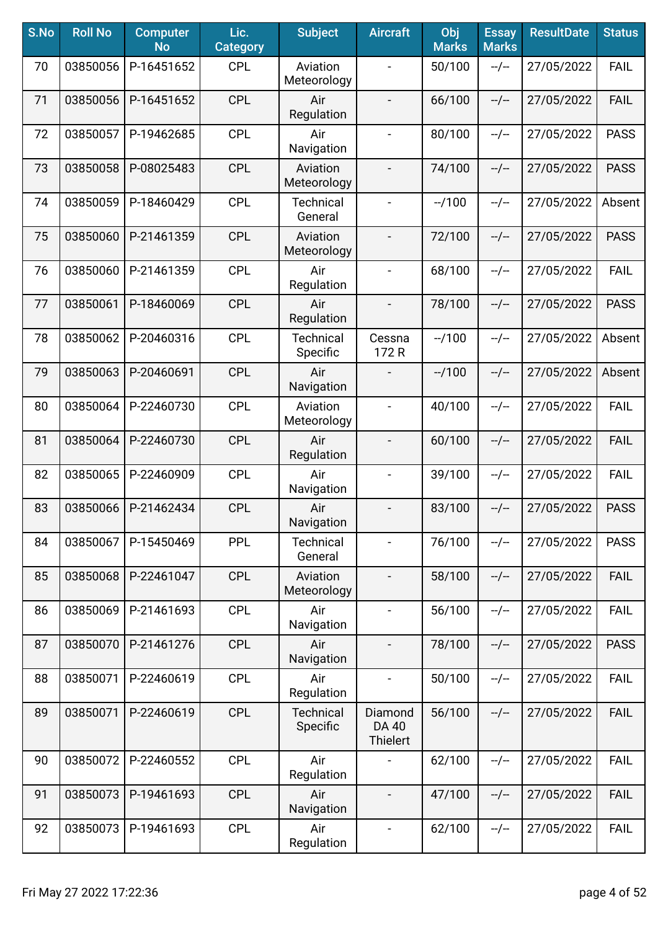| S.No | <b>Roll No</b> | <b>Computer</b><br><b>No</b> | Lic.<br><b>Category</b> | <b>Subject</b>               | <b>Aircraft</b>                     | Obj<br><b>Marks</b> | <b>Essay</b><br><b>Marks</b> | <b>ResultDate</b> | <b>Status</b> |
|------|----------------|------------------------------|-------------------------|------------------------------|-------------------------------------|---------------------|------------------------------|-------------------|---------------|
| 70   | 03850056       | P-16451652                   | <b>CPL</b>              | Aviation<br>Meteorology      | $\blacksquare$                      | 50/100              | $-/-$                        | 27/05/2022        | <b>FAIL</b>   |
| 71   | 03850056       | P-16451652                   | <b>CPL</b>              | Air<br>Regulation            | $\overline{\phantom{a}}$            | 66/100              | $-/-$                        | 27/05/2022        | <b>FAIL</b>   |
| 72   | 03850057       | P-19462685                   | <b>CPL</b>              | Air<br>Navigation            | $\blacksquare$                      | 80/100              | $-/-$                        | 27/05/2022        | <b>PASS</b>   |
| 73   | 03850058       | P-08025483                   | <b>CPL</b>              | Aviation<br>Meteorology      |                                     | 74/100              | $-/-$                        | 27/05/2022        | <b>PASS</b>   |
| 74   | 03850059       | P-18460429                   | <b>CPL</b>              | <b>Technical</b><br>General  | $\blacksquare$                      | $-1100$             | $-/-$                        | 27/05/2022        | Absent        |
| 75   | 03850060       | P-21461359                   | <b>CPL</b>              | Aviation<br>Meteorology      | $\overline{\phantom{a}}$            | 72/100              | $-/-$                        | 27/05/2022        | <b>PASS</b>   |
| 76   | 03850060       | P-21461359                   | <b>CPL</b>              | Air<br>Regulation            | $\overline{\phantom{a}}$            | 68/100              | $-/-$                        | 27/05/2022        | <b>FAIL</b>   |
| 77   | 03850061       | P-18460069                   | <b>CPL</b>              | Air<br>Regulation            | $\overline{\phantom{a}}$            | 78/100              | $-/-$                        | 27/05/2022        | <b>PASS</b>   |
| 78   | 03850062       | P-20460316                   | <b>CPL</b>              | <b>Technical</b><br>Specific | Cessna<br>172 R                     | $-1100$             | $-/-$                        | 27/05/2022        | Absent        |
| 79   | 03850063       | P-20460691                   | <b>CPL</b>              | Air<br>Navigation            |                                     | $-1100$             | $-/-$                        | 27/05/2022        | Absent        |
| 80   | 03850064       | P-22460730                   | <b>CPL</b>              | Aviation<br>Meteorology      | $\overline{\phantom{a}}$            | 40/100              | $-/-$                        | 27/05/2022        | <b>FAIL</b>   |
| 81   | 03850064       | P-22460730                   | <b>CPL</b>              | Air<br>Regulation            | $\overline{\phantom{a}}$            | 60/100              | $-/-$                        | 27/05/2022        | <b>FAIL</b>   |
| 82   | 03850065       | P-22460909                   | <b>CPL</b>              | Air<br>Navigation            | $\hbox{--}$                         | 39/100              | $-/-$                        | 27/05/2022        | <b>FAIL</b>   |
| 83   | 03850066       | P-21462434                   | <b>CPL</b>              | Air<br>Navigation            | $\overline{\phantom{a}}$            | 83/100              | $-/-$                        | 27/05/2022        | <b>PASS</b>   |
| 84   | 03850067       | P-15450469                   | <b>PPL</b>              | <b>Technical</b><br>General  |                                     | 76/100              | $-/-$                        | 27/05/2022        | <b>PASS</b>   |
| 85   | 03850068       | P-22461047                   | <b>CPL</b>              | Aviation<br>Meteorology      | $\overline{\phantom{a}}$            | 58/100              | $-/-$                        | 27/05/2022        | <b>FAIL</b>   |
| 86   | 03850069       | P-21461693                   | <b>CPL</b>              | Air<br>Navigation            | $\blacksquare$                      | 56/100              | $-/-$                        | 27/05/2022        | <b>FAIL</b>   |
| 87   | 03850070       | P-21461276                   | <b>CPL</b>              | Air<br>Navigation            | $\overline{\phantom{a}}$            | 78/100              | $-/-$                        | 27/05/2022        | <b>PASS</b>   |
| 88   | 03850071       | P-22460619                   | <b>CPL</b>              | Air<br>Regulation            | $\blacksquare$                      | 50/100              | $-/-$                        | 27/05/2022        | <b>FAIL</b>   |
| 89   | 03850071       | P-22460619                   | <b>CPL</b>              | Technical<br>Specific        | Diamond<br><b>DA 40</b><br>Thielert | 56/100              | $-/-$                        | 27/05/2022        | <b>FAIL</b>   |
| 90   | 03850072       | P-22460552                   | <b>CPL</b>              | Air<br>Regulation            |                                     | 62/100              | $-/-$                        | 27/05/2022        | <b>FAIL</b>   |
| 91   | 03850073       | P-19461693                   | <b>CPL</b>              | Air<br>Navigation            | $\overline{\phantom{a}}$            | 47/100              | $-/-$                        | 27/05/2022        | <b>FAIL</b>   |
| 92   | 03850073       | P-19461693                   | <b>CPL</b>              | Air<br>Regulation            | $\blacksquare$                      | 62/100              | --/--                        | 27/05/2022        | <b>FAIL</b>   |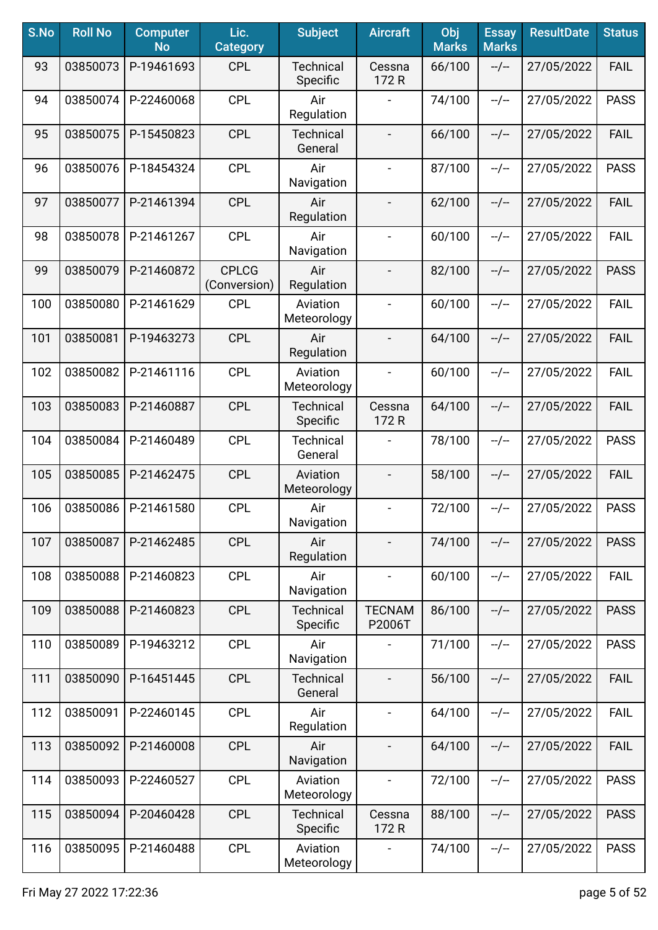| S.No | <b>Roll No</b> | <b>Computer</b><br><b>No</b> | Lic.<br><b>Category</b>      | <b>Subject</b>               | <b>Aircraft</b>              | Obj<br><b>Marks</b> | <b>Essay</b><br><b>Marks</b> | <b>ResultDate</b> | <b>Status</b> |
|------|----------------|------------------------------|------------------------------|------------------------------|------------------------------|---------------------|------------------------------|-------------------|---------------|
| 93   | 03850073       | P-19461693                   | <b>CPL</b>                   | <b>Technical</b><br>Specific | Cessna<br>172 R              | 66/100              | $-/-$                        | 27/05/2022        | <b>FAIL</b>   |
| 94   | 03850074       | P-22460068                   | <b>CPL</b>                   | Air<br>Regulation            |                              | 74/100              | $-/-$                        | 27/05/2022        | <b>PASS</b>   |
| 95   | 03850075       | P-15450823                   | <b>CPL</b>                   | <b>Technical</b><br>General  | $\overline{\phantom{a}}$     | 66/100              | $-/-$                        | 27/05/2022        | <b>FAIL</b>   |
| 96   | 03850076       | P-18454324                   | <b>CPL</b>                   | Air<br>Navigation            | $\qquad \qquad \blacksquare$ | 87/100              | $-/-$                        | 27/05/2022        | <b>PASS</b>   |
| 97   | 03850077       | P-21461394                   | <b>CPL</b>                   | Air<br>Regulation            | $\overline{\phantom{0}}$     | 62/100              | $-/-$                        | 27/05/2022        | <b>FAIL</b>   |
| 98   | 03850078       | P-21461267                   | <b>CPL</b>                   | Air<br>Navigation            | $\overline{\phantom{a}}$     | 60/100              | $-/-$                        | 27/05/2022        | <b>FAIL</b>   |
| 99   | 03850079       | P-21460872                   | <b>CPLCG</b><br>(Conversion) | Air<br>Regulation            |                              | 82/100              | $-/-$                        | 27/05/2022        | <b>PASS</b>   |
| 100  | 03850080       | P-21461629                   | <b>CPL</b>                   | Aviation<br>Meteorology      | $\qquad \qquad -$            | 60/100              | $-/-$                        | 27/05/2022        | <b>FAIL</b>   |
| 101  | 03850081       | P-19463273                   | <b>CPL</b>                   | Air<br>Regulation            | $\qquad \qquad -$            | 64/100              | $-/-$                        | 27/05/2022        | <b>FAIL</b>   |
| 102  | 03850082       | P-21461116                   | <b>CPL</b>                   | Aviation<br>Meteorology      | $\blacksquare$               | 60/100              | $-/-$                        | 27/05/2022        | <b>FAIL</b>   |
| 103  | 03850083       | P-21460887                   | <b>CPL</b>                   | Technical<br>Specific        | Cessna<br>172 R              | 64/100              | $-/-$                        | 27/05/2022        | <b>FAIL</b>   |
| 104  | 03850084       | P-21460489                   | <b>CPL</b>                   | <b>Technical</b><br>General  |                              | 78/100              | $-/-$                        | 27/05/2022        | <b>PASS</b>   |
| 105  | 03850085       | P-21462475                   | <b>CPL</b>                   | Aviation<br>Meteorology      |                              | 58/100              | $-/-$                        | 27/05/2022        | <b>FAIL</b>   |
| 106  | 03850086       | P-21461580                   | <b>CPL</b>                   | Air<br>Navigation            | $\blacksquare$               | 72/100              | $-/-$                        | 27/05/2022        | <b>PASS</b>   |
| 107  | 03850087       | P-21462485                   | <b>CPL</b>                   | Air<br>Regulation            |                              | 74/100              | $-/-$                        | 27/05/2022        | <b>PASS</b>   |
| 108  | 03850088       | P-21460823                   | <b>CPL</b>                   | Air<br>Navigation            | $\blacksquare$               | 60/100              | $-/-$                        | 27/05/2022        | <b>FAIL</b>   |
| 109  | 03850088       | P-21460823                   | <b>CPL</b>                   | <b>Technical</b><br>Specific | <b>TECNAM</b><br>P2006T      | 86/100              | $-/-$                        | 27/05/2022        | <b>PASS</b>   |
| 110  | 03850089       | P-19463212                   | <b>CPL</b>                   | Air<br>Navigation            | $\overline{a}$               | 71/100              | $-/-$                        | 27/05/2022        | <b>PASS</b>   |
| 111  | 03850090       | P-16451445                   | <b>CPL</b>                   | <b>Technical</b><br>General  | $\qquad \qquad \blacksquare$ | 56/100              | $-/-$                        | 27/05/2022        | <b>FAIL</b>   |
| 112  | 03850091       | P-22460145                   | <b>CPL</b>                   | Air<br>Regulation            | $\overline{\phantom{a}}$     | 64/100              | $-/-$                        | 27/05/2022        | <b>FAIL</b>   |
| 113  | 03850092       | P-21460008                   | <b>CPL</b>                   | Air<br>Navigation            |                              | 64/100              | $-/-$                        | 27/05/2022        | <b>FAIL</b>   |
| 114  | 03850093       | P-22460527                   | <b>CPL</b>                   | Aviation<br>Meteorology      |                              | 72/100              | $-/-$                        | 27/05/2022        | <b>PASS</b>   |
| 115  | 03850094       | P-20460428                   | <b>CPL</b>                   | <b>Technical</b><br>Specific | Cessna<br>172 R              | 88/100              | $-/-$                        | 27/05/2022        | <b>PASS</b>   |
| 116  | 03850095       | P-21460488                   | <b>CPL</b>                   | Aviation<br>Meteorology      | $\blacksquare$               | 74/100              | $-/-$                        | 27/05/2022        | <b>PASS</b>   |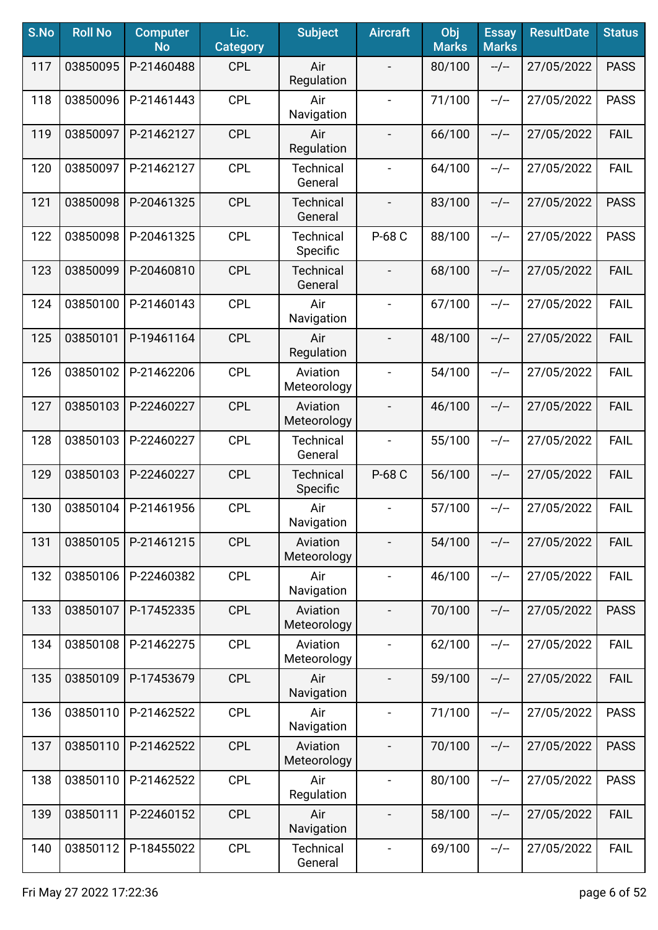| S.No | <b>Roll No</b> | <b>Computer</b><br><b>No</b> | Lic.<br><b>Category</b> | <b>Subject</b>               | <b>Aircraft</b>          | Obj<br><b>Marks</b> | <b>Essay</b><br><b>Marks</b> | <b>ResultDate</b> | <b>Status</b> |
|------|----------------|------------------------------|-------------------------|------------------------------|--------------------------|---------------------|------------------------------|-------------------|---------------|
| 117  | 03850095       | P-21460488                   | <b>CPL</b>              | Air<br>Regulation            | $\overline{\phantom{a}}$ | 80/100              | $-/-$                        | 27/05/2022        | <b>PASS</b>   |
| 118  | 03850096       | P-21461443                   | <b>CPL</b>              | Air<br>Navigation            | $\overline{\phantom{a}}$ | 71/100              | $-/-$                        | 27/05/2022        | <b>PASS</b>   |
| 119  | 03850097       | P-21462127                   | <b>CPL</b>              | Air<br>Regulation            | $\overline{\phantom{a}}$ | 66/100              | $-/-$                        | 27/05/2022        | <b>FAIL</b>   |
| 120  | 03850097       | P-21462127                   | <b>CPL</b>              | <b>Technical</b><br>General  | $\overline{\phantom{a}}$ | 64/100              | $-/-$                        | 27/05/2022        | <b>FAIL</b>   |
| 121  | 03850098       | P-20461325                   | <b>CPL</b>              | <b>Technical</b><br>General  | $\blacksquare$           | 83/100              | $-/-$                        | 27/05/2022        | <b>PASS</b>   |
| 122  | 03850098       | P-20461325                   | <b>CPL</b>              | <b>Technical</b><br>Specific | P-68 C                   | 88/100              | $-/-$                        | 27/05/2022        | <b>PASS</b>   |
| 123  | 03850099       | P-20460810                   | <b>CPL</b>              | <b>Technical</b><br>General  |                          | 68/100              | $-/-$                        | 27/05/2022        | <b>FAIL</b>   |
| 124  | 03850100       | P-21460143                   | <b>CPL</b>              | Air<br>Navigation            | $\overline{\phantom{a}}$ | 67/100              | $-/-$                        | 27/05/2022        | <b>FAIL</b>   |
| 125  | 03850101       | P-19461164                   | <b>CPL</b>              | Air<br>Regulation            | $\overline{\phantom{a}}$ | 48/100              | $-/-$                        | 27/05/2022        | <b>FAIL</b>   |
| 126  | 03850102       | P-21462206                   | <b>CPL</b>              | Aviation<br>Meteorology      | $\blacksquare$           | 54/100              | $-/-$                        | 27/05/2022        | <b>FAIL</b>   |
| 127  | 03850103       | P-22460227                   | <b>CPL</b>              | Aviation<br>Meteorology      | $\overline{\phantom{a}}$ | 46/100              | $-/-$                        | 27/05/2022        | <b>FAIL</b>   |
| 128  | 03850103       | P-22460227                   | <b>CPL</b>              | <b>Technical</b><br>General  | $\blacksquare$           | 55/100              | $-/-$                        | 27/05/2022        | <b>FAIL</b>   |
| 129  | 03850103       | P-22460227                   | <b>CPL</b>              | <b>Technical</b><br>Specific | P-68 C                   | 56/100              | $-/-$                        | 27/05/2022        | <b>FAIL</b>   |
| 130  | 03850104       | P-21461956                   | <b>CPL</b>              | Air<br>Navigation            | $\overline{\phantom{a}}$ | 57/100              | $-/-$                        | 27/05/2022        | <b>FAIL</b>   |
| 131  | 03850105       | P-21461215                   | <b>CPL</b>              | Aviation<br>Meteorology      |                          | 54/100              | $-/-$                        | 27/05/2022        | <b>FAIL</b>   |
| 132  | 03850106       | P-22460382                   | <b>CPL</b>              | Air<br>Navigation            | $\blacksquare$           | 46/100              | $-/-$                        | 27/05/2022        | <b>FAIL</b>   |
| 133  | 03850107       | P-17452335                   | <b>CPL</b>              | Aviation<br>Meteorology      | $\overline{\phantom{a}}$ | 70/100              | $-/-$                        | 27/05/2022        | <b>PASS</b>   |
| 134  | 03850108       | P-21462275                   | <b>CPL</b>              | Aviation<br>Meteorology      | $\overline{\phantom{a}}$ | 62/100              | $-/-$                        | 27/05/2022        | <b>FAIL</b>   |
| 135  | 03850109       | P-17453679                   | <b>CPL</b>              | Air<br>Navigation            | $\overline{\phantom{a}}$ | 59/100              | $-/-$                        | 27/05/2022        | <b>FAIL</b>   |
| 136  | 03850110       | P-21462522                   | <b>CPL</b>              | Air<br>Navigation            | $\blacksquare$           | 71/100              | $-/-$                        | 27/05/2022        | <b>PASS</b>   |
| 137  | 03850110       | P-21462522                   | <b>CPL</b>              | Aviation<br>Meteorology      |                          | 70/100              | $-/-$                        | 27/05/2022        | <b>PASS</b>   |
| 138  | 03850110       | P-21462522                   | <b>CPL</b>              | Air<br>Regulation            |                          | 80/100              | $-/-$                        | 27/05/2022        | <b>PASS</b>   |
| 139  | 03850111       | P-22460152                   | <b>CPL</b>              | Air<br>Navigation            | $\overline{\phantom{a}}$ | 58/100              | $-/-$                        | 27/05/2022        | <b>FAIL</b>   |
| 140  | 03850112       | P-18455022                   | <b>CPL</b>              | <b>Technical</b><br>General  | $\blacksquare$           | 69/100              | --/--                        | 27/05/2022        | <b>FAIL</b>   |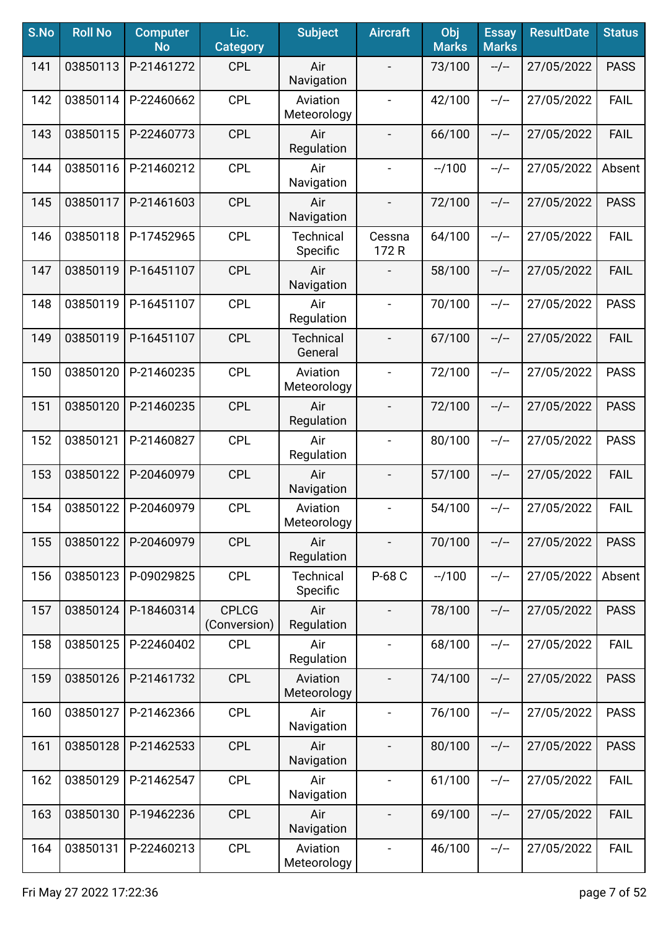| S.No | <b>Roll No</b> | <b>Computer</b><br><b>No</b> | Lic.<br><b>Category</b>      | <b>Subject</b>               | <b>Aircraft</b>              | Obj<br><b>Marks</b> | <b>Essay</b><br><b>Marks</b> | <b>ResultDate</b> | <b>Status</b> |
|------|----------------|------------------------------|------------------------------|------------------------------|------------------------------|---------------------|------------------------------|-------------------|---------------|
| 141  | 03850113       | P-21461272                   | <b>CPL</b>                   | Air<br>Navigation            |                              | 73/100              | $-/-$                        | 27/05/2022        | <b>PASS</b>   |
| 142  | 03850114       | P-22460662                   | <b>CPL</b>                   | Aviation<br>Meteorology      | $\blacksquare$               | 42/100              | $-/-$                        | 27/05/2022        | <b>FAIL</b>   |
| 143  | 03850115       | P-22460773                   | <b>CPL</b>                   | Air<br>Regulation            | $\overline{\phantom{a}}$     | 66/100              | $-/-$                        | 27/05/2022        | <b>FAIL</b>   |
| 144  | 03850116       | P-21460212                   | <b>CPL</b>                   | Air<br>Navigation            | $\blacksquare$               | $-1100$             | $-/-$                        | 27/05/2022        | Absent        |
| 145  | 03850117       | P-21461603                   | <b>CPL</b>                   | Air<br>Navigation            | $\overline{\phantom{a}}$     | 72/100              | $-/-$                        | 27/05/2022        | <b>PASS</b>   |
| 146  | 03850118       | P-17452965                   | <b>CPL</b>                   | <b>Technical</b><br>Specific | Cessna<br>172 R              | 64/100              | $-/-$                        | 27/05/2022        | <b>FAIL</b>   |
| 147  | 03850119       | P-16451107                   | <b>CPL</b>                   | Air<br>Navigation            |                              | 58/100              | $-/-$                        | 27/05/2022        | <b>FAIL</b>   |
| 148  | 03850119       | P-16451107                   | <b>CPL</b>                   | Air<br>Regulation            | $\overline{\phantom{a}}$     | 70/100              | $-/-$                        | 27/05/2022        | <b>PASS</b>   |
| 149  | 03850119       | P-16451107                   | <b>CPL</b>                   | <b>Technical</b><br>General  | $\overline{\phantom{a}}$     | 67/100              | $-/-$                        | 27/05/2022        | <b>FAIL</b>   |
| 150  | 03850120       | P-21460235                   | <b>CPL</b>                   | Aviation<br>Meteorology      | $\blacksquare$               | 72/100              | $-/-$                        | 27/05/2022        | <b>PASS</b>   |
| 151  | 03850120       | P-21460235                   | <b>CPL</b>                   | Air<br>Regulation            |                              | 72/100              | $-/-$                        | 27/05/2022        | <b>PASS</b>   |
| 152  | 03850121       | P-21460827                   | <b>CPL</b>                   | Air<br>Regulation            | $\blacksquare$               | 80/100              | $-/-$                        | 27/05/2022        | <b>PASS</b>   |
| 153  | 03850122       | P-20460979                   | <b>CPL</b>                   | Air<br>Navigation            |                              | 57/100              | $-/-$                        | 27/05/2022        | <b>FAIL</b>   |
| 154  | 03850122       | P-20460979                   | <b>CPL</b>                   | Aviation<br>Meteorology      | $\qquad \qquad \blacksquare$ | 54/100              | $-/-$                        | 27/05/2022        | <b>FAIL</b>   |
| 155  | 03850122       | P-20460979                   | <b>CPL</b>                   | Air<br>Regulation            |                              | 70/100              | $-/-$                        | 27/05/2022        | <b>PASS</b>   |
| 156  | 03850123       | P-09029825                   | <b>CPL</b>                   | <b>Technical</b><br>Specific | P-68 C                       | $-1100$             | --/--                        | 27/05/2022        | Absent        |
| 157  | 03850124       | P-18460314                   | <b>CPLCG</b><br>(Conversion) | Air<br>Regulation            | $\overline{\phantom{a}}$     | 78/100              | $-/-$                        | 27/05/2022        | <b>PASS</b>   |
| 158  | 03850125       | P-22460402                   | <b>CPL</b>                   | Air<br>Regulation            | $\overline{\phantom{a}}$     | 68/100              | $-/-$                        | 27/05/2022        | <b>FAIL</b>   |
| 159  | 03850126       | P-21461732                   | <b>CPL</b>                   | Aviation<br>Meteorology      |                              | 74/100              | $-/-$                        | 27/05/2022        | <b>PASS</b>   |
| 160  | 03850127       | P-21462366                   | <b>CPL</b>                   | Air<br>Navigation            | $\overline{\phantom{a}}$     | 76/100              | $-/-$                        | 27/05/2022        | <b>PASS</b>   |
| 161  | 03850128       | P-21462533                   | <b>CPL</b>                   | Air<br>Navigation            |                              | 80/100              | $-/-$                        | 27/05/2022        | <b>PASS</b>   |
| 162  | 03850129       | P-21462547                   | <b>CPL</b>                   | Air<br>Navigation            | $\blacksquare$               | 61/100              | $-/-$                        | 27/05/2022        | <b>FAIL</b>   |
| 163  | 03850130       | P-19462236                   | <b>CPL</b>                   | Air<br>Navigation            | $\overline{\phantom{a}}$     | 69/100              | $-/-$                        | 27/05/2022        | <b>FAIL</b>   |
| 164  | 03850131       | P-22460213                   | <b>CPL</b>                   | Aviation<br>Meteorology      | $\blacksquare$               | 46/100              | --/--                        | 27/05/2022        | <b>FAIL</b>   |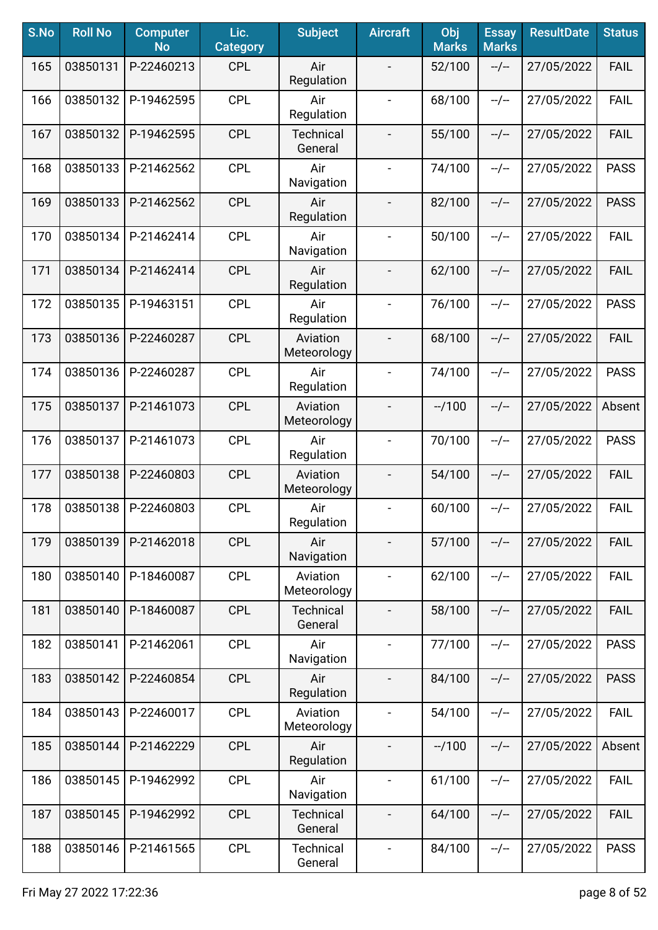| S.No | <b>Roll No</b> | <b>Computer</b><br><b>No</b> | Lic.<br><b>Category</b> | <b>Subject</b>              | <b>Aircraft</b>              | Obj<br><b>Marks</b> | <b>Essay</b><br><b>Marks</b> | <b>ResultDate</b> | <b>Status</b> |
|------|----------------|------------------------------|-------------------------|-----------------------------|------------------------------|---------------------|------------------------------|-------------------|---------------|
| 165  | 03850131       | P-22460213                   | <b>CPL</b>              | Air<br>Regulation           |                              | 52/100              | $-/-$                        | 27/05/2022        | <b>FAIL</b>   |
| 166  | 03850132       | P-19462595                   | <b>CPL</b>              | Air<br>Regulation           | $\blacksquare$               | 68/100              | $-/-$                        | 27/05/2022        | <b>FAIL</b>   |
| 167  | 03850132       | P-19462595                   | <b>CPL</b>              | Technical<br>General        | $\overline{\phantom{a}}$     | 55/100              | $-/-$                        | 27/05/2022        | <b>FAIL</b>   |
| 168  | 03850133       | P-21462562                   | <b>CPL</b>              | Air<br>Navigation           | $\blacksquare$               | 74/100              | $-/-$                        | 27/05/2022        | <b>PASS</b>   |
| 169  | 03850133       | P-21462562                   | <b>CPL</b>              | Air<br>Regulation           |                              | 82/100              | $-/-$                        | 27/05/2022        | <b>PASS</b>   |
| 170  | 03850134       | P-21462414                   | <b>CPL</b>              | Air<br>Navigation           | $\overline{\phantom{a}}$     | 50/100              | $-/-$                        | 27/05/2022        | <b>FAIL</b>   |
| 171  | 03850134       | P-21462414                   | <b>CPL</b>              | Air<br>Regulation           |                              | 62/100              | $-/-$                        | 27/05/2022        | <b>FAIL</b>   |
| 172  | 03850135       | P-19463151                   | <b>CPL</b>              | Air<br>Regulation           | $\overline{\phantom{a}}$     | 76/100              | $-/-$                        | 27/05/2022        | <b>PASS</b>   |
| 173  | 03850136       | P-22460287                   | <b>CPL</b>              | Aviation<br>Meteorology     | $\overline{\phantom{a}}$     | 68/100              | $-/-$                        | 27/05/2022        | <b>FAIL</b>   |
| 174  | 03850136       | P-22460287                   | <b>CPL</b>              | Air<br>Regulation           | $\blacksquare$               | 74/100              | $-/-$                        | 27/05/2022        | <b>PASS</b>   |
| 175  | 03850137       | P-21461073                   | <b>CPL</b>              | Aviation<br>Meteorology     |                              | $-1100$             | $-/-$                        | 27/05/2022        | Absent        |
| 176  | 03850137       | P-21461073                   | <b>CPL</b>              | Air<br>Regulation           | $\blacksquare$               | 70/100              | $-/-$                        | 27/05/2022        | <b>PASS</b>   |
| 177  | 03850138       | P-22460803                   | <b>CPL</b>              | Aviation<br>Meteorology     |                              | 54/100              | $-/-$                        | 27/05/2022        | <b>FAIL</b>   |
| 178  | 03850138       | P-22460803                   | <b>CPL</b>              | Air<br>Regulation           | $\overline{\phantom{a}}$     | 60/100              | $-/-$                        | 27/05/2022        | <b>FAIL</b>   |
| 179  | 03850139       | P-21462018                   | <b>CPL</b>              | Air<br>Navigation           |                              | 57/100              | $-/-$                        | 27/05/2022        | <b>FAIL</b>   |
| 180  | 03850140       | P-18460087                   | <b>CPL</b>              | Aviation<br>Meteorology     | $\overline{\phantom{a}}$     | 62/100              | --/--                        | 27/05/2022        | <b>FAIL</b>   |
| 181  | 03850140       | P-18460087                   | <b>CPL</b>              | <b>Technical</b><br>General | $\overline{\phantom{a}}$     | 58/100              | $-/-$                        | 27/05/2022        | <b>FAIL</b>   |
| 182  | 03850141       | P-21462061                   | <b>CPL</b>              | Air<br>Navigation           | $\overline{\phantom{a}}$     | 77/100              | $-/-$                        | 27/05/2022        | <b>PASS</b>   |
| 183  | 03850142       | P-22460854                   | <b>CPL</b>              | Air<br>Regulation           |                              | 84/100              | $-/-$                        | 27/05/2022        | <b>PASS</b>   |
| 184  | 03850143       | P-22460017                   | <b>CPL</b>              | Aviation<br>Meteorology     |                              | 54/100              | $-/-$                        | 27/05/2022        | <b>FAIL</b>   |
| 185  | 03850144       | P-21462229                   | <b>CPL</b>              | Air<br>Regulation           | $\overline{\phantom{a}}$     | $-1100$             | $-/-$                        | 27/05/2022        | Absent        |
| 186  | 03850145       | P-19462992                   | <b>CPL</b>              | Air<br>Navigation           | $\blacksquare$               | 61/100              | $-/-$                        | 27/05/2022        | <b>FAIL</b>   |
| 187  | 03850145       | P-19462992                   | <b>CPL</b>              | <b>Technical</b><br>General | $\overline{\phantom{a}}$     | 64/100              | $-/-$                        | 27/05/2022        | <b>FAIL</b>   |
| 188  | 03850146       | P-21461565                   | <b>CPL</b>              | <b>Technical</b><br>General | $\qquad \qquad \blacksquare$ | 84/100              | --/--                        | 27/05/2022        | <b>PASS</b>   |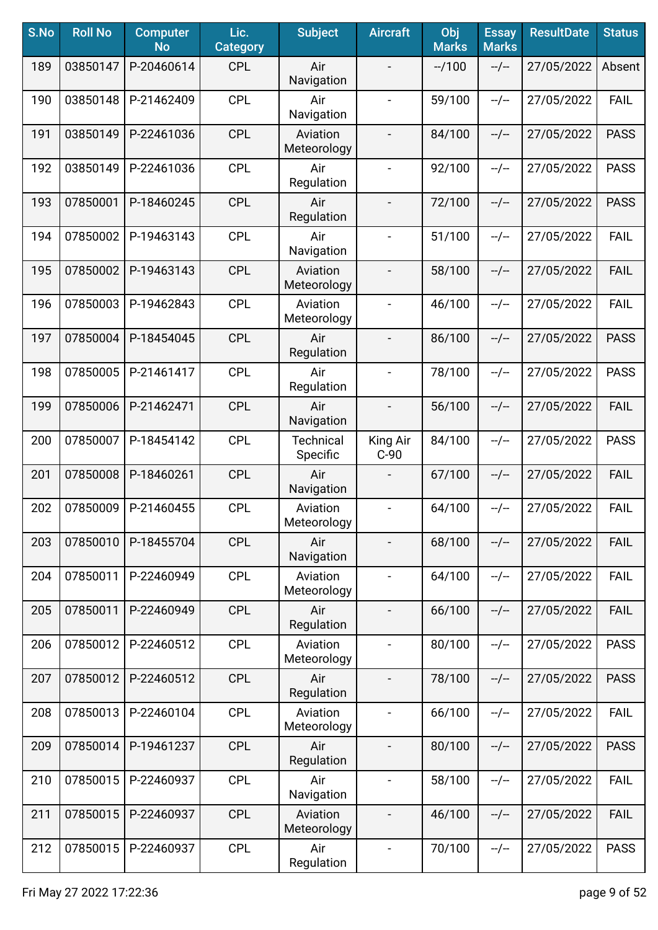| S.No | <b>Roll No</b> | <b>Computer</b><br><b>No</b> | Lic.<br><b>Category</b> | <b>Subject</b>               | <b>Aircraft</b>          | Obj<br><b>Marks</b> | <b>Essay</b><br><b>Marks</b> | <b>ResultDate</b> | <b>Status</b> |
|------|----------------|------------------------------|-------------------------|------------------------------|--------------------------|---------------------|------------------------------|-------------------|---------------|
| 189  | 03850147       | P-20460614                   | <b>CPL</b>              | Air<br>Navigation            |                          | $-1100$             | $-/-$                        | 27/05/2022        | Absent        |
| 190  | 03850148       | P-21462409                   | <b>CPL</b>              | Air<br>Navigation            | $\overline{\phantom{a}}$ | 59/100              | $-/-$                        | 27/05/2022        | <b>FAIL</b>   |
| 191  | 03850149       | P-22461036                   | <b>CPL</b>              | Aviation<br>Meteorology      |                          | 84/100              | $-/-$                        | 27/05/2022        | <b>PASS</b>   |
| 192  | 03850149       | P-22461036                   | <b>CPL</b>              | Air<br>Regulation            | $\blacksquare$           | 92/100              | $-/-$                        | 27/05/2022        | <b>PASS</b>   |
| 193  | 07850001       | P-18460245                   | <b>CPL</b>              | Air<br>Regulation            |                          | 72/100              | $-/-$                        | 27/05/2022        | <b>PASS</b>   |
| 194  | 07850002       | P-19463143                   | <b>CPL</b>              | Air<br>Navigation            | $\overline{\phantom{a}}$ | 51/100              | $-/-$                        | 27/05/2022        | <b>FAIL</b>   |
| 195  | 07850002       | P-19463143                   | <b>CPL</b>              | Aviation<br>Meteorology      |                          | 58/100              | $-/-$                        | 27/05/2022        | <b>FAIL</b>   |
| 196  | 07850003       | P-19462843                   | <b>CPL</b>              | Aviation<br>Meteorology      | $\overline{\phantom{a}}$ | 46/100              | $-/-$                        | 27/05/2022        | <b>FAIL</b>   |
| 197  | 07850004       | P-18454045                   | <b>CPL</b>              | Air<br>Regulation            | $\overline{\phantom{a}}$ | 86/100              | $-/-$                        | 27/05/2022        | <b>PASS</b>   |
| 198  | 07850005       | P-21461417                   | <b>CPL</b>              | Air<br>Regulation            | $\blacksquare$           | 78/100              | $-/-$                        | 27/05/2022        | <b>PASS</b>   |
| 199  | 07850006       | P-21462471                   | <b>CPL</b>              | Air<br>Navigation            | $\overline{\phantom{a}}$ | 56/100              | $-/-$                        | 27/05/2022        | <b>FAIL</b>   |
| 200  | 07850007       | P-18454142                   | <b>CPL</b>              | <b>Technical</b><br>Specific | King Air<br>$C-90$       | 84/100              | $-/-$                        | 27/05/2022        | <b>PASS</b>   |
| 201  | 07850008       | P-18460261                   | <b>CPL</b>              | Air<br>Navigation            |                          | 67/100              | $-/-$                        | 27/05/2022        | <b>FAIL</b>   |
| 202  | 07850009       | P-21460455                   | <b>CPL</b>              | Aviation<br>Meteorology      | $\overline{\phantom{a}}$ | 64/100              | $-/-$                        | 27/05/2022        | <b>FAIL</b>   |
| 203  | 07850010       | P-18455704                   | <b>CPL</b>              | Air<br>Navigation            |                          | 68/100              | $-/-$                        | 27/05/2022        | <b>FAIL</b>   |
| 204  | 07850011       | P-22460949                   | <b>CPL</b>              | Aviation<br>Meteorology      | $\qquad \qquad -$        | 64/100              | $-/-$                        | 27/05/2022        | <b>FAIL</b>   |
| 205  | 07850011       | P-22460949                   | <b>CPL</b>              | Air<br>Regulation            | $\overline{\phantom{a}}$ | 66/100              | $-/-$                        | 27/05/2022        | <b>FAIL</b>   |
| 206  | 07850012       | P-22460512                   | <b>CPL</b>              | Aviation<br>Meteorology      | $\overline{\phantom{a}}$ | 80/100              | $-/-$                        | 27/05/2022        | <b>PASS</b>   |
| 207  | 07850012       | P-22460512                   | <b>CPL</b>              | Air<br>Regulation            |                          | 78/100              | $-/-$                        | 27/05/2022        | <b>PASS</b>   |
| 208  | 07850013       | P-22460104                   | <b>CPL</b>              | Aviation<br>Meteorology      | $\blacksquare$           | 66/100              | $-/-$                        | 27/05/2022        | <b>FAIL</b>   |
| 209  | 07850014       | P-19461237                   | <b>CPL</b>              | Air<br>Regulation            |                          | 80/100              | $-/-$                        | 27/05/2022        | <b>PASS</b>   |
| 210  | 07850015       | P-22460937                   | <b>CPL</b>              | Air<br>Navigation            |                          | 58/100              | $-/-$                        | 27/05/2022        | <b>FAIL</b>   |
| 211  | 07850015       | P-22460937                   | <b>CPL</b>              | Aviation<br>Meteorology      |                          | 46/100              | --/--                        | 27/05/2022        | <b>FAIL</b>   |
| 212  | 07850015       | P-22460937                   | <b>CPL</b>              | Air<br>Regulation            | $\blacksquare$           | 70/100              | $-/-$                        | 27/05/2022        | <b>PASS</b>   |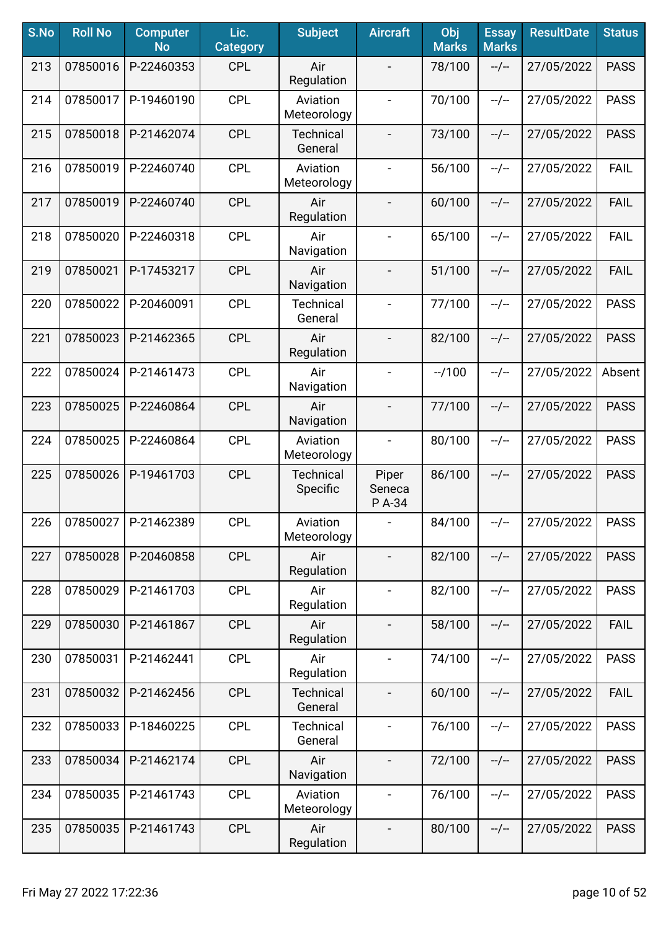| S.No | <b>Roll No</b> | <b>Computer</b><br><b>No</b> | Lic.<br><b>Category</b> | <b>Subject</b>               | <b>Aircraft</b>           | Obj<br><b>Marks</b> | <b>Essay</b><br><b>Marks</b> | <b>ResultDate</b> | <b>Status</b> |
|------|----------------|------------------------------|-------------------------|------------------------------|---------------------------|---------------------|------------------------------|-------------------|---------------|
| 213  | 07850016       | P-22460353                   | <b>CPL</b>              | Air<br>Regulation            |                           | 78/100              | $-/-$                        | 27/05/2022        | <b>PASS</b>   |
| 214  | 07850017       | P-19460190                   | <b>CPL</b>              | Aviation<br>Meteorology      | $\overline{\phantom{a}}$  | 70/100              | $-/-$                        | 27/05/2022        | <b>PASS</b>   |
| 215  | 07850018       | P-21462074                   | <b>CPL</b>              | <b>Technical</b><br>General  | $\overline{\phantom{a}}$  | 73/100              | $-/-$                        | 27/05/2022        | <b>PASS</b>   |
| 216  | 07850019       | P-22460740                   | <b>CPL</b>              | Aviation<br>Meteorology      | $\overline{\phantom{a}}$  | 56/100              | $-/-$                        | 27/05/2022        | <b>FAIL</b>   |
| 217  | 07850019       | P-22460740                   | <b>CPL</b>              | Air<br>Regulation            | $\overline{\phantom{a}}$  | 60/100              | $-/-$                        | 27/05/2022        | <b>FAIL</b>   |
| 218  | 07850020       | P-22460318                   | <b>CPL</b>              | Air<br>Navigation            | $\overline{\phantom{a}}$  | 65/100              | $-/-$                        | 27/05/2022        | <b>FAIL</b>   |
| 219  | 07850021       | P-17453217                   | <b>CPL</b>              | Air<br>Navigation            |                           | 51/100              | $-/-$                        | 27/05/2022        | <b>FAIL</b>   |
| 220  | 07850022       | P-20460091                   | <b>CPL</b>              | <b>Technical</b><br>General  | $\blacksquare$            | 77/100              | $-/-$                        | 27/05/2022        | <b>PASS</b>   |
| 221  | 07850023       | P-21462365                   | <b>CPL</b>              | Air<br>Regulation            | $\overline{\phantom{a}}$  | 82/100              | $-/-$                        | 27/05/2022        | <b>PASS</b>   |
| 222  | 07850024       | P-21461473                   | <b>CPL</b>              | Air<br>Navigation            | $\blacksquare$            | $-1100$             | $-/-$                        | 27/05/2022        | Absent        |
| 223  | 07850025       | P-22460864                   | <b>CPL</b>              | Air<br>Navigation            | $\blacksquare$            | 77/100              | $-/-$                        | 27/05/2022        | <b>PASS</b>   |
| 224  | 07850025       | P-22460864                   | <b>CPL</b>              | Aviation<br>Meteorology      | $\blacksquare$            | 80/100              | $-/-$                        | 27/05/2022        | <b>PASS</b>   |
| 225  | 07850026       | P-19461703                   | <b>CPL</b>              | <b>Technical</b><br>Specific | Piper<br>Seneca<br>P A-34 | 86/100              | $-/-$                        | 27/05/2022        | <b>PASS</b>   |
| 226  | 07850027       | P-21462389                   | <b>CPL</b>              | Aviation<br>Meteorology      | $\blacksquare$            | 84/100              | --/--                        | 27/05/2022        | <b>PASS</b>   |
| 227  | 07850028       | P-20460858                   | <b>CPL</b>              | Air<br>Regulation            |                           | 82/100              | $-/-$                        | 27/05/2022        | <b>PASS</b>   |
| 228  | 07850029       | P-21461703                   | <b>CPL</b>              | Air<br>Regulation            | $\overline{\phantom{a}}$  | 82/100              | $-/-$                        | 27/05/2022        | <b>PASS</b>   |
| 229  | 07850030       | P-21461867                   | <b>CPL</b>              | Air<br>Regulation            | $\overline{\phantom{a}}$  | 58/100              | $-/-$                        | 27/05/2022        | <b>FAIL</b>   |
| 230  | 07850031       | P-21462441                   | <b>CPL</b>              | Air<br>Regulation            | $\overline{\phantom{a}}$  | 74/100              | $-/-$                        | 27/05/2022        | <b>PASS</b>   |
| 231  | 07850032       | P-21462456                   | <b>CPL</b>              | <b>Technical</b><br>General  |                           | 60/100              | $-/-$                        | 27/05/2022        | <b>FAIL</b>   |
| 232  | 07850033       | P-18460225                   | <b>CPL</b>              | <b>Technical</b><br>General  |                           | 76/100              | $-/-$                        | 27/05/2022        | <b>PASS</b>   |
| 233  | 07850034       | P-21462174                   | <b>CPL</b>              | Air<br>Navigation            |                           | 72/100              | $-/-$                        | 27/05/2022        | <b>PASS</b>   |
| 234  | 07850035       | P-21461743                   | <b>CPL</b>              | Aviation<br>Meteorology      | $\overline{\phantom{0}}$  | 76/100              | $-/-$                        | 27/05/2022        | <b>PASS</b>   |
| 235  | 07850035       | P-21461743                   | <b>CPL</b>              | Air<br>Regulation            | $\blacksquare$            | 80/100              | --/--                        | 27/05/2022        | <b>PASS</b>   |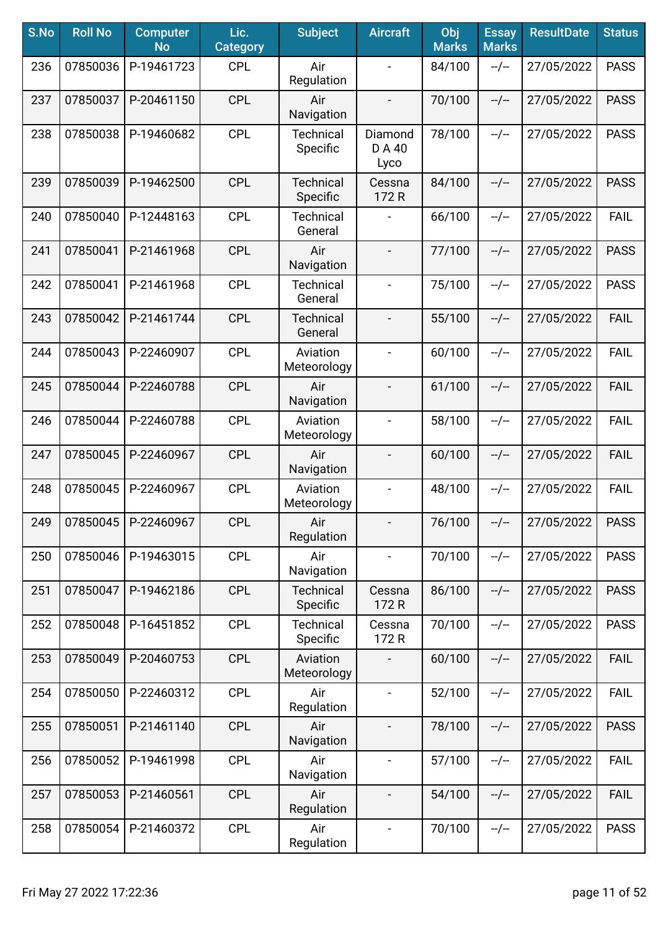| S.No | <b>Roll No</b> | <b>Computer</b><br><b>No</b> | Lic.<br><b>Category</b> | <b>Subject</b>               | <b>Aircraft</b>              | Obj<br><b>Marks</b> | <b>Essay</b><br><b>Marks</b> | <b>ResultDate</b> | <b>Status</b> |
|------|----------------|------------------------------|-------------------------|------------------------------|------------------------------|---------------------|------------------------------|-------------------|---------------|
| 236  | 07850036       | P-19461723                   | <b>CPL</b>              | Air<br>Regulation            | $\overline{a}$               | 84/100              | $-/-$                        | 27/05/2022        | <b>PASS</b>   |
| 237  | 07850037       | P-20461150                   | <b>CPL</b>              | Air<br>Navigation            | $\qquad \qquad \blacksquare$ | 70/100              | $-/-$                        | 27/05/2022        | <b>PASS</b>   |
| 238  | 07850038       | P-19460682                   | <b>CPL</b>              | Technical<br>Specific        | Diamond<br>D A 40<br>Lyco    | 78/100              | --/--                        | 27/05/2022        | <b>PASS</b>   |
| 239  | 07850039       | P-19462500                   | <b>CPL</b>              | Technical<br>Specific        | Cessna<br>172 R              | 84/100              | $-/-$                        | 27/05/2022        | <b>PASS</b>   |
| 240  | 07850040       | P-12448163                   | <b>CPL</b>              | <b>Technical</b><br>General  |                              | 66/100              | $-/-$                        | 27/05/2022        | <b>FAIL</b>   |
| 241  | 07850041       | P-21461968                   | <b>CPL</b>              | Air<br>Navigation            | $\qquad \qquad \blacksquare$ | 77/100              | $-/-$                        | 27/05/2022        | <b>PASS</b>   |
| 242  | 07850041       | P-21461968                   | <b>CPL</b>              | <b>Technical</b><br>General  | $\qquad \qquad \blacksquare$ | 75/100              | $-/-$                        | 27/05/2022        | <b>PASS</b>   |
| 243  | 07850042       | P-21461744                   | <b>CPL</b>              | <b>Technical</b><br>General  | $\qquad \qquad -$            | 55/100              | $-/-$                        | 27/05/2022        | <b>FAIL</b>   |
| 244  | 07850043       | P-22460907                   | <b>CPL</b>              | Aviation<br>Meteorology      | $\blacksquare$               | 60/100              | $-/-$                        | 27/05/2022        | <b>FAIL</b>   |
| 245  | 07850044       | P-22460788                   | <b>CPL</b>              | Air<br>Navigation            | $\overline{\phantom{a}}$     | 61/100              | $-/-$                        | 27/05/2022        | <b>FAIL</b>   |
| 246  | 07850044       | P-22460788                   | <b>CPL</b>              | Aviation<br>Meteorology      | $\overline{\phantom{0}}$     | 58/100              | $-/-$                        | 27/05/2022        | <b>FAIL</b>   |
| 247  | 07850045       | P-22460967                   | <b>CPL</b>              | Air<br>Navigation            |                              | 60/100              | $-/-$                        | 27/05/2022        | <b>FAIL</b>   |
| 248  | 07850045       | P-22460967                   | <b>CPL</b>              | Aviation<br>Meteorology      |                              | 48/100              | $-/-$                        | 27/05/2022        | <b>FAIL</b>   |
| 249  | 07850045       | P-22460967                   | <b>CPL</b>              | Air<br>Regulation            | $\overline{\phantom{a}}$     | 76/100              | --/--                        | 27/05/2022        | <b>PASS</b>   |
| 250  | 07850046       | P-19463015                   | <b>CPL</b>              | Air<br>Navigation            | $\overline{\phantom{0}}$     | 70/100              | $-/-$                        | 27/05/2022        | <b>PASS</b>   |
| 251  | 07850047       | P-19462186                   | <b>CPL</b>              | <b>Technical</b><br>Specific | Cessna<br>172 R              | 86/100              | $-/-$                        | 27/05/2022        | <b>PASS</b>   |
| 252  | 07850048       | P-16451852                   | <b>CPL</b>              | <b>Technical</b><br>Specific | Cessna<br>172 R              | 70/100              | --/--                        | 27/05/2022        | <b>PASS</b>   |
| 253  | 07850049       | P-20460753                   | <b>CPL</b>              | Aviation<br>Meteorology      |                              | 60/100              | $-/-$                        | 27/05/2022        | <b>FAIL</b>   |
| 254  | 07850050       | P-22460312                   | <b>CPL</b>              | Air<br>Regulation            |                              | 52/100              | $-/-$                        | 27/05/2022        | <b>FAIL</b>   |
| 255  | 07850051       | P-21461140                   | <b>CPL</b>              | Air<br>Navigation            |                              | 78/100              | $-/-$                        | 27/05/2022        | <b>PASS</b>   |
| 256  | 07850052       | P-19461998                   | <b>CPL</b>              | Air<br>Navigation            |                              | 57/100              | --/--                        | 27/05/2022        | <b>FAIL</b>   |
| 257  | 07850053       | P-21460561                   | <b>CPL</b>              | Air<br>Regulation            | $\overline{\phantom{0}}$     | 54/100              | $-/-$                        | 27/05/2022        | <b>FAIL</b>   |
| 258  | 07850054       | P-21460372                   | <b>CPL</b>              | Air<br>Regulation            | $\qquad \qquad \blacksquare$ | 70/100              | --/--                        | 27/05/2022        | <b>PASS</b>   |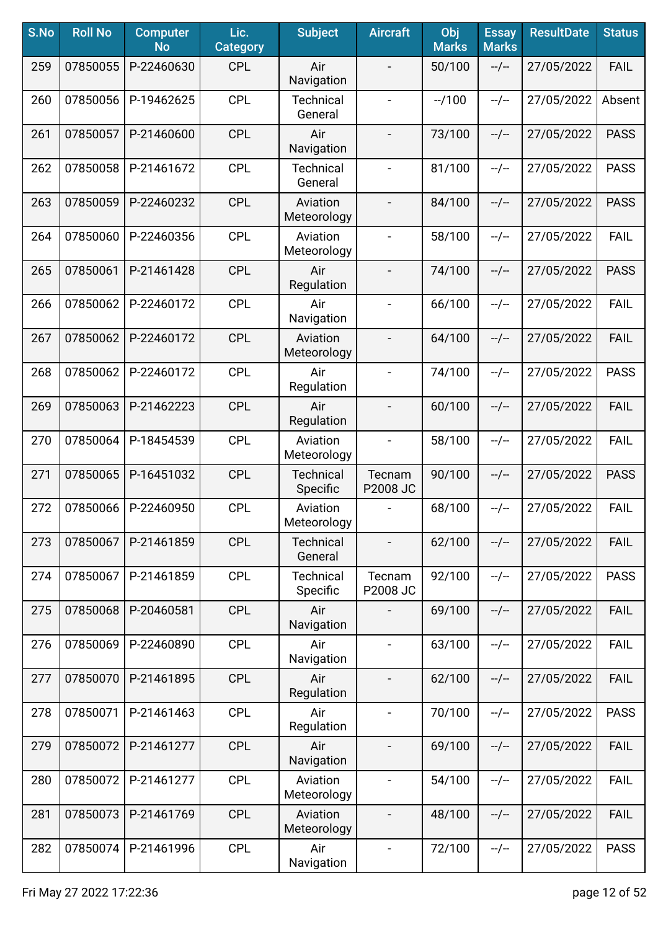| S.No | <b>Roll No</b> | <b>Computer</b><br><b>No</b> | Lic.<br><b>Category</b> | <b>Subject</b>               | <b>Aircraft</b>          | Obj<br><b>Marks</b> | <b>Essay</b><br><b>Marks</b> | <b>ResultDate</b> | <b>Status</b> |
|------|----------------|------------------------------|-------------------------|------------------------------|--------------------------|---------------------|------------------------------|-------------------|---------------|
| 259  | 07850055       | P-22460630                   | <b>CPL</b>              | Air<br>Navigation            |                          | 50/100              | $-/-$                        | 27/05/2022        | <b>FAIL</b>   |
| 260  | 07850056       | P-19462625                   | <b>CPL</b>              | Technical<br>General         | $\overline{\phantom{a}}$ | $-1100$             | $-/-$                        | 27/05/2022        | Absent        |
| 261  | 07850057       | P-21460600                   | <b>CPL</b>              | Air<br>Navigation            | $\overline{\phantom{a}}$ | 73/100              | $-/-$                        | 27/05/2022        | <b>PASS</b>   |
| 262  | 07850058       | P-21461672                   | <b>CPL</b>              | <b>Technical</b><br>General  | $\overline{\phantom{a}}$ | 81/100              | $-/-$                        | 27/05/2022        | <b>PASS</b>   |
| 263  | 07850059       | P-22460232                   | <b>CPL</b>              | Aviation<br>Meteorology      |                          | 84/100              | $-/-$                        | 27/05/2022        | <b>PASS</b>   |
| 264  | 07850060       | P-22460356                   | <b>CPL</b>              | Aviation<br>Meteorology      |                          | 58/100              | $-/-$                        | 27/05/2022        | <b>FAIL</b>   |
| 265  | 07850061       | P-21461428                   | <b>CPL</b>              | Air<br>Regulation            |                          | 74/100              | $-/-$                        | 27/05/2022        | <b>PASS</b>   |
| 266  | 07850062       | P-22460172                   | <b>CPL</b>              | Air<br>Navigation            | $\overline{\phantom{a}}$ | 66/100              | $-/-$                        | 27/05/2022        | <b>FAIL</b>   |
| 267  | 07850062       | P-22460172                   | <b>CPL</b>              | Aviation<br>Meteorology      | $\overline{\phantom{0}}$ | 64/100              | $-/-$                        | 27/05/2022        | <b>FAIL</b>   |
| 268  | 07850062       | P-22460172                   | <b>CPL</b>              | Air<br>Regulation            | $\blacksquare$           | 74/100              | $-/-$                        | 27/05/2022        | <b>PASS</b>   |
| 269  | 07850063       | P-21462223                   | <b>CPL</b>              | Air<br>Regulation            |                          | 60/100              | $-/-$                        | 27/05/2022        | FAIL          |
| 270  | 07850064       | P-18454539                   | <b>CPL</b>              | Aviation<br>Meteorology      |                          | 58/100              | $-/-$                        | 27/05/2022        | <b>FAIL</b>   |
| 271  | 07850065       | P-16451032                   | <b>CPL</b>              | <b>Technical</b><br>Specific | Tecnam<br>P2008 JC       | 90/100              | $-/-$                        | 27/05/2022        | <b>PASS</b>   |
| 272  | 07850066       | P-22460950                   | <b>CPL</b>              | Aviation<br>Meteorology      |                          | 68/100              | $-/-$                        | 27/05/2022        | <b>FAIL</b>   |
| 273  | 07850067       | P-21461859                   | <b>CPL</b>              | <b>Technical</b><br>General  |                          | 62/100              | $-/-$                        | 27/05/2022        | <b>FAIL</b>   |
| 274  | 07850067       | P-21461859                   | <b>CPL</b>              | <b>Technical</b><br>Specific | Tecnam<br>P2008 JC       | 92/100              | $-/-$                        | 27/05/2022        | <b>PASS</b>   |
| 275  | 07850068       | P-20460581                   | <b>CPL</b>              | Air<br>Navigation            |                          | 69/100              | $-/-$                        | 27/05/2022        | <b>FAIL</b>   |
| 276  | 07850069       | P-22460890                   | <b>CPL</b>              | Air<br>Navigation            | $\overline{\phantom{a}}$ | 63/100              | $-/-$                        | 27/05/2022        | <b>FAIL</b>   |
| 277  | 07850070       | P-21461895                   | <b>CPL</b>              | Air<br>Regulation            | $\overline{\phantom{a}}$ | 62/100              | $-/-$                        | 27/05/2022        | <b>FAIL</b>   |
| 278  | 07850071       | P-21461463                   | <b>CPL</b>              | Air<br>Regulation            | $\overline{\phantom{a}}$ | 70/100              | $-/-$                        | 27/05/2022        | <b>PASS</b>   |
| 279  | 07850072       | P-21461277                   | <b>CPL</b>              | Air<br>Navigation            |                          | 69/100              | $-/-$                        | 27/05/2022        | <b>FAIL</b>   |
| 280  | 07850072       | P-21461277                   | <b>CPL</b>              | Aviation<br>Meteorology      |                          | 54/100              | $-/-$                        | 27/05/2022        | <b>FAIL</b>   |
| 281  | 07850073       | P-21461769                   | <b>CPL</b>              | Aviation<br>Meteorology      | $\overline{\phantom{a}}$ | 48/100              | --/--                        | 27/05/2022        | <b>FAIL</b>   |
| 282  | 07850074       | P-21461996                   | <b>CPL</b>              | Air<br>Navigation            | $\overline{\phantom{a}}$ | 72/100              | $-/-$                        | 27/05/2022        | <b>PASS</b>   |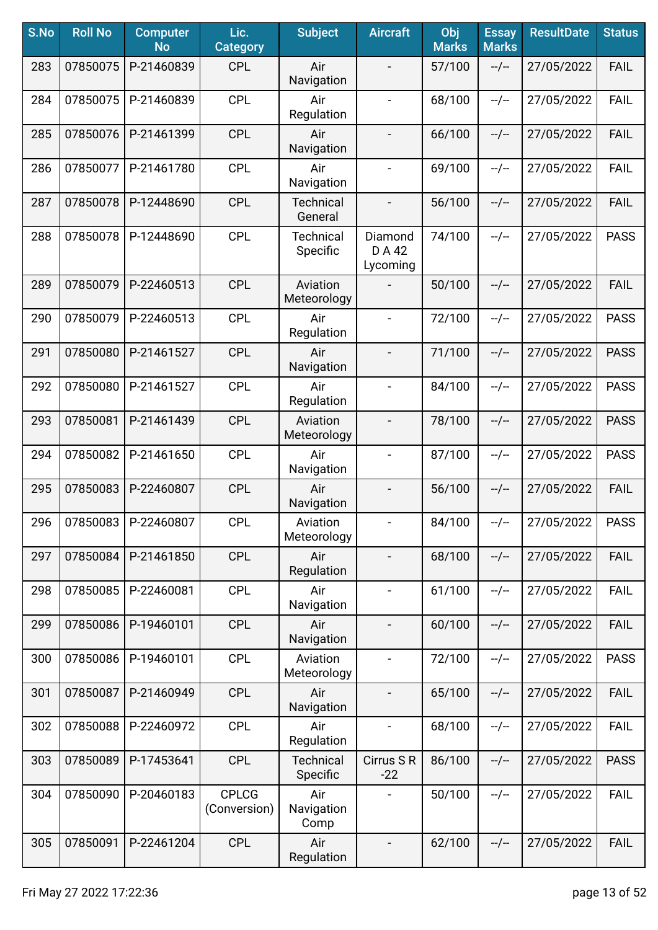| S.No | <b>Roll No</b> | <b>Computer</b><br><b>No</b> | Lic.<br><b>Category</b>      | <b>Subject</b>               | <b>Aircraft</b>               | Obj<br><b>Marks</b> | <b>Essay</b><br><b>Marks</b> | <b>ResultDate</b> | <b>Status</b> |
|------|----------------|------------------------------|------------------------------|------------------------------|-------------------------------|---------------------|------------------------------|-------------------|---------------|
| 283  | 07850075       | P-21460839                   | <b>CPL</b>                   | Air<br>Navigation            | $\blacksquare$                | 57/100              | $-/-$                        | 27/05/2022        | <b>FAIL</b>   |
| 284  | 07850075       | P-21460839                   | <b>CPL</b>                   | Air<br>Regulation            | $\overline{\phantom{a}}$      | 68/100              | $-/-$                        | 27/05/2022        | <b>FAIL</b>   |
| 285  | 07850076       | P-21461399                   | <b>CPL</b>                   | Air<br>Navigation            | $\overline{\phantom{a}}$      | 66/100              | $-/-$                        | 27/05/2022        | <b>FAIL</b>   |
| 286  | 07850077       | P-21461780                   | <b>CPL</b>                   | Air<br>Navigation            | $\overline{\phantom{a}}$      | 69/100              | $-/-$                        | 27/05/2022        | <b>FAIL</b>   |
| 287  | 07850078       | P-12448690                   | <b>CPL</b>                   | <b>Technical</b><br>General  | $\blacksquare$                | 56/100              | $-/-$                        | 27/05/2022        | <b>FAIL</b>   |
| 288  | 07850078       | P-12448690                   | CPL                          | <b>Technical</b><br>Specific | Diamond<br>D A 42<br>Lycoming | 74/100              | $-/-$                        | 27/05/2022        | <b>PASS</b>   |
| 289  | 07850079       | P-22460513                   | <b>CPL</b>                   | Aviation<br>Meteorology      |                               | 50/100              | $-/-$                        | 27/05/2022        | <b>FAIL</b>   |
| 290  | 07850079       | P-22460513                   | <b>CPL</b>                   | Air<br>Regulation            | $\blacksquare$                | 72/100              | $-/-$                        | 27/05/2022        | <b>PASS</b>   |
| 291  | 07850080       | P-21461527                   | <b>CPL</b>                   | Air<br>Navigation            | $\overline{\phantom{a}}$      | 71/100              | $-/-$                        | 27/05/2022        | <b>PASS</b>   |
| 292  | 07850080       | P-21461527                   | <b>CPL</b>                   | Air<br>Regulation            | $\overline{\phantom{a}}$      | 84/100              | $-/-$                        | 27/05/2022        | <b>PASS</b>   |
| 293  | 07850081       | P-21461439                   | <b>CPL</b>                   | Aviation<br>Meteorology      | $\blacksquare$                | 78/100              | $-/-$                        | 27/05/2022        | <b>PASS</b>   |
| 294  | 07850082       | P-21461650                   | <b>CPL</b>                   | Air<br>Navigation            |                               | 87/100              | $-/-$                        | 27/05/2022        | <b>PASS</b>   |
| 295  | 07850083       | P-22460807                   | <b>CPL</b>                   | Air<br>Navigation            |                               | 56/100              | $-/-$                        | 27/05/2022        | <b>FAIL</b>   |
| 296  | 07850083       | P-22460807                   | <b>CPL</b>                   | Aviation<br>Meteorology      | $\overline{\phantom{a}}$      | 84/100              | --/--                        | 27/05/2022        | <b>PASS</b>   |
| 297  | 07850084       | P-21461850                   | <b>CPL</b>                   | Air<br>Regulation            |                               | 68/100              | $-/-$                        | 27/05/2022        | <b>FAIL</b>   |
| 298  | 07850085       | P-22460081                   | <b>CPL</b>                   | Air<br>Navigation            | $\blacksquare$                | 61/100              | $-/-$                        | 27/05/2022        | <b>FAIL</b>   |
| 299  | 07850086       | P-19460101                   | <b>CPL</b>                   | Air<br>Navigation            | $\overline{\phantom{a}}$      | 60/100              | --/--                        | 27/05/2022        | <b>FAIL</b>   |
| 300  | 07850086       | P-19460101                   | <b>CPL</b>                   | Aviation<br>Meteorology      | $\qquad \qquad \blacksquare$  | 72/100              | $-/-$                        | 27/05/2022        | <b>PASS</b>   |
| 301  | 07850087       | P-21460949                   | <b>CPL</b>                   | Air<br>Navigation            |                               | 65/100              | $-/-$                        | 27/05/2022        | <b>FAIL</b>   |
| 302  | 07850088       | P-22460972                   | <b>CPL</b>                   | Air<br>Regulation            |                               | 68/100              | $-/-$                        | 27/05/2022        | <b>FAIL</b>   |
| 303  | 07850089       | P-17453641                   | <b>CPL</b>                   | Technical<br>Specific        | Cirrus S R<br>$-22$           | 86/100              | $-/-$                        | 27/05/2022        | <b>PASS</b>   |
| 304  | 07850090       | P-20460183                   | <b>CPLCG</b><br>(Conversion) | Air<br>Navigation<br>Comp    |                               | 50/100              | $-/-$                        | 27/05/2022        | <b>FAIL</b>   |
| 305  | 07850091       | P-22461204                   | <b>CPL</b>                   | Air<br>Regulation            | $\overline{\phantom{a}}$      | 62/100              | $-/-$                        | 27/05/2022        | <b>FAIL</b>   |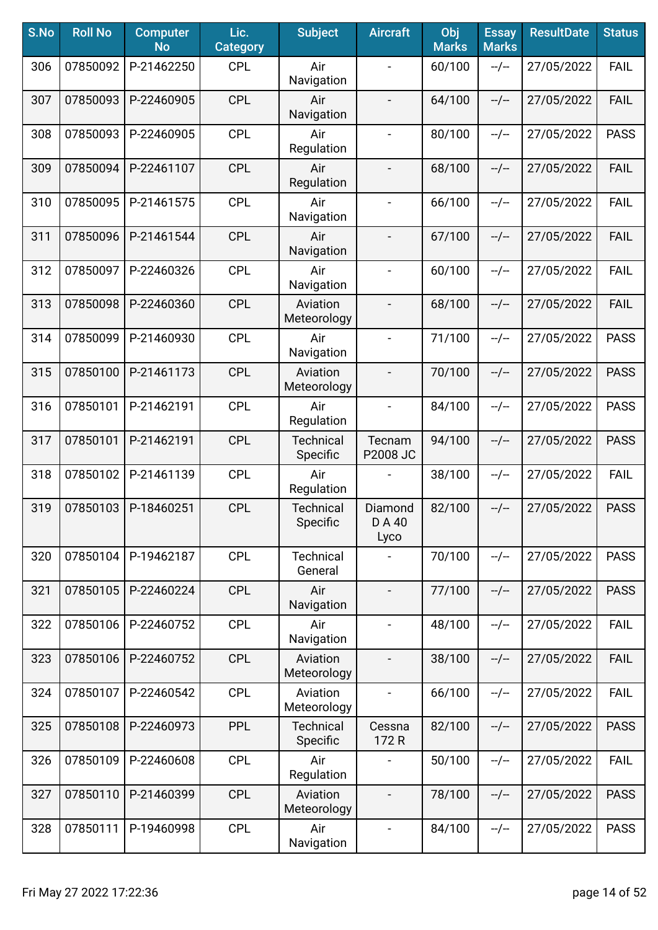| S.No | <b>Roll No</b> | <b>Computer</b><br><b>No</b> | Lic.<br><b>Category</b> | <b>Subject</b>               | <b>Aircraft</b>           | Obj<br><b>Marks</b> | <b>Essay</b><br><b>Marks</b> | <b>ResultDate</b> | <b>Status</b> |
|------|----------------|------------------------------|-------------------------|------------------------------|---------------------------|---------------------|------------------------------|-------------------|---------------|
| 306  | 07850092       | P-21462250                   | <b>CPL</b>              | Air<br>Navigation            |                           | 60/100              | $-/-$                        | 27/05/2022        | FAIL          |
| 307  | 07850093       | P-22460905                   | <b>CPL</b>              | Air<br>Navigation            | $\overline{\phantom{a}}$  | 64/100              | $-/-$                        | 27/05/2022        | <b>FAIL</b>   |
| 308  | 07850093       | P-22460905                   | <b>CPL</b>              | Air<br>Regulation            | $\blacksquare$            | 80/100              | $-/-$                        | 27/05/2022        | <b>PASS</b>   |
| 309  | 07850094       | P-22461107                   | <b>CPL</b>              | Air<br>Regulation            |                           | 68/100              | $-/-$                        | 27/05/2022        | <b>FAIL</b>   |
| 310  | 07850095       | P-21461575                   | <b>CPL</b>              | Air<br>Navigation            | $\blacksquare$            | 66/100              | $-/-$                        | 27/05/2022        | <b>FAIL</b>   |
| 311  | 07850096       | P-21461544                   | <b>CPL</b>              | Air<br>Navigation            | $\overline{\phantom{a}}$  | 67/100              | $-/-$                        | 27/05/2022        | <b>FAIL</b>   |
| 312  | 07850097       | P-22460326                   | <b>CPL</b>              | Air<br>Navigation            |                           | 60/100              | $-/-$                        | 27/05/2022        | <b>FAIL</b>   |
| 313  | 07850098       | P-22460360                   | <b>CPL</b>              | Aviation<br>Meteorology      |                           | 68/100              | $-/-$                        | 27/05/2022        | <b>FAIL</b>   |
| 314  | 07850099       | P-21460930                   | <b>CPL</b>              | Air<br>Navigation            | $\blacksquare$            | 71/100              | $-/-$                        | 27/05/2022        | <b>PASS</b>   |
| 315  | 07850100       | P-21461173                   | <b>CPL</b>              | Aviation<br>Meteorology      | $\blacksquare$            | 70/100              | $-/-$                        | 27/05/2022        | <b>PASS</b>   |
| 316  | 07850101       | P-21462191                   | <b>CPL</b>              | Air<br>Regulation            | $\blacksquare$            | 84/100              | $-/-$                        | 27/05/2022        | <b>PASS</b>   |
| 317  | 07850101       | P-21462191                   | <b>CPL</b>              | <b>Technical</b><br>Specific | Tecnam<br>P2008 JC        | 94/100              | $-/-$                        | 27/05/2022        | <b>PASS</b>   |
| 318  | 07850102       | P-21461139                   | <b>CPL</b>              | Air<br>Regulation            |                           | 38/100              | $-/-$                        | 27/05/2022        | <b>FAIL</b>   |
| 319  | 07850103       | P-18460251                   | <b>CPL</b>              | <b>Technical</b><br>Specific | Diamond<br>D A 40<br>Lyco | 82/100              | $-/-$                        | 27/05/2022        | <b>PASS</b>   |
| 320  | 07850104       | P-19462187                   | <b>CPL</b>              | Technical<br>General         |                           | 70/100              | $-/-$                        | 27/05/2022        | <b>PASS</b>   |
| 321  | 07850105       | P-22460224                   | <b>CPL</b>              | Air<br>Navigation            | $\overline{\phantom{a}}$  | 77/100              | $-/-$                        | 27/05/2022        | <b>PASS</b>   |
| 322  | 07850106       | P-22460752                   | <b>CPL</b>              | Air<br>Navigation            | $\overline{\phantom{a}}$  | 48/100              | $-/-$                        | 27/05/2022        | <b>FAIL</b>   |
| 323  | 07850106       | P-22460752                   | <b>CPL</b>              | Aviation<br>Meteorology      |                           | 38/100              | $-/-$                        | 27/05/2022        | <b>FAIL</b>   |
| 324  | 07850107       | P-22460542                   | <b>CPL</b>              | Aviation<br>Meteorology      |                           | 66/100              | $-/-$                        | 27/05/2022        | <b>FAIL</b>   |
| 325  | 07850108       | P-22460973                   | <b>PPL</b>              | <b>Technical</b><br>Specific | Cessna<br>172 R           | 82/100              | $-/-$                        | 27/05/2022        | <b>PASS</b>   |
| 326  | 07850109       | P-22460608                   | <b>CPL</b>              | Air<br>Regulation            |                           | 50/100              | $-/-$                        | 27/05/2022        | <b>FAIL</b>   |
| 327  | 07850110       | P-21460399                   | <b>CPL</b>              | Aviation<br>Meteorology      | $\overline{\phantom{a}}$  | 78/100              | $-/-$                        | 27/05/2022        | <b>PASS</b>   |
| 328  | 07850111       | P-19460998                   | <b>CPL</b>              | Air<br>Navigation            | $\blacksquare$            | 84/100              | --/--                        | 27/05/2022        | <b>PASS</b>   |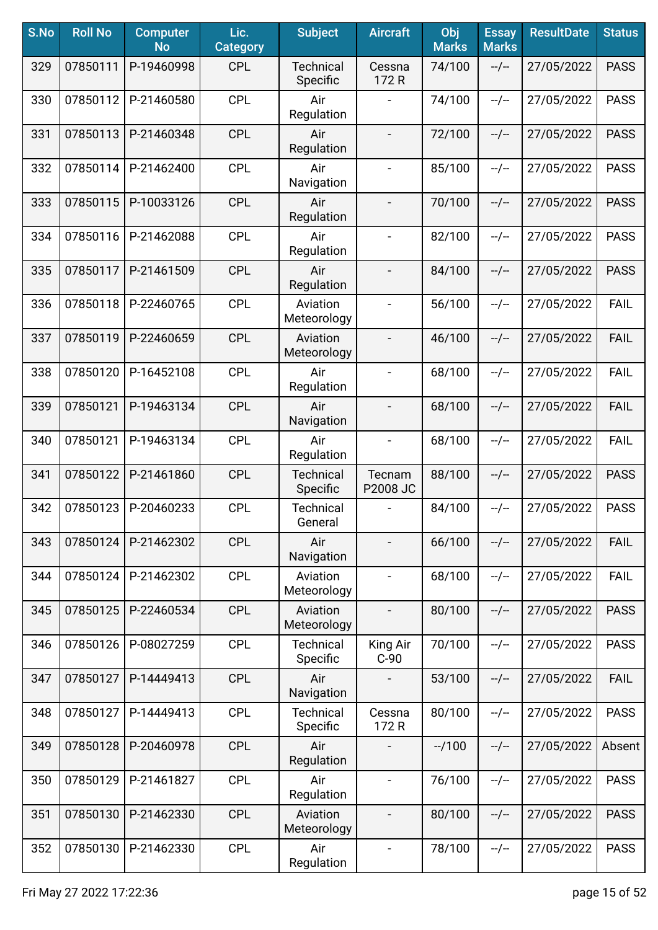| S.No | <b>Roll No</b> | <b>Computer</b><br><b>No</b> | Lic.<br><b>Category</b> | <b>Subject</b>               | <b>Aircraft</b>          | Obj<br><b>Marks</b> | <b>Essay</b><br><b>Marks</b> | <b>ResultDate</b> | <b>Status</b> |
|------|----------------|------------------------------|-------------------------|------------------------------|--------------------------|---------------------|------------------------------|-------------------|---------------|
| 329  | 07850111       | P-19460998                   | <b>CPL</b>              | <b>Technical</b><br>Specific | Cessna<br>172 R          | 74/100              | $-/-$                        | 27/05/2022        | <b>PASS</b>   |
| 330  | 07850112       | P-21460580                   | <b>CPL</b>              | Air<br>Regulation            |                          | 74/100              | $-/-$                        | 27/05/2022        | <b>PASS</b>   |
| 331  | 07850113       | P-21460348                   | <b>CPL</b>              | Air<br>Regulation            | $\overline{\phantom{a}}$ | 72/100              | $-/-$                        | 27/05/2022        | <b>PASS</b>   |
| 332  | 07850114       | P-21462400                   | <b>CPL</b>              | Air<br>Navigation            | $\blacksquare$           | 85/100              | $-/-$                        | 27/05/2022        | <b>PASS</b>   |
| 333  | 07850115       | P-10033126                   | <b>CPL</b>              | Air<br>Regulation            |                          | 70/100              | $-/-$                        | 27/05/2022        | <b>PASS</b>   |
| 334  | 07850116       | P-21462088                   | <b>CPL</b>              | Air<br>Regulation            |                          | 82/100              | $-/-$                        | 27/05/2022        | <b>PASS</b>   |
| 335  | 07850117       | P-21461509                   | <b>CPL</b>              | Air<br>Regulation            |                          | 84/100              | $-/-$                        | 27/05/2022        | <b>PASS</b>   |
| 336  | 07850118       | P-22460765                   | <b>CPL</b>              | Aviation<br>Meteorology      | $\overline{\phantom{a}}$ | 56/100              | $-/-$                        | 27/05/2022        | <b>FAIL</b>   |
| 337  | 07850119       | P-22460659                   | <b>CPL</b>              | Aviation<br>Meteorology      | $\overline{\phantom{a}}$ | 46/100              | $-/-$                        | 27/05/2022        | <b>FAIL</b>   |
| 338  | 07850120       | P-16452108                   | <b>CPL</b>              | Air<br>Regulation            | $\blacksquare$           | 68/100              | $-/-$                        | 27/05/2022        | <b>FAIL</b>   |
| 339  | 07850121       | P-19463134                   | <b>CPL</b>              | Air<br>Navigation            |                          | 68/100              | $-/-$                        | 27/05/2022        | FAIL          |
| 340  | 07850121       | P-19463134                   | <b>CPL</b>              | Air<br>Regulation            |                          | 68/100              | $-/-$                        | 27/05/2022        | <b>FAIL</b>   |
| 341  | 07850122       | P-21461860                   | <b>CPL</b>              | <b>Technical</b><br>Specific | Tecnam<br>P2008 JC       | 88/100              | $-/-$                        | 27/05/2022        | <b>PASS</b>   |
| 342  | 07850123       | P-20460233                   | <b>CPL</b>              | <b>Technical</b><br>General  |                          | 84/100              | $-/-$                        | 27/05/2022        | <b>PASS</b>   |
| 343  | 07850124       | P-21462302                   | <b>CPL</b>              | Air<br>Navigation            |                          | 66/100              | $-/-$                        | 27/05/2022        | <b>FAIL</b>   |
| 344  | 07850124       | P-21462302                   | <b>CPL</b>              | Aviation<br>Meteorology      | $\blacksquare$           | 68/100              | $-/-$                        | 27/05/2022        | <b>FAIL</b>   |
| 345  | 07850125       | P-22460534                   | <b>CPL</b>              | Aviation<br>Meteorology      | $\overline{\phantom{a}}$ | 80/100              | $-/-$                        | 27/05/2022        | <b>PASS</b>   |
| 346  | 07850126       | P-08027259                   | <b>CPL</b>              | <b>Technical</b><br>Specific | King Air<br>$C-90$       | 70/100              | $-/-$                        | 27/05/2022        | <b>PASS</b>   |
| 347  | 07850127       | P-14449413                   | <b>CPL</b>              | Air<br>Navigation            |                          | 53/100              | $-/-$                        | 27/05/2022        | <b>FAIL</b>   |
| 348  | 07850127       | P-14449413                   | <b>CPL</b>              | <b>Technical</b><br>Specific | Cessna<br>172 R          | 80/100              | $-/-$                        | 27/05/2022        | <b>PASS</b>   |
| 349  | 07850128       | P-20460978                   | <b>CPL</b>              | Air<br>Regulation            |                          | $-1100$             | $-/-$                        | 27/05/2022        | Absent        |
| 350  | 07850129       | P-21461827                   | <b>CPL</b>              | Air<br>Regulation            | $\blacksquare$           | 76/100              | $-/-$                        | 27/05/2022        | <b>PASS</b>   |
| 351  | 07850130       | P-21462330                   | <b>CPL</b>              | Aviation<br>Meteorology      |                          | 80/100              | $-/-$                        | 27/05/2022        | <b>PASS</b>   |
| 352  | 07850130       | P-21462330                   | <b>CPL</b>              | Air<br>Regulation            | $\blacksquare$           | 78/100              | $-/-$                        | 27/05/2022        | <b>PASS</b>   |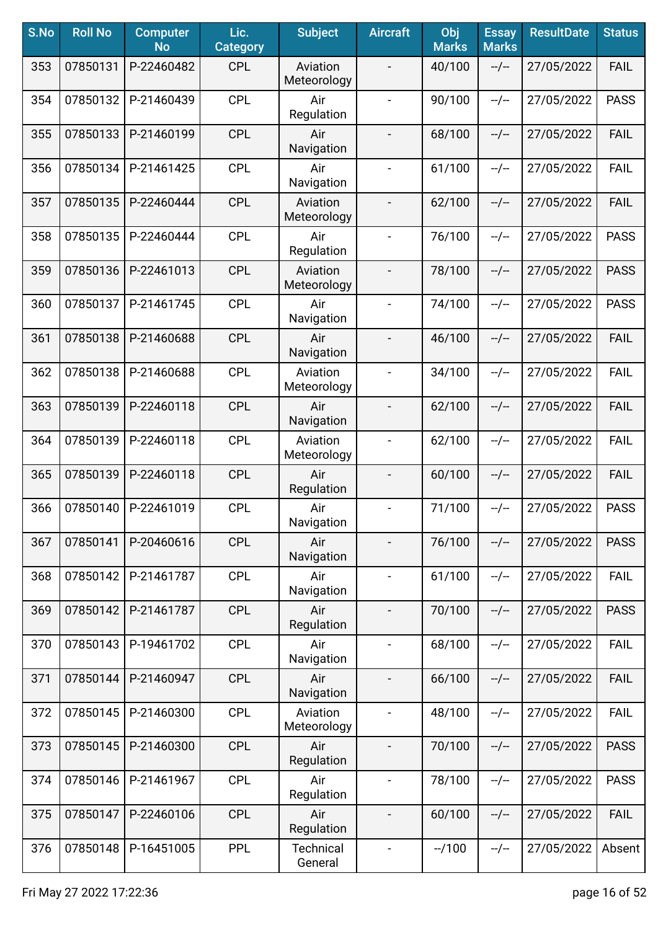| S.No | <b>Roll No</b> | <b>Computer</b><br><b>No</b> | Lic.<br><b>Category</b> | <b>Subject</b>              | <b>Aircraft</b>              | Obj<br><b>Marks</b> | <b>Essay</b><br><b>Marks</b> | <b>ResultDate</b> | <b>Status</b> |
|------|----------------|------------------------------|-------------------------|-----------------------------|------------------------------|---------------------|------------------------------|-------------------|---------------|
| 353  | 07850131       | P-22460482                   | <b>CPL</b>              | Aviation<br>Meteorology     |                              | 40/100              | $-/-$                        | 27/05/2022        | <b>FAIL</b>   |
| 354  | 07850132       | P-21460439                   | <b>CPL</b>              | Air<br>Regulation           | $\blacksquare$               | 90/100              | $-/-$                        | 27/05/2022        | <b>PASS</b>   |
| 355  | 07850133       | P-21460199                   | <b>CPL</b>              | Air<br>Navigation           | $\overline{\phantom{a}}$     | 68/100              | $-/-$                        | 27/05/2022        | <b>FAIL</b>   |
| 356  | 07850134       | P-21461425                   | <b>CPL</b>              | Air<br>Navigation           | $\blacksquare$               | 61/100              | $-/-$                        | 27/05/2022        | <b>FAIL</b>   |
| 357  | 07850135       | P-22460444                   | <b>CPL</b>              | Aviation<br>Meteorology     |                              | 62/100              | $-/-$                        | 27/05/2022        | <b>FAIL</b>   |
| 358  | 07850135       | P-22460444                   | <b>CPL</b>              | Air<br>Regulation           |                              | 76/100              | $-/-$                        | 27/05/2022        | <b>PASS</b>   |
| 359  | 07850136       | P-22461013                   | <b>CPL</b>              | Aviation<br>Meteorology     |                              | 78/100              | $-/-$                        | 27/05/2022        | <b>PASS</b>   |
| 360  | 07850137       | P-21461745                   | <b>CPL</b>              | Air<br>Navigation           | $\blacksquare$               | 74/100              | $-/-$                        | 27/05/2022        | <b>PASS</b>   |
| 361  | 07850138       | P-21460688                   | <b>CPL</b>              | Air<br>Navigation           | $\overline{\phantom{a}}$     | 46/100              | $-/-$                        | 27/05/2022        | <b>FAIL</b>   |
| 362  | 07850138       | P-21460688                   | <b>CPL</b>              | Aviation<br>Meteorology     | $\blacksquare$               | 34/100              | $-/-$                        | 27/05/2022        | <b>FAIL</b>   |
| 363  | 07850139       | P-22460118                   | <b>CPL</b>              | Air<br>Navigation           |                              | 62/100              | $-/-$                        | 27/05/2022        | <b>FAIL</b>   |
| 364  | 07850139       | P-22460118                   | <b>CPL</b>              | Aviation<br>Meteorology     |                              | 62/100              | $-/-$                        | 27/05/2022        | <b>FAIL</b>   |
| 365  | 07850139       | P-22460118                   | <b>CPL</b>              | Air<br>Regulation           |                              | 60/100              | $-/-$                        | 27/05/2022        | <b>FAIL</b>   |
| 366  | 07850140       | P-22461019                   | <b>CPL</b>              | Air<br>Navigation           | $\qquad \qquad \blacksquare$ | 71/100              | $-/-$                        | 27/05/2022        | <b>PASS</b>   |
| 367  | 07850141       | P-20460616                   | <b>CPL</b>              | Air<br>Navigation           |                              | 76/100              | $-/-$                        | 27/05/2022        | <b>PASS</b>   |
| 368  | 07850142       | P-21461787                   | <b>CPL</b>              | Air<br>Navigation           | $\blacksquare$               | 61/100              | --/--                        | 27/05/2022        | <b>FAIL</b>   |
| 369  | 07850142       | P-21461787                   | <b>CPL</b>              | Air<br>Regulation           | $\overline{\phantom{a}}$     | 70/100              | $-/-$                        | 27/05/2022        | <b>PASS</b>   |
| 370  | 07850143       | P-19461702                   | <b>CPL</b>              | Air<br>Navigation           | $\blacksquare$               | 68/100              | $-/-$                        | 27/05/2022        | <b>FAIL</b>   |
| 371  | 07850144       | P-21460947                   | <b>CPL</b>              | Air<br>Navigation           | $\overline{\phantom{a}}$     | 66/100              | $-/-$                        | 27/05/2022        | <b>FAIL</b>   |
| 372  | 07850145       | P-21460300                   | <b>CPL</b>              | Aviation<br>Meteorology     |                              | 48/100              | $-/-$                        | 27/05/2022        | <b>FAIL</b>   |
| 373  | 07850145       | P-21460300                   | <b>CPL</b>              | Air<br>Regulation           | $\overline{\phantom{a}}$     | 70/100              | $-/-$                        | 27/05/2022        | <b>PASS</b>   |
| 374  | 07850146       | P-21461967                   | <b>CPL</b>              | Air<br>Regulation           | $\blacksquare$               | 78/100              | $-/-$                        | 27/05/2022        | <b>PASS</b>   |
| 375  | 07850147       | P-22460106                   | <b>CPL</b>              | Air<br>Regulation           | $\overline{\phantom{a}}$     | 60/100              | $-/-$                        | 27/05/2022        | <b>FAIL</b>   |
| 376  | 07850148       | P-16451005                   | <b>PPL</b>              | <b>Technical</b><br>General | $\blacksquare$               | $-1100$             | --/--                        | 27/05/2022        | Absent        |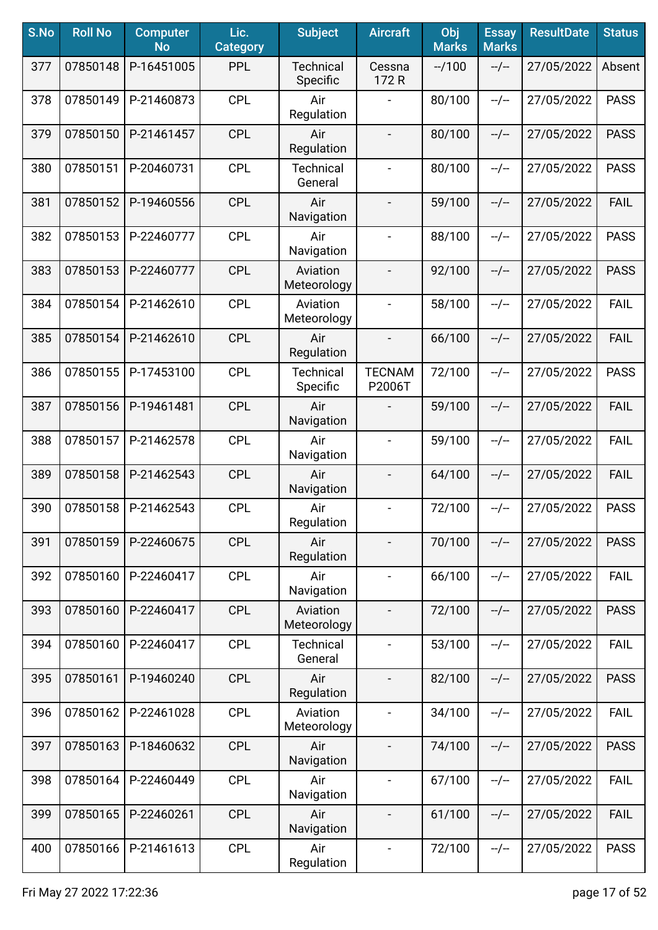| S.No | <b>Roll No</b> | <b>Computer</b><br><b>No</b> | Lic.<br><b>Category</b> | <b>Subject</b>               | <b>Aircraft</b>          | Obj<br><b>Marks</b> | <b>Essay</b><br><b>Marks</b> | <b>ResultDate</b> | <b>Status</b> |
|------|----------------|------------------------------|-------------------------|------------------------------|--------------------------|---------------------|------------------------------|-------------------|---------------|
| 377  | 07850148       | P-16451005                   | <b>PPL</b>              | <b>Technical</b><br>Specific | Cessna<br>172 R          | $-1100$             | $-/-$                        | 27/05/2022        | Absent        |
| 378  | 07850149       | P-21460873                   | <b>CPL</b>              | Air<br>Regulation            |                          | 80/100              | $-/-$                        | 27/05/2022        | <b>PASS</b>   |
| 379  | 07850150       | P-21461457                   | <b>CPL</b>              | Air<br>Regulation            | $\blacksquare$           | 80/100              | $-/-$                        | 27/05/2022        | <b>PASS</b>   |
| 380  | 07850151       | P-20460731                   | <b>CPL</b>              | <b>Technical</b><br>General  | $\blacksquare$           | 80/100              | $-/-$                        | 27/05/2022        | <b>PASS</b>   |
| 381  | 07850152       | P-19460556                   | <b>CPL</b>              | Air<br>Navigation            |                          | 59/100              | $-/-$                        | 27/05/2022        | <b>FAIL</b>   |
| 382  | 07850153       | P-22460777                   | <b>CPL</b>              | Air<br>Navigation            |                          | 88/100              | $-/-$                        | 27/05/2022        | <b>PASS</b>   |
| 383  | 07850153       | P-22460777                   | <b>CPL</b>              | Aviation<br>Meteorology      |                          | 92/100              | $-/-$                        | 27/05/2022        | <b>PASS</b>   |
| 384  | 07850154       | P-21462610                   | <b>CPL</b>              | Aviation<br>Meteorology      | $\overline{\phantom{a}}$ | 58/100              | $-/-$                        | 27/05/2022        | <b>FAIL</b>   |
| 385  | 07850154       | P-21462610                   | <b>CPL</b>              | Air<br>Regulation            | $\overline{\phantom{a}}$ | 66/100              | $-/-$                        | 27/05/2022        | <b>FAIL</b>   |
| 386  | 07850155       | P-17453100                   | <b>CPL</b>              | Technical<br>Specific        | <b>TECNAM</b><br>P2006T  | 72/100              | $-/-$                        | 27/05/2022        | <b>PASS</b>   |
| 387  | 07850156       | P-19461481                   | <b>CPL</b>              | Air<br>Navigation            |                          | 59/100              | $-/-$                        | 27/05/2022        | <b>FAIL</b>   |
| 388  | 07850157       | P-21462578                   | <b>CPL</b>              | Air<br>Navigation            |                          | 59/100              | $-/-$                        | 27/05/2022        | <b>FAIL</b>   |
| 389  | 07850158       | P-21462543                   | <b>CPL</b>              | Air<br>Navigation            |                          | 64/100              | $-/-$                        | 27/05/2022        | <b>FAIL</b>   |
| 390  | 07850158       | P-21462543                   | <b>CPL</b>              | Air<br>Regulation            | $\blacksquare$           | 72/100              | $-/-$                        | 27/05/2022        | <b>PASS</b>   |
| 391  | 07850159       | P-22460675                   | <b>CPL</b>              | Air<br>Regulation            |                          | 70/100              | $-/-$                        | 27/05/2022        | <b>PASS</b>   |
| 392  | 07850160       | P-22460417                   | <b>CPL</b>              | Air<br>Navigation            | $\blacksquare$           | 66/100              | $-/-$                        | 27/05/2022        | <b>FAIL</b>   |
| 393  | 07850160       | P-22460417                   | <b>CPL</b>              | Aviation<br>Meteorology      | $\overline{\phantom{a}}$ | 72/100              | $-/-$                        | 27/05/2022        | <b>PASS</b>   |
| 394  | 07850160       | P-22460417                   | <b>CPL</b>              | <b>Technical</b><br>General  | $\blacksquare$           | 53/100              | $-/-$                        | 27/05/2022        | <b>FAIL</b>   |
| 395  | 07850161       | P-19460240                   | <b>CPL</b>              | Air<br>Regulation            | $\overline{\phantom{a}}$ | 82/100              | $-/-$                        | 27/05/2022        | <b>PASS</b>   |
| 396  | 07850162       | P-22461028                   | <b>CPL</b>              | Aviation<br>Meteorology      |                          | 34/100              | $-/-$                        | 27/05/2022        | <b>FAIL</b>   |
| 397  | 07850163       | P-18460632                   | <b>CPL</b>              | Air<br>Navigation            |                          | 74/100              | $-/-$                        | 27/05/2022        | <b>PASS</b>   |
| 398  | 07850164       | P-22460449                   | <b>CPL</b>              | Air<br>Navigation            | $\blacksquare$           | 67/100              | $-/-$                        | 27/05/2022        | <b>FAIL</b>   |
| 399  | 07850165       | P-22460261                   | <b>CPL</b>              | Air<br>Navigation            | $\overline{\phantom{a}}$ | 61/100              | --/--                        | 27/05/2022        | <b>FAIL</b>   |
| 400  | 07850166       | P-21461613                   | <b>CPL</b>              | Air<br>Regulation            | $\blacksquare$           | 72/100              | $-/-$                        | 27/05/2022        | <b>PASS</b>   |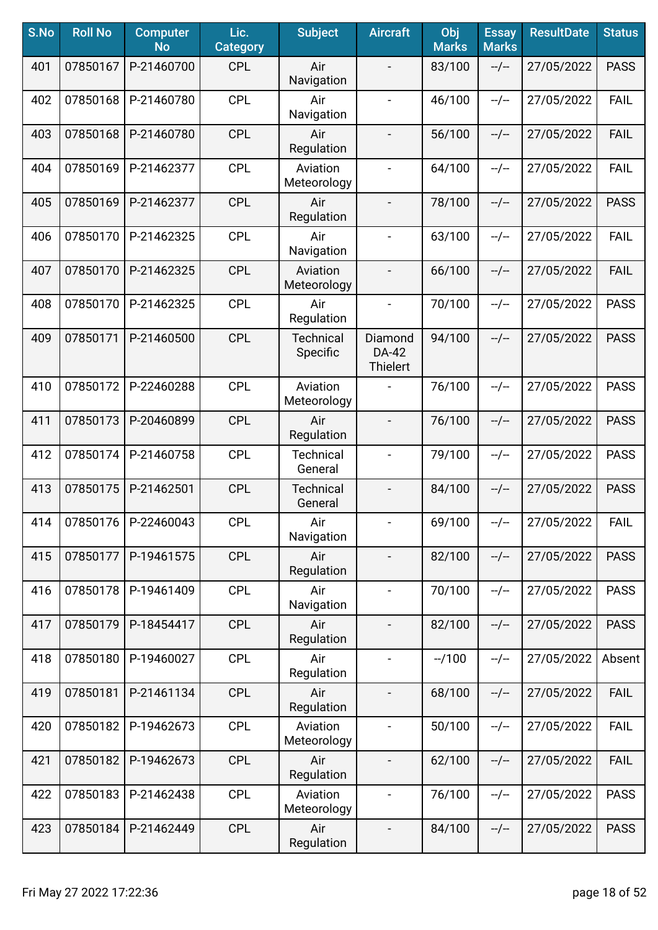| S.No | <b>Roll No</b> | <b>Computer</b><br><b>No</b> | Lic.<br><b>Category</b> | <b>Subject</b>               | <b>Aircraft</b>                     | Obj<br><b>Marks</b> | <b>Essay</b><br><b>Marks</b> | <b>ResultDate</b> | <b>Status</b> |
|------|----------------|------------------------------|-------------------------|------------------------------|-------------------------------------|---------------------|------------------------------|-------------------|---------------|
| 401  | 07850167       | P-21460700                   | <b>CPL</b>              | Air<br>Navigation            |                                     | 83/100              | $-/-$                        | 27/05/2022        | <b>PASS</b>   |
| 402  | 07850168       | P-21460780                   | <b>CPL</b>              | Air<br>Navigation            | $\overline{\phantom{a}}$            | 46/100              | $-/-$                        | 27/05/2022        | <b>FAIL</b>   |
| 403  | 07850168       | P-21460780                   | <b>CPL</b>              | Air<br>Regulation            | $\overline{\phantom{a}}$            | 56/100              | $-/-$                        | 27/05/2022        | <b>FAIL</b>   |
| 404  | 07850169       | P-21462377                   | <b>CPL</b>              | Aviation<br>Meteorology      | $\blacksquare$                      | 64/100              | $-/-$                        | 27/05/2022        | <b>FAIL</b>   |
| 405  | 07850169       | P-21462377                   | <b>CPL</b>              | Air<br>Regulation            | $\overline{\phantom{a}}$            | 78/100              | $-/-$                        | 27/05/2022        | <b>PASS</b>   |
| 406  | 07850170       | P-21462325                   | <b>CPL</b>              | Air<br>Navigation            | $\blacksquare$                      | 63/100              | $-/-$                        | 27/05/2022        | <b>FAIL</b>   |
| 407  | 07850170       | P-21462325                   | <b>CPL</b>              | Aviation<br>Meteorology      |                                     | 66/100              | $-/-$                        | 27/05/2022        | <b>FAIL</b>   |
| 408  | 07850170       | P-21462325                   | <b>CPL</b>              | Air<br>Regulation            | $\blacksquare$                      | 70/100              | $-/-$                        | 27/05/2022        | <b>PASS</b>   |
| 409  | 07850171       | P-21460500                   | <b>CPL</b>              | <b>Technical</b><br>Specific | Diamond<br>DA-42<br><b>Thielert</b> | 94/100              | $-/-$                        | 27/05/2022        | <b>PASS</b>   |
| 410  | 07850172       | P-22460288                   | <b>CPL</b>              | Aviation<br>Meteorology      |                                     | 76/100              | $-/-$                        | 27/05/2022        | <b>PASS</b>   |
| 411  | 07850173       | P-20460899                   | <b>CPL</b>              | Air<br>Regulation            |                                     | 76/100              | $-/-$                        | 27/05/2022        | <b>PASS</b>   |
| 412  | 07850174       | P-21460758                   | <b>CPL</b>              | <b>Technical</b><br>General  |                                     | 79/100              | $-/-$                        | 27/05/2022        | <b>PASS</b>   |
| 413  | 07850175       | P-21462501                   | <b>CPL</b>              | <b>Technical</b><br>General  |                                     | 84/100              | $-/-$                        | 27/05/2022        | <b>PASS</b>   |
| 414  | 07850176       | P-22460043                   | <b>CPL</b>              | Air<br>Navigation            | $\overline{\phantom{a}}$            | 69/100              | --/--                        | 27/05/2022        | <b>FAIL</b>   |
| 415  | 07850177       | P-19461575                   | <b>CPL</b>              | Air<br>Regulation            |                                     | 82/100              | $-/-$                        | 27/05/2022        | <b>PASS</b>   |
| 416  | 07850178       | P-19461409                   | <b>CPL</b>              | Air<br>Navigation            | $\overline{\phantom{a}}$            | 70/100              | $-/-$                        | 27/05/2022        | <b>PASS</b>   |
| 417  | 07850179       | P-18454417                   | <b>CPL</b>              | Air<br>Regulation            |                                     | 82/100              | $-/-$                        | 27/05/2022        | <b>PASS</b>   |
| 418  | 07850180       | P-19460027                   | <b>CPL</b>              | Air<br>Regulation            | $\blacksquare$                      | $-1100$             | $-/-$                        | 27/05/2022        | Absent        |
| 419  | 07850181       | P-21461134                   | <b>CPL</b>              | Air<br>Regulation            |                                     | 68/100              | $-/-$                        | 27/05/2022        | <b>FAIL</b>   |
| 420  | 07850182       | P-19462673                   | <b>CPL</b>              | Aviation<br>Meteorology      |                                     | 50/100              | $-/-$                        | 27/05/2022        | <b>FAIL</b>   |
| 421  | 07850182       | P-19462673                   | <b>CPL</b>              | Air<br>Regulation            |                                     | 62/100              | $-/-$                        | 27/05/2022        | <b>FAIL</b>   |
| 422  | 07850183       | P-21462438                   | <b>CPL</b>              | Aviation<br>Meteorology      | $\overline{\phantom{a}}$            | 76/100              | $-/-$                        | 27/05/2022        | <b>PASS</b>   |
| 423  | 07850184       | P-21462449                   | <b>CPL</b>              | Air<br>Regulation            | $\blacksquare$                      | 84/100              | --/--                        | 27/05/2022        | <b>PASS</b>   |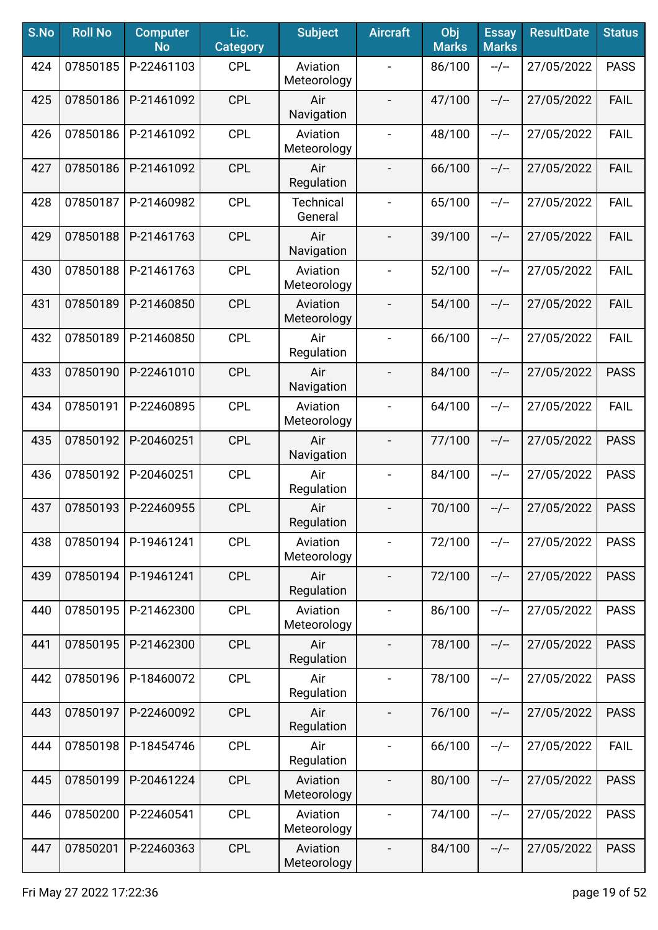| S.No | <b>Roll No</b> | <b>Computer</b><br><b>No</b> | Lic.<br><b>Category</b> | <b>Subject</b>              | <b>Aircraft</b>          | Obj<br><b>Marks</b> | <b>Essay</b><br><b>Marks</b> | <b>ResultDate</b> | <b>Status</b> |
|------|----------------|------------------------------|-------------------------|-----------------------------|--------------------------|---------------------|------------------------------|-------------------|---------------|
| 424  | 07850185       | P-22461103                   | <b>CPL</b>              | Aviation<br>Meteorology     |                          | 86/100              | $-/-$                        | 27/05/2022        | <b>PASS</b>   |
| 425  | 07850186       | P-21461092                   | <b>CPL</b>              | Air<br>Navigation           |                          | 47/100              | $-/-$                        | 27/05/2022        | <b>FAIL</b>   |
| 426  | 07850186       | P-21461092                   | <b>CPL</b>              | Aviation<br>Meteorology     | $\blacksquare$           | 48/100              | $-/-$                        | 27/05/2022        | <b>FAIL</b>   |
| 427  | 07850186       | P-21461092                   | <b>CPL</b>              | Air<br>Regulation           |                          | 66/100              | $-/-$                        | 27/05/2022        | <b>FAIL</b>   |
| 428  | 07850187       | P-21460982                   | <b>CPL</b>              | <b>Technical</b><br>General |                          | 65/100              | $-/-$                        | 27/05/2022        | <b>FAIL</b>   |
| 429  | 07850188       | P-21461763                   | <b>CPL</b>              | Air<br>Navigation           |                          | 39/100              | $-/-$                        | 27/05/2022        | <b>FAIL</b>   |
| 430  | 07850188       | P-21461763                   | <b>CPL</b>              | Aviation<br>Meteorology     |                          | 52/100              | $-/-$                        | 27/05/2022        | <b>FAIL</b>   |
| 431  | 07850189       | P-21460850                   | <b>CPL</b>              | Aviation<br>Meteorology     | $\overline{\phantom{a}}$ | 54/100              | $-/-$                        | 27/05/2022        | <b>FAIL</b>   |
| 432  | 07850189       | P-21460850                   | <b>CPL</b>              | Air<br>Regulation           | $\overline{\phantom{a}}$ | 66/100              | $-/-$                        | 27/05/2022        | FAIL          |
| 433  | 07850190       | P-22461010                   | <b>CPL</b>              | Air<br>Navigation           | $\overline{\phantom{a}}$ | 84/100              | $-/-$                        | 27/05/2022        | <b>PASS</b>   |
| 434  | 07850191       | P-22460895                   | <b>CPL</b>              | Aviation<br>Meteorology     | $\overline{\phantom{a}}$ | 64/100              | $-/-$                        | 27/05/2022        | <b>FAIL</b>   |
| 435  | 07850192       | P-20460251                   | <b>CPL</b>              | Air<br>Navigation           | $\blacksquare$           | 77/100              | $-/-$                        | 27/05/2022        | <b>PASS</b>   |
| 436  | 07850192       | P-20460251                   | <b>CPL</b>              | Air<br>Regulation           | $\blacksquare$           | 84/100              | $-/-$                        | 27/05/2022        | <b>PASS</b>   |
| 437  | 07850193       | P-22460955                   | <b>CPL</b>              | Air<br>Regulation           |                          | 70/100              | $-/-$                        | 27/05/2022        | <b>PASS</b>   |
| 438  | 07850194       | P-19461241                   | <b>CPL</b>              | Aviation<br>Meteorology     |                          | 72/100              | $-/-$                        | 27/05/2022        | <b>PASS</b>   |
| 439  | 07850194       | P-19461241                   | <b>CPL</b>              | Air<br>Regulation           | $\overline{\phantom{a}}$ | 72/100              | $-/-$                        | 27/05/2022        | <b>PASS</b>   |
| 440  | 07850195       | P-21462300                   | <b>CPL</b>              | Aviation<br>Meteorology     | $\blacksquare$           | 86/100              | $-/-$                        | 27/05/2022        | <b>PASS</b>   |
| 441  | 07850195       | P-21462300                   | <b>CPL</b>              | Air<br>Regulation           | $\overline{\phantom{a}}$ | 78/100              | $-/-$                        | 27/05/2022        | <b>PASS</b>   |
| 442  | 07850196       | P-18460072                   | <b>CPL</b>              | Air<br>Regulation           | $\overline{\phantom{a}}$ | 78/100              | $-/-$                        | 27/05/2022        | <b>PASS</b>   |
| 443  | 07850197       | P-22460092                   | <b>CPL</b>              | Air<br>Regulation           | $\blacksquare$           | 76/100              | $-/-$                        | 27/05/2022        | <b>PASS</b>   |
| 444  | 07850198       | P-18454746                   | <b>CPL</b>              | Air<br>Regulation           |                          | 66/100              | $-/-$                        | 27/05/2022        | <b>FAIL</b>   |
| 445  | 07850199       | P-20461224                   | <b>CPL</b>              | Aviation<br>Meteorology     |                          | 80/100              | $-/-$                        | 27/05/2022        | <b>PASS</b>   |
| 446  | 07850200       | P-22460541                   | <b>CPL</b>              | Aviation<br>Meteorology     | $\blacksquare$           | 74/100              | --/--                        | 27/05/2022        | <b>PASS</b>   |
| 447  | 07850201       | P-22460363                   | <b>CPL</b>              | Aviation<br>Meteorology     | $\overline{\phantom{a}}$ | 84/100              | --/--                        | 27/05/2022        | <b>PASS</b>   |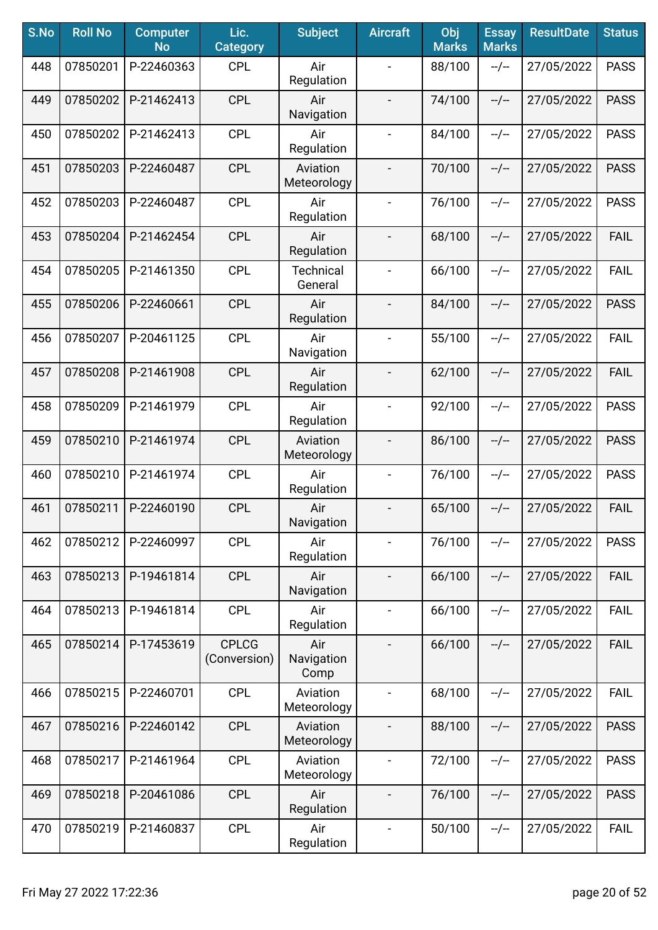| S.No | <b>Roll No</b> | <b>Computer</b><br><b>No</b> | Lic.<br><b>Category</b>      | <b>Subject</b>              | <b>Aircraft</b>          | Obj<br><b>Marks</b> | <b>Essay</b><br><b>Marks</b> | <b>ResultDate</b> | <b>Status</b> |
|------|----------------|------------------------------|------------------------------|-----------------------------|--------------------------|---------------------|------------------------------|-------------------|---------------|
| 448  | 07850201       | P-22460363                   | <b>CPL</b>                   | Air<br>Regulation           |                          | 88/100              | $-/-$                        | 27/05/2022        | <b>PASS</b>   |
| 449  | 07850202       | P-21462413                   | <b>CPL</b>                   | Air<br>Navigation           | $\overline{\phantom{a}}$ | 74/100              | $-/-$                        | 27/05/2022        | <b>PASS</b>   |
| 450  | 07850202       | P-21462413                   | <b>CPL</b>                   | Air<br>Regulation           | $\blacksquare$           | 84/100              | $-/-$                        | 27/05/2022        | <b>PASS</b>   |
| 451  | 07850203       | P-22460487                   | <b>CPL</b>                   | Aviation<br>Meteorology     |                          | 70/100              | $-/-$                        | 27/05/2022        | <b>PASS</b>   |
| 452  | 07850203       | P-22460487                   | <b>CPL</b>                   | Air<br>Regulation           | $\overline{\phantom{a}}$ | 76/100              | $-/-$                        | 27/05/2022        | <b>PASS</b>   |
| 453  | 07850204       | P-21462454                   | <b>CPL</b>                   | Air<br>Regulation           | $\overline{\phantom{a}}$ | 68/100              | $-/-$                        | 27/05/2022        | <b>FAIL</b>   |
| 454  | 07850205       | P-21461350                   | <b>CPL</b>                   | <b>Technical</b><br>General |                          | 66/100              | $-/-$                        | 27/05/2022        | <b>FAIL</b>   |
| 455  | 07850206       | P-22460661                   | <b>CPL</b>                   | Air<br>Regulation           |                          | 84/100              | $-/-$                        | 27/05/2022        | <b>PASS</b>   |
| 456  | 07850207       | P-20461125                   | <b>CPL</b>                   | Air<br>Navigation           | $\blacksquare$           | 55/100              | $-/-$                        | 27/05/2022        | <b>FAIL</b>   |
| 457  | 07850208       | P-21461908                   | <b>CPL</b>                   | Air<br>Regulation           | $\overline{\phantom{a}}$ | 62/100              | $-/-$                        | 27/05/2022        | <b>FAIL</b>   |
| 458  | 07850209       | P-21461979                   | <b>CPL</b>                   | Air<br>Regulation           | $\overline{\phantom{a}}$ | 92/100              | $-/-$                        | 27/05/2022        | <b>PASS</b>   |
| 459  | 07850210       | P-21461974                   | <b>CPL</b>                   | Aviation<br>Meteorology     |                          | 86/100              | $-/-$                        | 27/05/2022        | <b>PASS</b>   |
| 460  | 07850210       | P-21461974                   | <b>CPL</b>                   | Air<br>Regulation           | $\blacksquare$           | 76/100              | $-/-$                        | 27/05/2022        | <b>PASS</b>   |
| 461  | 07850211       | P-22460190                   | <b>CPL</b>                   | Air<br>Navigation           | $\overline{\phantom{a}}$ | 65/100              | $-/-$                        | 27/05/2022        | <b>FAIL</b>   |
| 462  | 07850212       | P-22460997                   | <b>CPL</b>                   | Air<br>Regulation           |                          | 76/100              | $-/-$                        | 27/05/2022        | <b>PASS</b>   |
| 463  | 07850213       | P-19461814                   | <b>CPL</b>                   | Air<br>Navigation           | $\overline{\phantom{a}}$ | 66/100              | $-/-$                        | 27/05/2022        | <b>FAIL</b>   |
| 464  | 07850213       | P-19461814                   | <b>CPL</b>                   | Air<br>Regulation           | $\blacksquare$           | 66/100              | $-/-$                        | 27/05/2022        | <b>FAIL</b>   |
| 465  | 07850214       | P-17453619                   | <b>CPLCG</b><br>(Conversion) | Air<br>Navigation<br>Comp   | $\overline{\phantom{a}}$ | 66/100              | $-/-$                        | 27/05/2022        | <b>FAIL</b>   |
| 466  | 07850215       | P-22460701                   | <b>CPL</b>                   | Aviation<br>Meteorology     |                          | 68/100              | $-/-$                        | 27/05/2022        | <b>FAIL</b>   |
| 467  | 07850216       | P-22460142                   | <b>CPL</b>                   | Aviation<br>Meteorology     |                          | 88/100              | $-/-$                        | 27/05/2022        | <b>PASS</b>   |
| 468  | 07850217       | P-21461964                   | <b>CPL</b>                   | Aviation<br>Meteorology     |                          | 72/100              | $-/-$                        | 27/05/2022        | <b>PASS</b>   |
| 469  | 07850218       | P-20461086                   | <b>CPL</b>                   | Air<br>Regulation           | $\overline{\phantom{a}}$ | 76/100              | $-/-$                        | 27/05/2022        | <b>PASS</b>   |
| 470  | 07850219       | P-21460837                   | <b>CPL</b>                   | Air<br>Regulation           | $\blacksquare$           | 50/100              | --/--                        | 27/05/2022        | <b>FAIL</b>   |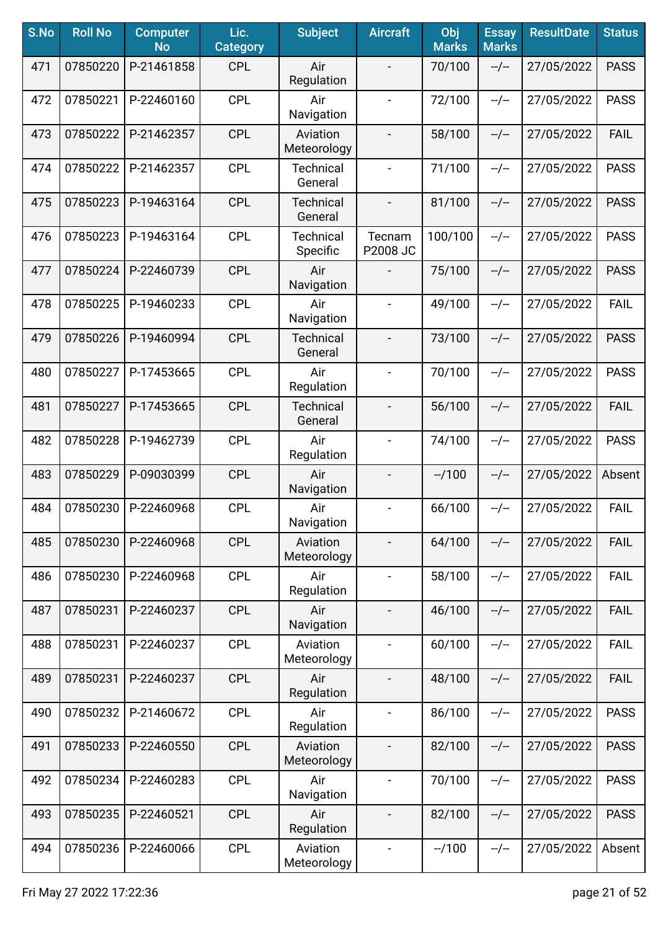| S.No | <b>Roll No</b> | <b>Computer</b><br><b>No</b> | Lic.<br><b>Category</b> | <b>Subject</b>               | <b>Aircraft</b>          | Obj<br><b>Marks</b> | <b>Essay</b><br><b>Marks</b> | <b>ResultDate</b> | <b>Status</b> |
|------|----------------|------------------------------|-------------------------|------------------------------|--------------------------|---------------------|------------------------------|-------------------|---------------|
| 471  | 07850220       | P-21461858                   | <b>CPL</b>              | Air<br>Regulation            | $\blacksquare$           | 70/100              | $-/-$                        | 27/05/2022        | <b>PASS</b>   |
| 472  | 07850221       | P-22460160                   | <b>CPL</b>              | Air<br>Navigation            | $\overline{\phantom{a}}$ | 72/100              | $-/-$                        | 27/05/2022        | <b>PASS</b>   |
| 473  | 07850222       | P-21462357                   | <b>CPL</b>              | Aviation<br>Meteorology      | $\overline{\phantom{a}}$ | 58/100              | $-/-$                        | 27/05/2022        | <b>FAIL</b>   |
| 474  | 07850222       | P-21462357                   | <b>CPL</b>              | <b>Technical</b><br>General  | $\overline{\phantom{a}}$ | 71/100              | $-/-$                        | 27/05/2022        | <b>PASS</b>   |
| 475  | 07850223       | P-19463164                   | <b>CPL</b>              | <b>Technical</b><br>General  | $\blacksquare$           | 81/100              | $-/-$                        | 27/05/2022        | <b>PASS</b>   |
| 476  | 07850223       | P-19463164                   | <b>CPL</b>              | <b>Technical</b><br>Specific | Tecnam<br>P2008 JC       | 100/100             | $-/-$                        | 27/05/2022        | <b>PASS</b>   |
| 477  | 07850224       | P-22460739                   | <b>CPL</b>              | Air<br>Navigation            |                          | 75/100              | $-/-$                        | 27/05/2022        | <b>PASS</b>   |
| 478  | 07850225       | P-19460233                   | <b>CPL</b>              | Air<br>Navigation            | $\overline{\phantom{a}}$ | 49/100              | $-/-$                        | 27/05/2022        | <b>FAIL</b>   |
| 479  | 07850226       | P-19460994                   | <b>CPL</b>              | <b>Technical</b><br>General  | $\blacksquare$           | 73/100              | $-/-$                        | 27/05/2022        | <b>PASS</b>   |
| 480  | 07850227       | P-17453665                   | <b>CPL</b>              | Air<br>Regulation            | $\blacksquare$           | 70/100              | $-/-$                        | 27/05/2022        | <b>PASS</b>   |
| 481  | 07850227       | P-17453665                   | <b>CPL</b>              | Technical<br>General         | $\blacksquare$           | 56/100              | $-/-$                        | 27/05/2022        | <b>FAIL</b>   |
| 482  | 07850228       | P-19462739                   | <b>CPL</b>              | Air<br>Regulation            | $\blacksquare$           | 74/100              | $-/-$                        | 27/05/2022        | <b>PASS</b>   |
| 483  | 07850229       | P-09030399                   | <b>CPL</b>              | Air<br>Navigation            | $\overline{\phantom{a}}$ | $-1100$             | $-/-$                        | 27/05/2022        | Absent        |
| 484  | 07850230       | P-22460968                   | <b>CPL</b>              | Air<br>Navigation            | $\overline{\phantom{a}}$ | 66/100              | $-/-$                        | 27/05/2022        | <b>FAIL</b>   |
| 485  | 07850230       | P-22460968                   | <b>CPL</b>              | Aviation<br>Meteorology      |                          | 64/100              | $-/-$                        | 27/05/2022        | <b>FAIL</b>   |
| 486  | 07850230       | P-22460968                   | <b>CPL</b>              | Air<br>Regulation            | $\blacksquare$           | 58/100              | $-/-$                        | 27/05/2022        | <b>FAIL</b>   |
| 487  | 07850231       | P-22460237                   | <b>CPL</b>              | Air<br>Navigation            | $\overline{\phantom{a}}$ | 46/100              | $-/-$                        | 27/05/2022        | <b>FAIL</b>   |
| 488  | 07850231       | P-22460237                   | <b>CPL</b>              | Aviation<br>Meteorology      | $\overline{\phantom{a}}$ | 60/100              | $-/-$                        | 27/05/2022        | <b>FAIL</b>   |
| 489  | 07850231       | P-22460237                   | <b>CPL</b>              | Air<br>Regulation            |                          | 48/100              | $-/-$                        | 27/05/2022        | <b>FAIL</b>   |
| 490  | 07850232       | P-21460672                   | <b>CPL</b>              | Air<br>Regulation            | $\overline{\phantom{a}}$ | 86/100              | $-/-$                        | 27/05/2022        | <b>PASS</b>   |
| 491  | 07850233       | P-22460550                   | <b>CPL</b>              | Aviation<br>Meteorology      |                          | 82/100              | $-/-$                        | 27/05/2022        | <b>PASS</b>   |
| 492  | 07850234       | P-22460283                   | <b>CPL</b>              | Air<br>Navigation            |                          | 70/100              | $-/-$                        | 27/05/2022        | <b>PASS</b>   |
| 493  | 07850235       | P-22460521                   | <b>CPL</b>              | Air<br>Regulation            | $\blacksquare$           | 82/100              | --/--                        | 27/05/2022        | <b>PASS</b>   |
| 494  | 07850236       | P-22460066                   | <b>CPL</b>              | Aviation<br>Meteorology      | $\blacksquare$           | $-1100$             | --/--                        | 27/05/2022        | Absent        |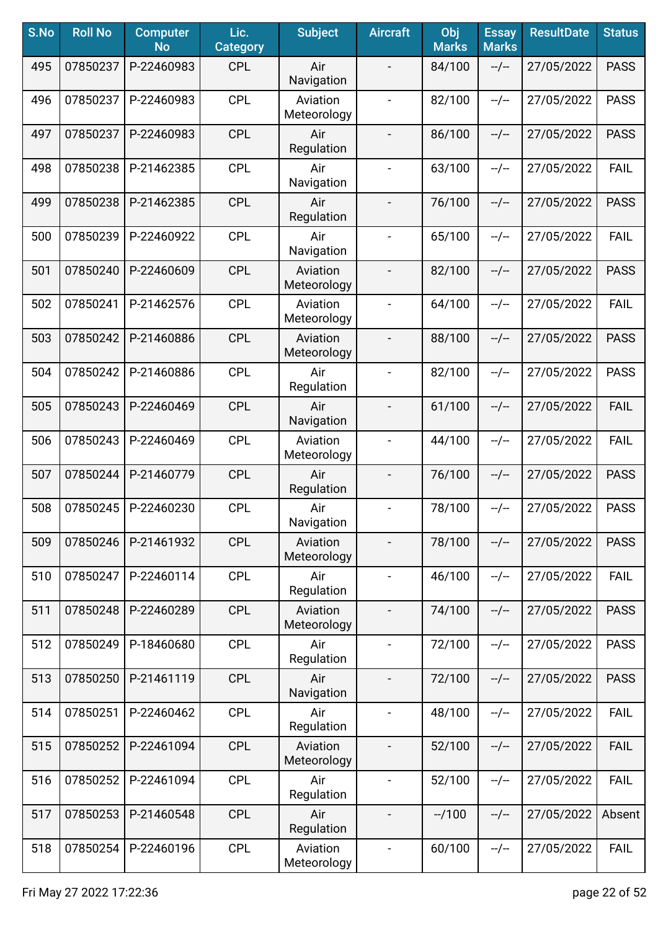| S.No | <b>Roll No</b> | <b>Computer</b><br><b>No</b> | Lic.<br><b>Category</b> | <b>Subject</b>          | <b>Aircraft</b>          | Obj<br><b>Marks</b> | <b>Essay</b><br><b>Marks</b> | <b>ResultDate</b> | <b>Status</b> |
|------|----------------|------------------------------|-------------------------|-------------------------|--------------------------|---------------------|------------------------------|-------------------|---------------|
| 495  | 07850237       | P-22460983                   | <b>CPL</b>              | Air<br>Navigation       |                          | 84/100              | $-/-$                        | 27/05/2022        | <b>PASS</b>   |
| 496  | 07850237       | P-22460983                   | <b>CPL</b>              | Aviation<br>Meteorology | $\overline{\phantom{a}}$ | 82/100              | $-/-$                        | 27/05/2022        | <b>PASS</b>   |
| 497  | 07850237       | P-22460983                   | <b>CPL</b>              | Air<br>Regulation       | $\blacksquare$           | 86/100              | $-/-$                        | 27/05/2022        | <b>PASS</b>   |
| 498  | 07850238       | P-21462385                   | <b>CPL</b>              | Air<br>Navigation       | $\blacksquare$           | 63/100              | $-/-$                        | 27/05/2022        | <b>FAIL</b>   |
| 499  | 07850238       | P-21462385                   | <b>CPL</b>              | Air<br>Regulation       |                          | 76/100              | $-/-$                        | 27/05/2022        | <b>PASS</b>   |
| 500  | 07850239       | P-22460922                   | <b>CPL</b>              | Air<br>Navigation       | $\overline{\phantom{a}}$ | 65/100              | $-/-$                        | 27/05/2022        | <b>FAIL</b>   |
| 501  | 07850240       | P-22460609                   | <b>CPL</b>              | Aviation<br>Meteorology |                          | 82/100              | $-/-$                        | 27/05/2022        | <b>PASS</b>   |
| 502  | 07850241       | P-21462576                   | <b>CPL</b>              | Aviation<br>Meteorology | $\overline{\phantom{a}}$ | 64/100              | $-/-$                        | 27/05/2022        | <b>FAIL</b>   |
| 503  | 07850242       | P-21460886                   | <b>CPL</b>              | Aviation<br>Meteorology | $\overline{\phantom{a}}$ | 88/100              | $-/-$                        | 27/05/2022        | <b>PASS</b>   |
| 504  | 07850242       | P-21460886                   | <b>CPL</b>              | Air<br>Regulation       | $\blacksquare$           | 82/100              | $-/-$                        | 27/05/2022        | <b>PASS</b>   |
| 505  | 07850243       | P-22460469                   | <b>CPL</b>              | Air<br>Navigation       |                          | 61/100              | $-/-$                        | 27/05/2022        | <b>FAIL</b>   |
| 506  | 07850243       | P-22460469                   | <b>CPL</b>              | Aviation<br>Meteorology | $\blacksquare$           | 44/100              | $-/-$                        | 27/05/2022        | <b>FAIL</b>   |
| 507  | 07850244       | P-21460779                   | <b>CPL</b>              | Air<br>Regulation       |                          | 76/100              | $-/-$                        | 27/05/2022        | <b>PASS</b>   |
| 508  | 07850245       | P-22460230                   | <b>CPL</b>              | Air<br>Navigation       |                          | 78/100              | $-/-$                        | 27/05/2022        | <b>PASS</b>   |
| 509  | 07850246       | P-21461932                   | <b>CPL</b>              | Aviation<br>Meteorology |                          | 78/100              | $-/-$                        | 27/05/2022        | <b>PASS</b>   |
| 510  | 07850247       | P-22460114                   | <b>CPL</b>              | Air<br>Regulation       | $\blacksquare$           | 46/100              | $-/-$                        | 27/05/2022        | <b>FAIL</b>   |
| 511  | 07850248       | P-22460289                   | <b>CPL</b>              | Aviation<br>Meteorology | $\overline{\phantom{a}}$ | 74/100              | $-/-$                        | 27/05/2022        | <b>PASS</b>   |
| 512  | 07850249       | P-18460680                   | <b>CPL</b>              | Air<br>Regulation       | $\blacksquare$           | 72/100              | $-/-$                        | 27/05/2022        | <b>PASS</b>   |
| 513  | 07850250       | P-21461119                   | <b>CPL</b>              | Air<br>Navigation       | $\overline{\phantom{a}}$ | 72/100              | $-/-$                        | 27/05/2022        | <b>PASS</b>   |
| 514  | 07850251       | P-22460462                   | <b>CPL</b>              | Air<br>Regulation       | $\blacksquare$           | 48/100              | $-/-$                        | 27/05/2022        | <b>FAIL</b>   |
| 515  | 07850252       | P-22461094                   | <b>CPL</b>              | Aviation<br>Meteorology |                          | 52/100              | $-/-$                        | 27/05/2022        | <b>FAIL</b>   |
| 516  | 07850252       | P-22461094                   | <b>CPL</b>              | Air<br>Regulation       | $\blacksquare$           | 52/100              | $-/-$                        | 27/05/2022        | <b>FAIL</b>   |
| 517  | 07850253       | P-21460548                   | <b>CPL</b>              | Air<br>Regulation       | $\overline{\phantom{a}}$ | $-1100$             | --/--                        | 27/05/2022        | Absent        |
| 518  | 07850254       | P-22460196                   | <b>CPL</b>              | Aviation<br>Meteorology | $\blacksquare$           | 60/100              | $-/-$                        | 27/05/2022        | <b>FAIL</b>   |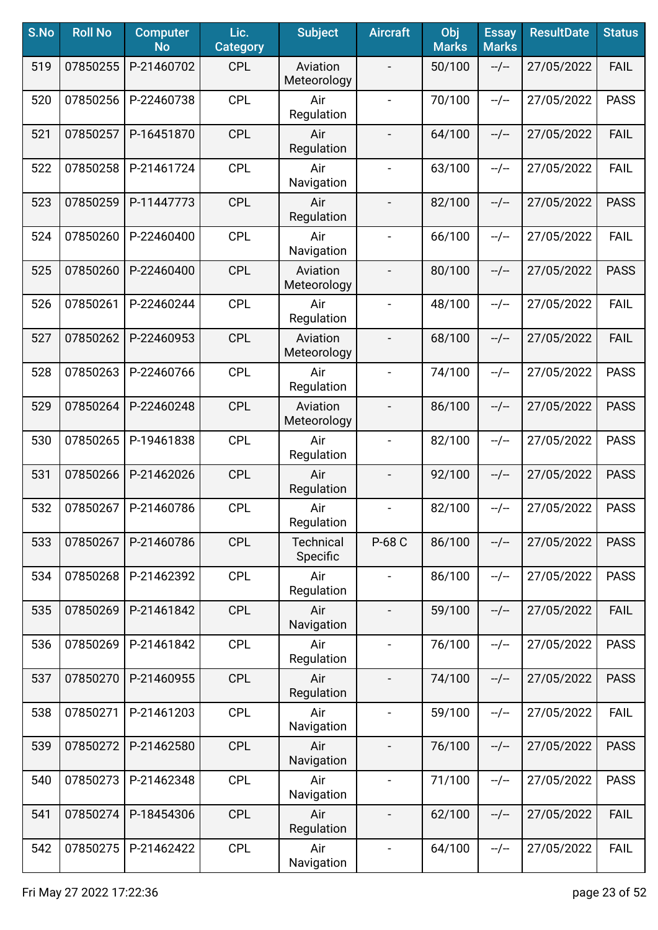| S.No | <b>Roll No</b> | <b>Computer</b><br><b>No</b> | Lic.<br><b>Category</b> | <b>Subject</b>               | <b>Aircraft</b>          | Obj<br><b>Marks</b> | <b>Essay</b><br><b>Marks</b> | <b>ResultDate</b> | <b>Status</b> |
|------|----------------|------------------------------|-------------------------|------------------------------|--------------------------|---------------------|------------------------------|-------------------|---------------|
| 519  | 07850255       | P-21460702                   | <b>CPL</b>              | Aviation<br>Meteorology      |                          | 50/100              | $-/-$                        | 27/05/2022        | <b>FAIL</b>   |
| 520  | 07850256       | P-22460738                   | <b>CPL</b>              | Air<br>Regulation            | $\overline{\phantom{a}}$ | 70/100              | $-/-$                        | 27/05/2022        | <b>PASS</b>   |
| 521  | 07850257       | P-16451870                   | <b>CPL</b>              | Air<br>Regulation            | $\overline{\phantom{a}}$ | 64/100              | $-/-$                        | 27/05/2022        | <b>FAIL</b>   |
| 522  | 07850258       | P-21461724                   | <b>CPL</b>              | Air<br>Navigation            | $\blacksquare$           | 63/100              | $-/-$                        | 27/05/2022        | <b>FAIL</b>   |
| 523  | 07850259       | P-11447773                   | <b>CPL</b>              | Air<br>Regulation            | $\overline{\phantom{a}}$ | 82/100              | $-/-$                        | 27/05/2022        | <b>PASS</b>   |
| 524  | 07850260       | P-22460400                   | <b>CPL</b>              | Air<br>Navigation            |                          | 66/100              | $-/-$                        | 27/05/2022        | <b>FAIL</b>   |
| 525  | 07850260       | P-22460400                   | <b>CPL</b>              | Aviation<br>Meteorology      |                          | 80/100              | $-/-$                        | 27/05/2022        | <b>PASS</b>   |
| 526  | 07850261       | P-22460244                   | <b>CPL</b>              | Air<br>Regulation            | $\blacksquare$           | 48/100              | $-/-$                        | 27/05/2022        | <b>FAIL</b>   |
| 527  | 07850262       | P-22460953                   | <b>CPL</b>              | Aviation<br>Meteorology      | $\overline{\phantom{a}}$ | 68/100              | $-/-$                        | 27/05/2022        | <b>FAIL</b>   |
| 528  | 07850263       | P-22460766                   | <b>CPL</b>              | Air<br>Regulation            | $\blacksquare$           | 74/100              | $-/-$                        | 27/05/2022        | <b>PASS</b>   |
| 529  | 07850264       | P-22460248                   | <b>CPL</b>              | Aviation<br>Meteorology      |                          | 86/100              | $-/-$                        | 27/05/2022        | <b>PASS</b>   |
| 530  | 07850265       | P-19461838                   | <b>CPL</b>              | Air<br>Regulation            | $\blacksquare$           | 82/100              | $-/-$                        | 27/05/2022        | <b>PASS</b>   |
| 531  | 07850266       | P-21462026                   | <b>CPL</b>              | Air<br>Regulation            |                          | 92/100              | $-/-$                        | 27/05/2022        | <b>PASS</b>   |
| 532  | 07850267       | P-21460786                   | <b>CPL</b>              | Air<br>Regulation            | $\overline{\phantom{a}}$ | 82/100              | $-/-$                        | 27/05/2022        | <b>PASS</b>   |
| 533  | 07850267       | P-21460786                   | <b>CPL</b>              | <b>Technical</b><br>Specific | P-68 C                   | 86/100              | $-/-$                        | 27/05/2022        | <b>PASS</b>   |
| 534  | 07850268       | P-21462392                   | <b>CPL</b>              | Air<br>Regulation            | $\blacksquare$           | 86/100              | --/--                        | 27/05/2022        | <b>PASS</b>   |
| 535  | 07850269       | P-21461842                   | <b>CPL</b>              | Air<br>Navigation            | $\overline{\phantom{a}}$ | 59/100              | $-/-$                        | 27/05/2022        | <b>FAIL</b>   |
| 536  | 07850269       | P-21461842                   | <b>CPL</b>              | Air<br>Regulation            | $\blacksquare$           | 76/100              | $-/-$                        | 27/05/2022        | <b>PASS</b>   |
| 537  | 07850270       | P-21460955                   | <b>CPL</b>              | Air<br>Regulation            | $\blacksquare$           | 74/100              | $-/-$                        | 27/05/2022        | <b>PASS</b>   |
| 538  | 07850271       | P-21461203                   | <b>CPL</b>              | Air<br>Navigation            | $\blacksquare$           | 59/100              | $-/-$                        | 27/05/2022        | <b>FAIL</b>   |
| 539  | 07850272       | P-21462580                   | <b>CPL</b>              | Air<br>Navigation            | $\overline{\phantom{a}}$ | 76/100              | $-/-$                        | 27/05/2022        | <b>PASS</b>   |
| 540  | 07850273       | P-21462348                   | <b>CPL</b>              | Air<br>Navigation            | $\blacksquare$           | 71/100              | $-/-$                        | 27/05/2022        | <b>PASS</b>   |
| 541  | 07850274       | P-18454306                   | <b>CPL</b>              | Air<br>Regulation            | $\overline{\phantom{a}}$ | 62/100              | $-/-$                        | 27/05/2022        | <b>FAIL</b>   |
| 542  | 07850275       | P-21462422                   | <b>CPL</b>              | Air<br>Navigation            | $\blacksquare$           | 64/100              | $-/-$                        | 27/05/2022        | <b>FAIL</b>   |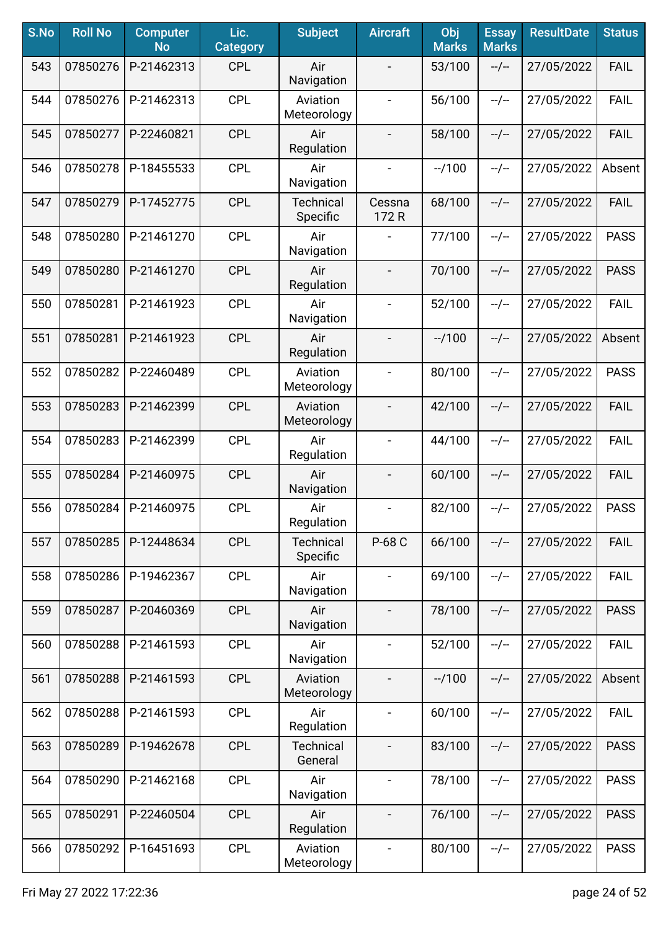| S.No | <b>Roll No</b> | <b>Computer</b><br><b>No</b> | Lic.<br><b>Category</b> | <b>Subject</b>               | <b>Aircraft</b>          | Obj<br><b>Marks</b> | <b>Essay</b><br><b>Marks</b> | <b>ResultDate</b> | <b>Status</b> |
|------|----------------|------------------------------|-------------------------|------------------------------|--------------------------|---------------------|------------------------------|-------------------|---------------|
| 543  | 07850276       | P-21462313                   | <b>CPL</b>              | Air<br>Navigation            |                          | 53/100              | $-/-$                        | 27/05/2022        | <b>FAIL</b>   |
| 544  | 07850276       | P-21462313                   | <b>CPL</b>              | Aviation<br>Meteorology      | $\overline{\phantom{a}}$ | 56/100              | $-/-$                        | 27/05/2022        | <b>FAIL</b>   |
| 545  | 07850277       | P-22460821                   | <b>CPL</b>              | Air<br>Regulation            | $\overline{\phantom{a}}$ | 58/100              | $-/-$                        | 27/05/2022        | <b>FAIL</b>   |
| 546  | 07850278       | P-18455533                   | <b>CPL</b>              | Air<br>Navigation            | $\overline{\phantom{a}}$ | $-1100$             | $-/-$                        | 27/05/2022        | Absent        |
| 547  | 07850279       | P-17452775                   | <b>CPL</b>              | <b>Technical</b><br>Specific | Cessna<br>172 R          | 68/100              | $-/-$                        | 27/05/2022        | <b>FAIL</b>   |
| 548  | 07850280       | P-21461270                   | <b>CPL</b>              | Air<br>Navigation            |                          | 77/100              | $-/-$                        | 27/05/2022        | <b>PASS</b>   |
| 549  | 07850280       | P-21461270                   | <b>CPL</b>              | Air<br>Regulation            | $\overline{\phantom{a}}$ | 70/100              | $-/-$                        | 27/05/2022        | <b>PASS</b>   |
| 550  | 07850281       | P-21461923                   | <b>CPL</b>              | Air<br>Navigation            | $\blacksquare$           | 52/100              | $-/-$                        | 27/05/2022        | <b>FAIL</b>   |
| 551  | 07850281       | P-21461923                   | <b>CPL</b>              | Air<br>Regulation            | $\overline{\phantom{a}}$ | $-1100$             | $-/-$                        | 27/05/2022        | Absent        |
| 552  | 07850282       | P-22460489                   | <b>CPL</b>              | Aviation<br>Meteorology      | $\blacksquare$           | 80/100              | $-/-$                        | 27/05/2022        | <b>PASS</b>   |
| 553  | 07850283       | P-21462399                   | <b>CPL</b>              | Aviation<br>Meteorology      |                          | 42/100              | $-/-$                        | 27/05/2022        | <b>FAIL</b>   |
| 554  | 07850283       | P-21462399                   | <b>CPL</b>              | Air<br>Regulation            | $\blacksquare$           | 44/100              | $-/-$                        | 27/05/2022        | <b>FAIL</b>   |
| 555  | 07850284       | P-21460975                   | <b>CPL</b>              | Air<br>Navigation            |                          | 60/100              | $-/-$                        | 27/05/2022        | <b>FAIL</b>   |
| 556  | 07850284       | P-21460975                   | <b>CPL</b>              | Air<br>Regulation            | $\overline{\phantom{a}}$ | 82/100              | $-/-$                        | 27/05/2022        | <b>PASS</b>   |
| 557  | 07850285       | P-12448634                   | <b>CPL</b>              | <b>Technical</b><br>Specific | P-68 C                   | 66/100              | $-/-$                        | 27/05/2022        | <b>FAIL</b>   |
| 558  | 07850286       | P-19462367                   | <b>CPL</b>              | Air<br>Navigation            | $\blacksquare$           | 69/100              | --/--                        | 27/05/2022        | <b>FAIL</b>   |
| 559  | 07850287       | P-20460369                   | <b>CPL</b>              | Air<br>Navigation            | $\overline{\phantom{a}}$ | 78/100              | $-/-$                        | 27/05/2022        | <b>PASS</b>   |
| 560  | 07850288       | P-21461593                   | <b>CPL</b>              | Air<br>Navigation            | $\blacksquare$           | 52/100              | $-/-$                        | 27/05/2022        | <b>FAIL</b>   |
| 561  | 07850288       | P-21461593                   | <b>CPL</b>              | Aviation<br>Meteorology      | $\overline{\phantom{a}}$ | $-1100$             | $-/-$                        | 27/05/2022        | Absent        |
| 562  | 07850288       | P-21461593                   | <b>CPL</b>              | Air<br>Regulation            | $\blacksquare$           | 60/100              | $-/-$                        | 27/05/2022        | <b>FAIL</b>   |
| 563  | 07850289       | P-19462678                   | <b>CPL</b>              | <b>Technical</b><br>General  | $\overline{\phantom{0}}$ | 83/100              | $-/-$                        | 27/05/2022        | <b>PASS</b>   |
| 564  | 07850290       | P-21462168                   | <b>CPL</b>              | Air<br>Navigation            | $\blacksquare$           | 78/100              | $-/-$                        | 27/05/2022        | <b>PASS</b>   |
| 565  | 07850291       | P-22460504                   | <b>CPL</b>              | Air<br>Regulation            | $\overline{\phantom{a}}$ | 76/100              | $-/-$                        | 27/05/2022        | <b>PASS</b>   |
| 566  | 07850292       | P-16451693                   | <b>CPL</b>              | Aviation<br>Meteorology      | $\blacksquare$           | 80/100              | $-/-$                        | 27/05/2022        | <b>PASS</b>   |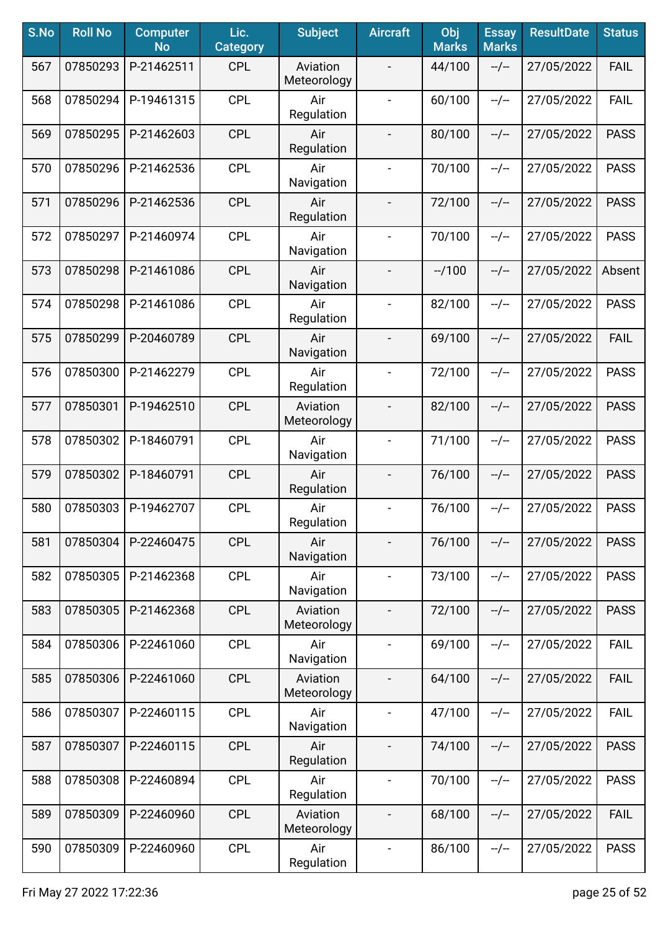| S.No | <b>Roll No</b> | <b>Computer</b><br><b>No</b> | Lic.<br><b>Category</b> | <b>Subject</b>          | <b>Aircraft</b>          | Obj<br><b>Marks</b> | <b>Essay</b><br><b>Marks</b> | <b>ResultDate</b> | <b>Status</b> |
|------|----------------|------------------------------|-------------------------|-------------------------|--------------------------|---------------------|------------------------------|-------------------|---------------|
| 567  | 07850293       | P-21462511                   | <b>CPL</b>              | Aviation<br>Meteorology |                          | 44/100              | $-/-$                        | 27/05/2022        | <b>FAIL</b>   |
| 568  | 07850294       | P-19461315                   | <b>CPL</b>              | Air<br>Regulation       | $\overline{\phantom{a}}$ | 60/100              | $-/-$                        | 27/05/2022        | <b>FAIL</b>   |
| 569  | 07850295       | P-21462603                   | <b>CPL</b>              | Air<br>Regulation       | $\overline{\phantom{a}}$ | 80/100              | $-/-$                        | 27/05/2022        | <b>PASS</b>   |
| 570  | 07850296       | P-21462536                   | <b>CPL</b>              | Air<br>Navigation       | $\blacksquare$           | 70/100              | $-/-$                        | 27/05/2022        | <b>PASS</b>   |
| 571  | 07850296       | P-21462536                   | <b>CPL</b>              | Air<br>Regulation       | $\overline{\phantom{a}}$ | 72/100              | $-/-$                        | 27/05/2022        | <b>PASS</b>   |
| 572  | 07850297       | P-21460974                   | <b>CPL</b>              | Air<br>Navigation       |                          | 70/100              | $-/-$                        | 27/05/2022        | <b>PASS</b>   |
| 573  | 07850298       | P-21461086                   | <b>CPL</b>              | Air<br>Navigation       | $\blacksquare$           | $-1100$             | $-/-$                        | 27/05/2022        | Absent        |
| 574  | 07850298       | P-21461086                   | <b>CPL</b>              | Air<br>Regulation       | $\blacksquare$           | 82/100              | $-/-$                        | 27/05/2022        | <b>PASS</b>   |
| 575  | 07850299       | P-20460789                   | <b>CPL</b>              | Air<br>Navigation       | $\overline{\phantom{a}}$ | 69/100              | $-/-$                        | 27/05/2022        | <b>FAIL</b>   |
| 576  | 07850300       | P-21462279                   | <b>CPL</b>              | Air<br>Regulation       | $\blacksquare$           | 72/100              | $-/-$                        | 27/05/2022        | <b>PASS</b>   |
| 577  | 07850301       | P-19462510                   | <b>CPL</b>              | Aviation<br>Meteorology |                          | 82/100              | $-/-$                        | 27/05/2022        | <b>PASS</b>   |
| 578  | 07850302       | P-18460791                   | <b>CPL</b>              | Air<br>Navigation       | $\blacksquare$           | 71/100              | $-/-$                        | 27/05/2022        | <b>PASS</b>   |
| 579  | 07850302       | P-18460791                   | <b>CPL</b>              | Air<br>Regulation       |                          | 76/100              | $-/-$                        | 27/05/2022        | <b>PASS</b>   |
| 580  | 07850303       | P-19462707                   | <b>CPL</b>              | Air<br>Regulation       | $\overline{\phantom{a}}$ | 76/100              | $-/-$                        | 27/05/2022        | <b>PASS</b>   |
| 581  | 07850304       | P-22460475                   | <b>CPL</b>              | Air<br>Navigation       |                          | 76/100              | $-/-$                        | 27/05/2022        | <b>PASS</b>   |
| 582  | 07850305       | P-21462368                   | <b>CPL</b>              | Air<br>Navigation       | $\blacksquare$           | 73/100              | $-/-$                        | 27/05/2022        | <b>PASS</b>   |
| 583  | 07850305       | P-21462368                   | <b>CPL</b>              | Aviation<br>Meteorology | $\overline{\phantom{a}}$ | 72/100              | $-/-$                        | 27/05/2022        | <b>PASS</b>   |
| 584  | 07850306       | P-22461060                   | <b>CPL</b>              | Air<br>Navigation       | $\blacksquare$           | 69/100              | $-/-$                        | 27/05/2022        | <b>FAIL</b>   |
| 585  | 07850306       | P-22461060                   | <b>CPL</b>              | Aviation<br>Meteorology | $\blacksquare$           | 64/100              | $-/-$                        | 27/05/2022        | <b>FAIL</b>   |
| 586  | 07850307       | P-22460115                   | <b>CPL</b>              | Air<br>Navigation       | $\blacksquare$           | 47/100              | $-/-$                        | 27/05/2022        | <b>FAIL</b>   |
| 587  | 07850307       | P-22460115                   | <b>CPL</b>              | Air<br>Regulation       | $\overline{\phantom{a}}$ | 74/100              | $-/-$                        | 27/05/2022        | <b>PASS</b>   |
| 588  | 07850308       | P-22460894                   | <b>CPL</b>              | Air<br>Regulation       | $\blacksquare$           | 70/100              | $-/-$                        | 27/05/2022        | <b>PASS</b>   |
| 589  | 07850309       | P-22460960                   | <b>CPL</b>              | Aviation<br>Meteorology |                          | 68/100              | $-/-$                        | 27/05/2022        | <b>FAIL</b>   |
| 590  | 07850309       | P-22460960                   | <b>CPL</b>              | Air<br>Regulation       | $\blacksquare$           | 86/100              | $-/-$                        | 27/05/2022        | <b>PASS</b>   |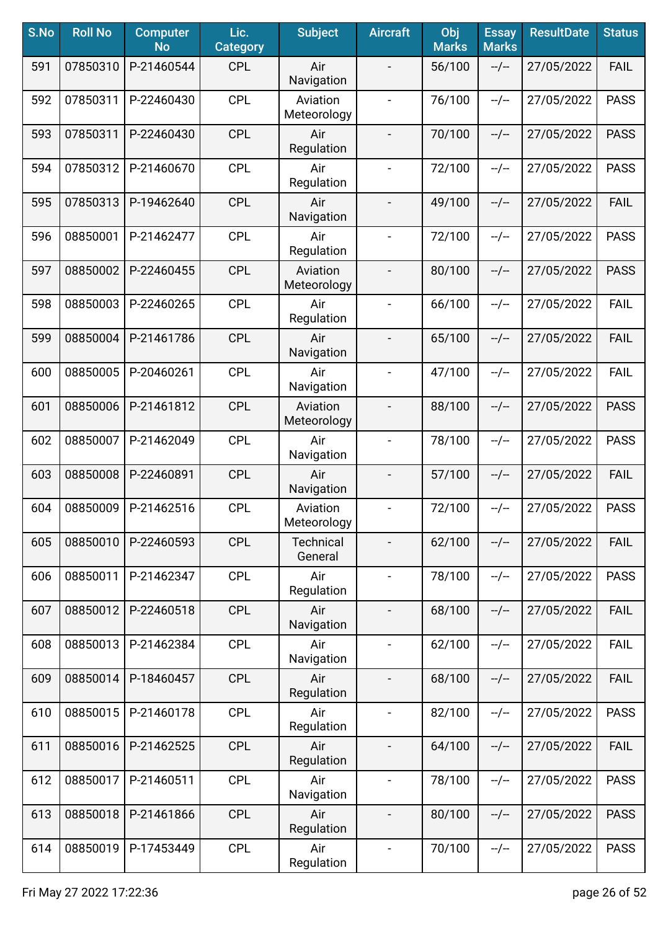| S.No | <b>Roll No</b> | <b>Computer</b><br><b>No</b> | Lic.<br><b>Category</b> | <b>Subject</b>          | <b>Aircraft</b>              | Obj<br><b>Marks</b> | <b>Essay</b><br><b>Marks</b> | <b>ResultDate</b> | <b>Status</b> |
|------|----------------|------------------------------|-------------------------|-------------------------|------------------------------|---------------------|------------------------------|-------------------|---------------|
| 591  | 07850310       | P-21460544                   | <b>CPL</b>              | Air<br>Navigation       |                              | 56/100              | $-/-$                        | 27/05/2022        | <b>FAIL</b>   |
| 592  | 07850311       | P-22460430                   | <b>CPL</b>              | Aviation<br>Meteorology | $\overline{\phantom{a}}$     | 76/100              | $-/-$                        | 27/05/2022        | <b>PASS</b>   |
| 593  | 07850311       | P-22460430                   | <b>CPL</b>              | Air<br>Regulation       | $\overline{\phantom{a}}$     | 70/100              | $-/-$                        | 27/05/2022        | <b>PASS</b>   |
| 594  | 07850312       | P-21460670                   | <b>CPL</b>              | Air<br>Regulation       | $\qquad \qquad \blacksquare$ | 72/100              | $-/-$                        | 27/05/2022        | <b>PASS</b>   |
| 595  | 07850313       | P-19462640                   | <b>CPL</b>              | Air<br>Navigation       | $\blacksquare$               | 49/100              | $-/-$                        | 27/05/2022        | <b>FAIL</b>   |
| 596  | 08850001       | P-21462477                   | <b>CPL</b>              | Air<br>Regulation       | $\overline{\phantom{a}}$     | 72/100              | $-/-$                        | 27/05/2022        | <b>PASS</b>   |
| 597  | 08850002       | P-22460455                   | <b>CPL</b>              | Aviation<br>Meteorology |                              | 80/100              | $-/-$                        | 27/05/2022        | <b>PASS</b>   |
| 598  | 08850003       | P-22460265                   | <b>CPL</b>              | Air<br>Regulation       | $\blacksquare$               | 66/100              | $-/-$                        | 27/05/2022        | <b>FAIL</b>   |
| 599  | 08850004       | P-21461786                   | <b>CPL</b>              | Air<br>Navigation       | $\blacksquare$               | 65/100              | $-/-$                        | 27/05/2022        | <b>FAIL</b>   |
| 600  | 08850005       | P-20460261                   | <b>CPL</b>              | Air<br>Navigation       | $\blacksquare$               | 47/100              | $-/-$                        | 27/05/2022        | <b>FAIL</b>   |
| 601  | 08850006       | P-21461812                   | <b>CPL</b>              | Aviation<br>Meteorology | $\blacksquare$               | 88/100              | $-/-$                        | 27/05/2022        | <b>PASS</b>   |
| 602  | 08850007       | P-21462049                   | <b>CPL</b>              | Air<br>Navigation       | $\blacksquare$               | 78/100              | $-/-$                        | 27/05/2022        | <b>PASS</b>   |
| 603  | 08850008       | P-22460891                   | <b>CPL</b>              | Air<br>Navigation       | $\overline{\phantom{a}}$     | 57/100              | $-/-$                        | 27/05/2022        | <b>FAIL</b>   |
| 604  | 08850009       | P-21462516                   | <b>CPL</b>              | Aviation<br>Meteorology | $\overline{\phantom{a}}$     | 72/100              | $-/-$                        | 27/05/2022        | <b>PASS</b>   |
| 605  | 08850010       | P-22460593                   | <b>CPL</b>              | Technical<br>General    |                              | 62/100              | $-/-$                        | 27/05/2022        | <b>FAIL</b>   |
| 606  | 08850011       | P-21462347                   | <b>CPL</b>              | Air<br>Regulation       | $\blacksquare$               | 78/100              | $-/-$                        | 27/05/2022        | <b>PASS</b>   |
| 607  | 08850012       | P-22460518                   | <b>CPL</b>              | Air<br>Navigation       | $\overline{\phantom{a}}$     | 68/100              | $-/-$                        | 27/05/2022        | <b>FAIL</b>   |
| 608  | 08850013       | P-21462384                   | <b>CPL</b>              | Air<br>Navigation       | $\overline{\phantom{a}}$     | 62/100              | $-/-$                        | 27/05/2022        | <b>FAIL</b>   |
| 609  | 08850014       | P-18460457                   | <b>CPL</b>              | Air<br>Regulation       | $\overline{\phantom{a}}$     | 68/100              | $-/-$                        | 27/05/2022        | <b>FAIL</b>   |
| 610  | 08850015       | P-21460178                   | <b>CPL</b>              | Air<br>Regulation       | $\overline{\phantom{a}}$     | 82/100              | $-/-$                        | 27/05/2022        | <b>PASS</b>   |
| 611  | 08850016       | P-21462525                   | <b>CPL</b>              | Air<br>Regulation       |                              | 64/100              | $-/-$                        | 27/05/2022        | <b>FAIL</b>   |
| 612  | 08850017       | P-21460511                   | <b>CPL</b>              | Air<br>Navigation       |                              | 78/100              | $-/-$                        | 27/05/2022        | <b>PASS</b>   |
| 613  | 08850018       | P-21461866                   | <b>CPL</b>              | Air<br>Regulation       | $\blacksquare$               | 80/100              | --/--                        | 27/05/2022        | <b>PASS</b>   |
| 614  | 08850019       | P-17453449                   | <b>CPL</b>              | Air<br>Regulation       | $\blacksquare$               | 70/100              | --/--                        | 27/05/2022        | <b>PASS</b>   |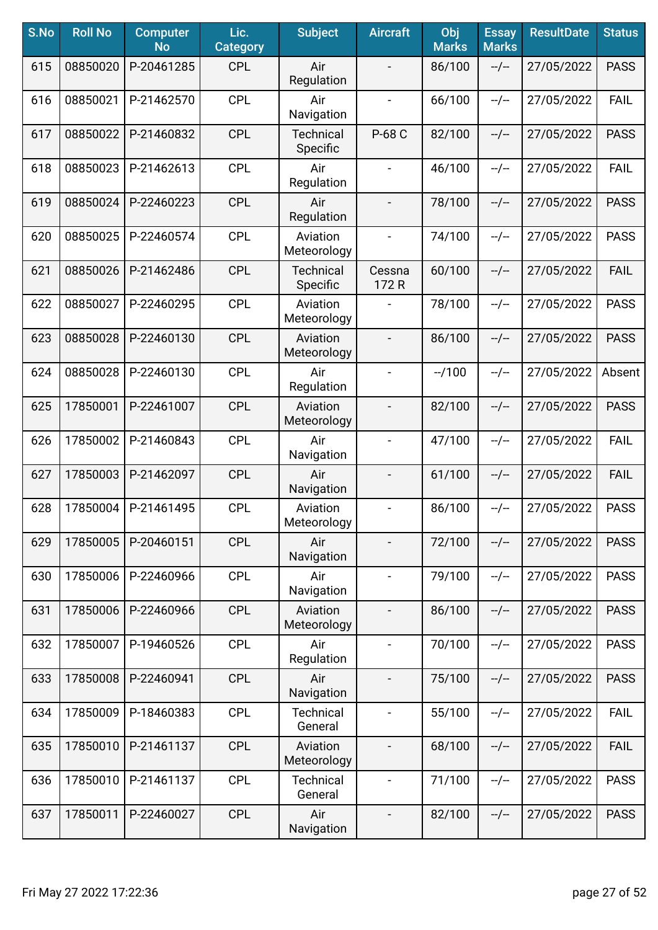| S.No | <b>Roll No</b> | <b>Computer</b><br><b>No</b> | Lic.<br><b>Category</b> | <b>Subject</b>               | <b>Aircraft</b>          | Obj<br><b>Marks</b> | <b>Essay</b><br><b>Marks</b> | <b>ResultDate</b> | <b>Status</b> |
|------|----------------|------------------------------|-------------------------|------------------------------|--------------------------|---------------------|------------------------------|-------------------|---------------|
| 615  | 08850020       | P-20461285                   | <b>CPL</b>              | Air<br>Regulation            |                          | 86/100              | $-/-$                        | 27/05/2022        | <b>PASS</b>   |
| 616  | 08850021       | P-21462570                   | <b>CPL</b>              | Air<br>Navigation            | $\overline{\phantom{a}}$ | 66/100              | $-/-$                        | 27/05/2022        | <b>FAIL</b>   |
| 617  | 08850022       | P-21460832                   | <b>CPL</b>              | Technical<br>Specific        | P-68 C                   | 82/100              | $-/-$                        | 27/05/2022        | <b>PASS</b>   |
| 618  | 08850023       | P-21462613                   | <b>CPL</b>              | Air<br>Regulation            |                          | 46/100              | $-/-$                        | 27/05/2022        | <b>FAIL</b>   |
| 619  | 08850024       | P-22460223                   | <b>CPL</b>              | Air<br>Regulation            | $\blacksquare$           | 78/100              | $-/-$                        | 27/05/2022        | <b>PASS</b>   |
| 620  | 08850025       | P-22460574                   | <b>CPL</b>              | Aviation<br>Meteorology      | $\overline{\phantom{a}}$ | 74/100              | $-/-$                        | 27/05/2022        | <b>PASS</b>   |
| 621  | 08850026       | P-21462486                   | <b>CPL</b>              | <b>Technical</b><br>Specific | Cessna<br>172R           | 60/100              | $-/-$                        | 27/05/2022        | <b>FAIL</b>   |
| 622  | 08850027       | P-22460295                   | <b>CPL</b>              | Aviation<br>Meteorology      |                          | 78/100              | $-/-$                        | 27/05/2022        | <b>PASS</b>   |
| 623  | 08850028       | P-22460130                   | <b>CPL</b>              | Aviation<br>Meteorology      | $\overline{\phantom{a}}$ | 86/100              | $-/-$                        | 27/05/2022        | <b>PASS</b>   |
| 624  | 08850028       | P-22460130                   | <b>CPL</b>              | Air<br>Regulation            | $\blacksquare$           | $-1100$             | $-/-$                        | 27/05/2022        | Absent        |
| 625  | 17850001       | P-22461007                   | <b>CPL</b>              | Aviation<br>Meteorology      | $\overline{\phantom{a}}$ | 82/100              | $-/-$                        | 27/05/2022        | <b>PASS</b>   |
| 626  | 17850002       | P-21460843                   | <b>CPL</b>              | Air<br>Navigation            | $\blacksquare$           | 47/100              | $-/-$                        | 27/05/2022        | <b>FAIL</b>   |
| 627  | 17850003       | P-21462097                   | <b>CPL</b>              | Air<br>Navigation            | $\overline{\phantom{a}}$ | 61/100              | $-/-$                        | 27/05/2022        | <b>FAIL</b>   |
| 628  | 17850004       | P-21461495                   | <b>CPL</b>              | Aviation<br>Meteorology      |                          | 86/100              | $-/-$                        | 27/05/2022        | <b>PASS</b>   |
| 629  | 17850005       | P-20460151                   | <b>CPL</b>              | Air<br>Navigation            |                          | 72/100              | $-/-$                        | 27/05/2022        | <b>PASS</b>   |
| 630  | 17850006       | P-22460966                   | <b>CPL</b>              | Air<br>Navigation            | $\blacksquare$           | 79/100              | $-/-$                        | 27/05/2022        | <b>PASS</b>   |
| 631  | 17850006       | P-22460966                   | <b>CPL</b>              | Aviation<br>Meteorology      | $\overline{\phantom{a}}$ | 86/100              | $-/-$                        | 27/05/2022        | <b>PASS</b>   |
| 632  | 17850007       | P-19460526                   | <b>CPL</b>              | Air<br>Regulation            | $\overline{\phantom{a}}$ | 70/100              | $-/-$                        | 27/05/2022        | <b>PASS</b>   |
| 633  | 17850008       | P-22460941                   | <b>CPL</b>              | Air<br>Navigation            |                          | 75/100              | $-/-$                        | 27/05/2022        | <b>PASS</b>   |
| 634  | 17850009       | P-18460383                   | <b>CPL</b>              | <b>Technical</b><br>General  | $\blacksquare$           | 55/100              | $-/-$                        | 27/05/2022        | <b>FAIL</b>   |
| 635  | 17850010       | P-21461137                   | <b>CPL</b>              | Aviation<br>Meteorology      |                          | 68/100              | $-/-$                        | 27/05/2022        | <b>FAIL</b>   |
| 636  | 17850010       | P-21461137                   | <b>CPL</b>              | <b>Technical</b><br>General  |                          | 71/100              | $-/-$                        | 27/05/2022        | <b>PASS</b>   |
| 637  | 17850011       | P-22460027                   | <b>CPL</b>              | Air<br>Navigation            |                          | 82/100              | --/--                        | 27/05/2022        | <b>PASS</b>   |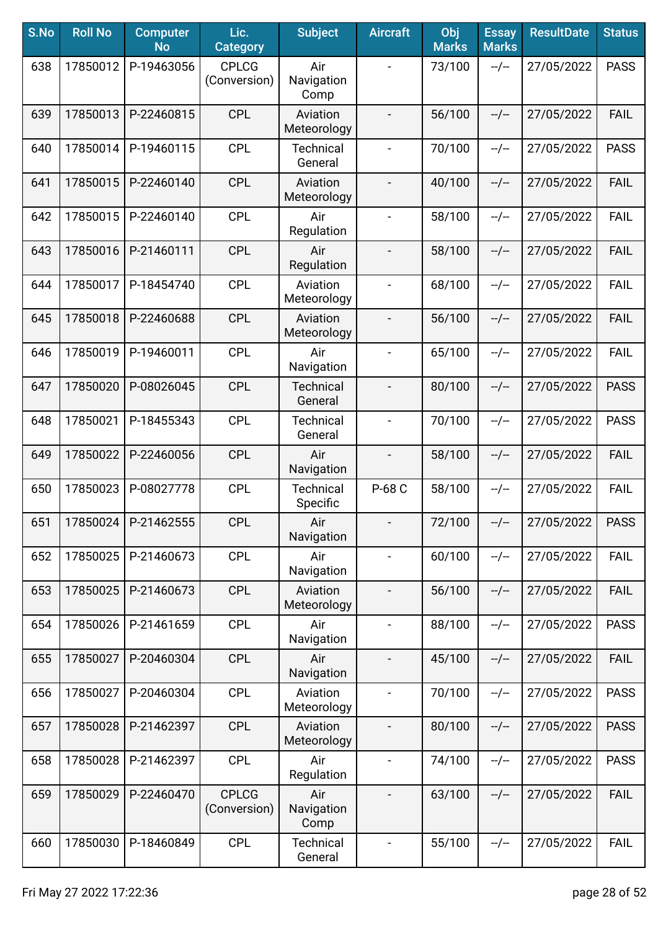| S.No | <b>Roll No</b> | <b>Computer</b><br><b>No</b> | Lic.<br><b>Category</b>      | <b>Subject</b>               | <b>Aircraft</b>          | Obj<br><b>Marks</b> | <b>Essay</b><br><b>Marks</b> | <b>ResultDate</b> | <b>Status</b> |
|------|----------------|------------------------------|------------------------------|------------------------------|--------------------------|---------------------|------------------------------|-------------------|---------------|
| 638  | 17850012       | P-19463056                   | <b>CPLCG</b><br>(Conversion) | Air<br>Navigation<br>Comp    |                          | 73/100              | $-/-$                        | 27/05/2022        | <b>PASS</b>   |
| 639  | 17850013       | P-22460815                   | <b>CPL</b>                   | Aviation<br>Meteorology      | $\overline{\phantom{a}}$ | 56/100              | $-/-$                        | 27/05/2022        | <b>FAIL</b>   |
| 640  | 17850014       | P-19460115                   | <b>CPL</b>                   | <b>Technical</b><br>General  | $\blacksquare$           | 70/100              | $-/-$                        | 27/05/2022        | <b>PASS</b>   |
| 641  | 17850015       | P-22460140                   | <b>CPL</b>                   | Aviation<br>Meteorology      |                          | 40/100              | $-/-$                        | 27/05/2022        | <b>FAIL</b>   |
| 642  | 17850015       | P-22460140                   | <b>CPL</b>                   | Air<br>Regulation            |                          | 58/100              | $-/-$                        | 27/05/2022        | <b>FAIL</b>   |
| 643  | 17850016       | P-21460111                   | <b>CPL</b>                   | Air<br>Regulation            |                          | 58/100              | $-/-$                        | 27/05/2022        | <b>FAIL</b>   |
| 644  | 17850017       | P-18454740                   | <b>CPL</b>                   | Aviation<br>Meteorology      | $\blacksquare$           | 68/100              | $-/-$                        | 27/05/2022        | <b>FAIL</b>   |
| 645  | 17850018       | P-22460688                   | <b>CPL</b>                   | Aviation<br>Meteorology      | $\overline{\phantom{a}}$ | 56/100              | $-/-$                        | 27/05/2022        | <b>FAIL</b>   |
| 646  | 17850019       | P-19460011                   | <b>CPL</b>                   | Air<br>Navigation            | $\blacksquare$           | 65/100              | $-/-$                        | 27/05/2022        | <b>FAIL</b>   |
| 647  | 17850020       | P-08026045                   | <b>CPL</b>                   | <b>Technical</b><br>General  | $\overline{\phantom{a}}$ | 80/100              | $-/-$                        | 27/05/2022        | <b>PASS</b>   |
| 648  | 17850021       | P-18455343                   | <b>CPL</b>                   | <b>Technical</b><br>General  | $\overline{\phantom{a}}$ | 70/100              | $-/-$                        | 27/05/2022        | <b>PASS</b>   |
| 649  | 17850022       | P-22460056                   | <b>CPL</b>                   | Air<br>Navigation            | $\overline{\phantom{a}}$ | 58/100              | $-/-$                        | 27/05/2022        | <b>FAIL</b>   |
| 650  | 17850023       | P-08027778                   | <b>CPL</b>                   | <b>Technical</b><br>Specific | P-68 C                   | 58/100              | $-/-$                        | 27/05/2022        | <b>FAIL</b>   |
| 651  | 17850024       | P-21462555                   | <b>CPL</b>                   | Air<br>Navigation            |                          | 72/100              | $-/-$                        | 27/05/2022        | <b>PASS</b>   |
| 652  | 17850025       | P-21460673                   | <b>CPL</b>                   | Air<br>Navigation            | $\blacksquare$           | 60/100              | $-/-$                        | 27/05/2022        | <b>FAIL</b>   |
| 653  | 17850025       | P-21460673                   | <b>CPL</b>                   | Aviation<br>Meteorology      | $\overline{\phantom{a}}$ | 56/100              | $-/-$                        | 27/05/2022        | <b>FAIL</b>   |
| 654  | 17850026       | P-21461659                   | <b>CPL</b>                   | Air<br>Navigation            | $\overline{\phantom{a}}$ | 88/100              | $-/-$                        | 27/05/2022        | <b>PASS</b>   |
| 655  | 17850027       | P-20460304                   | <b>CPL</b>                   | Air<br>Navigation            |                          | 45/100              | $-/-$                        | 27/05/2022        | <b>FAIL</b>   |
| 656  | 17850027       | P-20460304                   | <b>CPL</b>                   | Aviation<br>Meteorology      |                          | 70/100              | $-/-$                        | 27/05/2022        | <b>PASS</b>   |
| 657  | 17850028       | P-21462397                   | <b>CPL</b>                   | Aviation<br>Meteorology      |                          | 80/100              | $-/-$                        | 27/05/2022        | <b>PASS</b>   |
| 658  | 17850028       | P-21462397                   | <b>CPL</b>                   | Air<br>Regulation            |                          | 74/100              | $-/-$                        | 27/05/2022        | <b>PASS</b>   |
| 659  | 17850029       | P-22460470                   | <b>CPLCG</b><br>(Conversion) | Air<br>Navigation<br>Comp    |                          | 63/100              | --/--                        | 27/05/2022        | <b>FAIL</b>   |
| 660  | 17850030       | P-18460849                   | <b>CPL</b>                   | <b>Technical</b><br>General  | $\overline{\phantom{a}}$ | 55/100              | $-/-$                        | 27/05/2022        | <b>FAIL</b>   |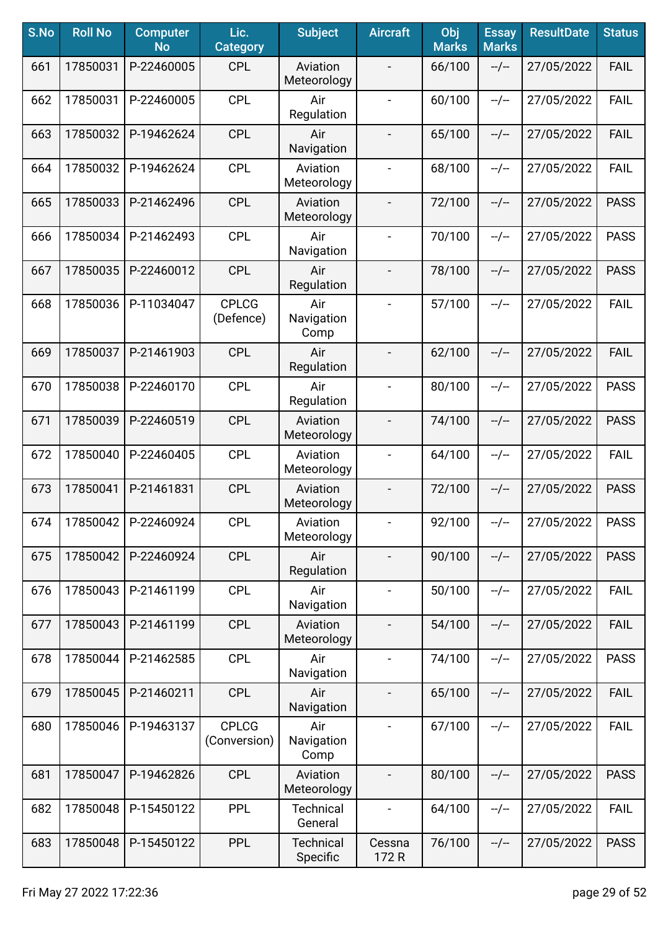| S.No | <b>Roll No</b> | <b>Computer</b><br><b>No</b> | Lic.<br><b>Category</b>      | <b>Subject</b>               | <b>Aircraft</b>          | Obj<br><b>Marks</b> | <b>Essay</b><br><b>Marks</b> | <b>ResultDate</b> | <b>Status</b> |
|------|----------------|------------------------------|------------------------------|------------------------------|--------------------------|---------------------|------------------------------|-------------------|---------------|
| 661  | 17850031       | P-22460005                   | <b>CPL</b>                   | Aviation<br>Meteorology      |                          | 66/100              | $-/-$                        | 27/05/2022        | <b>FAIL</b>   |
| 662  | 17850031       | P-22460005                   | <b>CPL</b>                   | Air<br>Regulation            | $\overline{\phantom{a}}$ | 60/100              | $-/-$                        | 27/05/2022        | <b>FAIL</b>   |
| 663  | 17850032       | P-19462624                   | <b>CPL</b>                   | Air<br>Navigation            | $\blacksquare$           | 65/100              | $-/-$                        | 27/05/2022        | <b>FAIL</b>   |
| 664  | 17850032       | P-19462624                   | <b>CPL</b>                   | Aviation<br>Meteorology      | $\blacksquare$           | 68/100              | $-/-$                        | 27/05/2022        | <b>FAIL</b>   |
| 665  | 17850033       | P-21462496                   | <b>CPL</b>                   | Aviation<br>Meteorology      | $\blacksquare$           | 72/100              | $-/-$                        | 27/05/2022        | <b>PASS</b>   |
| 666  | 17850034       | P-21462493                   | <b>CPL</b>                   | Air<br>Navigation            |                          | 70/100              | $-/-$                        | 27/05/2022        | <b>PASS</b>   |
| 667  | 17850035       | P-22460012                   | <b>CPL</b>                   | Air<br>Regulation            | $\overline{\phantom{a}}$ | 78/100              | $-/-$                        | 27/05/2022        | <b>PASS</b>   |
| 668  | 17850036       | P-11034047                   | <b>CPLCG</b><br>(Defence)    | Air<br>Navigation<br>Comp    | $\overline{\phantom{a}}$ | 57/100              | $-/-$                        | 27/05/2022        | <b>FAIL</b>   |
| 669  | 17850037       | P-21461903                   | <b>CPL</b>                   | Air<br>Regulation            |                          | 62/100              | $-/-$                        | 27/05/2022        | <b>FAIL</b>   |
| 670  | 17850038       | P-22460170                   | <b>CPL</b>                   | Air<br>Regulation            | $\overline{\phantom{a}}$ | 80/100              | $-/-$                        | 27/05/2022        | <b>PASS</b>   |
| 671  | 17850039       | P-22460519                   | <b>CPL</b>                   | Aviation<br>Meteorology      |                          | 74/100              | $-/-$                        | 27/05/2022        | <b>PASS</b>   |
| 672  | 17850040       | P-22460405                   | <b>CPL</b>                   | Aviation<br>Meteorology      |                          | 64/100              | $-/-$                        | 27/05/2022        | <b>FAIL</b>   |
| 673  | 17850041       | P-21461831                   | <b>CPL</b>                   | Aviation<br>Meteorology      |                          | 72/100              | $-/-$                        | 27/05/2022        | <b>PASS</b>   |
| 674  | 17850042       | P-22460924                   | <b>CPL</b>                   | Aviation<br>Meteorology      | $\blacksquare$           | 92/100              | $-/-$                        | 27/05/2022        | <b>PASS</b>   |
| 675  | 17850042       | P-22460924                   | <b>CPL</b>                   | Air<br>Regulation            |                          | 90/100              | $-/-$                        | 27/05/2022        | <b>PASS</b>   |
| 676  | 17850043       | P-21461199                   | <b>CPL</b>                   | Air<br>Navigation            | $\overline{\phantom{a}}$ | 50/100              | $-/-$                        | 27/05/2022        | <b>FAIL</b>   |
| 677  | 17850043       | P-21461199                   | <b>CPL</b>                   | Aviation<br>Meteorology      | $\overline{\phantom{a}}$ | 54/100              | $-/-$                        | 27/05/2022        | <b>FAIL</b>   |
| 678  | 17850044       | P-21462585                   | <b>CPL</b>                   | Air<br>Navigation            | $\overline{\phantom{a}}$ | 74/100              | $-/-$                        | 27/05/2022        | <b>PASS</b>   |
| 679  | 17850045       | P-21460211                   | <b>CPL</b>                   | Air<br>Navigation            |                          | 65/100              | $-/-$                        | 27/05/2022        | <b>FAIL</b>   |
| 680  | 17850046       | P-19463137                   | <b>CPLCG</b><br>(Conversion) | Air<br>Navigation<br>Comp    |                          | 67/100              | $-/-$                        | 27/05/2022        | <b>FAIL</b>   |
| 681  | 17850047       | P-19462826                   | <b>CPL</b>                   | Aviation<br>Meteorology      | $\overline{\phantom{a}}$ | 80/100              | $-/-$                        | 27/05/2022        | <b>PASS</b>   |
| 682  | 17850048       | P-15450122                   | <b>PPL</b>                   | <b>Technical</b><br>General  | $\blacksquare$           | 64/100              | $-/-$                        | 27/05/2022        | <b>FAIL</b>   |
| 683  | 17850048       | P-15450122                   | <b>PPL</b>                   | <b>Technical</b><br>Specific | Cessna<br>172 R          | 76/100              | --/--                        | 27/05/2022        | <b>PASS</b>   |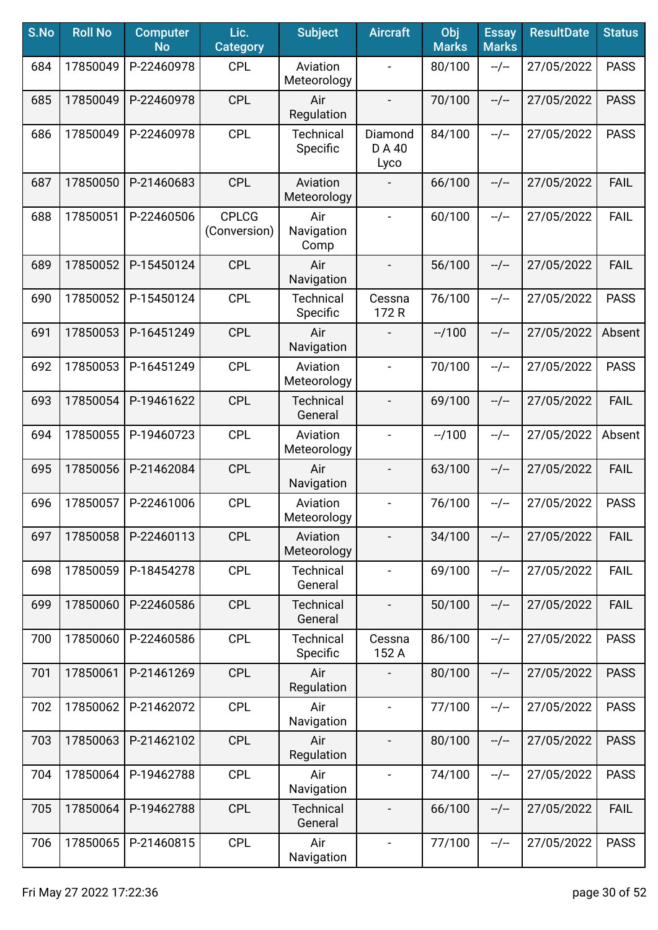| S.No | <b>Roll No</b> | <b>Computer</b><br><b>No</b> | Lic.<br><b>Category</b>      | <b>Subject</b>               | <b>Aircraft</b>              | Obj<br><b>Marks</b> | <b>Essay</b><br><b>Marks</b> | <b>ResultDate</b> | <b>Status</b> |
|------|----------------|------------------------------|------------------------------|------------------------------|------------------------------|---------------------|------------------------------|-------------------|---------------|
| 684  | 17850049       | P-22460978                   | <b>CPL</b>                   | Aviation<br>Meteorology      | $\qquad \qquad -$            | 80/100              | $-/-$                        | 27/05/2022        | <b>PASS</b>   |
| 685  | 17850049       | P-22460978                   | <b>CPL</b>                   | Air<br>Regulation            | $\qquad \qquad \blacksquare$ | 70/100              | $-/-$                        | 27/05/2022        | <b>PASS</b>   |
| 686  | 17850049       | P-22460978                   | <b>CPL</b>                   | <b>Technical</b><br>Specific | Diamond<br>D A 40<br>Lyco    | 84/100              | $-/-$                        | 27/05/2022        | <b>PASS</b>   |
| 687  | 17850050       | P-21460683                   | <b>CPL</b>                   | Aviation<br>Meteorology      |                              | 66/100              | $-/-$                        | 27/05/2022        | FAIL          |
| 688  | 17850051       | P-22460506                   | <b>CPLCG</b><br>(Conversion) | Air<br>Navigation<br>Comp    |                              | 60/100              | $-/-$                        | 27/05/2022        | <b>FAIL</b>   |
| 689  | 17850052       | P-15450124                   | <b>CPL</b>                   | Air<br>Navigation            |                              | 56/100              | $-/-$                        | 27/05/2022        | <b>FAIL</b>   |
| 690  | 17850052       | P-15450124                   | <b>CPL</b>                   | <b>Technical</b><br>Specific | Cessna<br>172 R              | 76/100              | $-/-$                        | 27/05/2022        | <b>PASS</b>   |
| 691  | 17850053       | P-16451249                   | <b>CPL</b>                   | Air<br>Navigation            |                              | $-1100$             | $-/-$                        | 27/05/2022        | Absent        |
| 692  | 17850053       | P-16451249                   | <b>CPL</b>                   | Aviation<br>Meteorology      | $\blacksquare$               | 70/100              | $-/-$                        | 27/05/2022        | <b>PASS</b>   |
| 693  | 17850054       | P-19461622                   | <b>CPL</b>                   | <b>Technical</b><br>General  | $\overline{\phantom{0}}$     | 69/100              | $-/-$                        | 27/05/2022        | <b>FAIL</b>   |
| 694  | 17850055       | P-19460723                   | <b>CPL</b>                   | Aviation<br>Meteorology      |                              | $-1100$             | $-/-$                        | 27/05/2022        | Absent        |
| 695  | 17850056       | P-21462084                   | <b>CPL</b>                   | Air<br>Navigation            |                              | 63/100              | $-/-$                        | 27/05/2022        | <b>FAIL</b>   |
| 696  | 17850057       | P-22461006                   | <b>CPL</b>                   | Aviation<br>Meteorology      | $\overline{\phantom{0}}$     | 76/100              | $-/-$                        | 27/05/2022        | <b>PASS</b>   |
| 697  | 17850058       | P-22460113                   | <b>CPL</b>                   | Aviation<br>Meteorology      |                              | 34/100              | $-/-$                        | 27/05/2022        | <b>FAIL</b>   |
| 698  | 17850059       | P-18454278                   | <b>CPL</b>                   | <b>Technical</b><br>General  | $\blacksquare$               | 69/100              | $-/-$                        | 27/05/2022        | <b>FAIL</b>   |
| 699  | 17850060       | P-22460586                   | <b>CPL</b>                   | <b>Technical</b><br>General  | $\overline{\phantom{a}}$     | 50/100              | $-/-$                        | 27/05/2022        | <b>FAIL</b>   |
| 700  | 17850060       | P-22460586                   | <b>CPL</b>                   | <b>Technical</b><br>Specific | Cessna<br>152 A              | 86/100              | $-/-$                        | 27/05/2022        | <b>PASS</b>   |
| 701  | 17850061       | P-21461269                   | <b>CPL</b>                   | Air<br>Regulation            |                              | 80/100              | $-/-$                        | 27/05/2022        | <b>PASS</b>   |
| 702  | 17850062       | P-21462072                   | <b>CPL</b>                   | Air<br>Navigation            | $\qquad \qquad -$            | 77/100              | $-/-$                        | 27/05/2022        | <b>PASS</b>   |
| 703  | 17850063       | P-21462102                   | <b>CPL</b>                   | Air<br>Regulation            |                              | 80/100              | $-/-$                        | 27/05/2022        | <b>PASS</b>   |
| 704  | 17850064       | P-19462788                   | <b>CPL</b>                   | Air<br>Navigation            | $\blacksquare$               | 74/100              | $-/-$                        | 27/05/2022        | <b>PASS</b>   |
| 705  | 17850064       | P-19462788                   | <b>CPL</b>                   | <b>Technical</b><br>General  | $\qquad \qquad \blacksquare$ | 66/100              | $-/-$                        | 27/05/2022        | <b>FAIL</b>   |
| 706  | 17850065       | P-21460815                   | <b>CPL</b>                   | Air<br>Navigation            | $\blacksquare$               | 77/100              | $-/-$                        | 27/05/2022        | <b>PASS</b>   |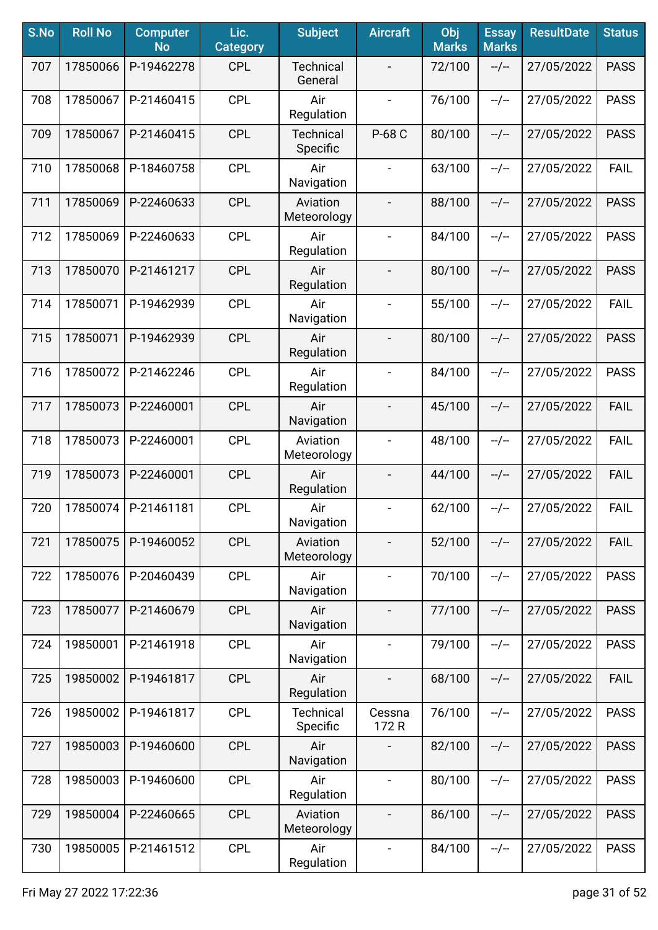| S.No | <b>Roll No</b> | <b>Computer</b><br><b>No</b> | Lic.<br><b>Category</b> | <b>Subject</b>               | <b>Aircraft</b>              | Obj<br><b>Marks</b> | <b>Essay</b><br><b>Marks</b> | <b>ResultDate</b> | <b>Status</b> |
|------|----------------|------------------------------|-------------------------|------------------------------|------------------------------|---------------------|------------------------------|-------------------|---------------|
| 707  | 17850066       | P-19462278                   | <b>CPL</b>              | <b>Technical</b><br>General  |                              | 72/100              | $-/-$                        | 27/05/2022        | <b>PASS</b>   |
| 708  | 17850067       | P-21460415                   | <b>CPL</b>              | Air<br>Regulation            | $\overline{\phantom{a}}$     | 76/100              | $-/-$                        | 27/05/2022        | <b>PASS</b>   |
| 709  | 17850067       | P-21460415                   | <b>CPL</b>              | <b>Technical</b><br>Specific | P-68 C                       | 80/100              | $-/-$                        | 27/05/2022        | <b>PASS</b>   |
| 710  | 17850068       | P-18460758                   | <b>CPL</b>              | Air<br>Navigation            |                              | 63/100              | $-/-$                        | 27/05/2022        | <b>FAIL</b>   |
| 711  | 17850069       | P-22460633                   | <b>CPL</b>              | Aviation<br>Meteorology      |                              | 88/100              | $-/-$                        | 27/05/2022        | <b>PASS</b>   |
| 712  | 17850069       | P-22460633                   | <b>CPL</b>              | Air<br>Regulation            |                              | 84/100              | $-/-$                        | 27/05/2022        | <b>PASS</b>   |
| 713  | 17850070       | P-21461217                   | <b>CPL</b>              | Air<br>Regulation            |                              | 80/100              | $-/-$                        | 27/05/2022        | <b>PASS</b>   |
| 714  | 17850071       | P-19462939                   | <b>CPL</b>              | Air<br>Navigation            | $\overline{\phantom{a}}$     | 55/100              | $-/-$                        | 27/05/2022        | <b>FAIL</b>   |
| 715  | 17850071       | P-19462939                   | <b>CPL</b>              | Air<br>Regulation            | $\overline{\phantom{a}}$     | 80/100              | $-/-$                        | 27/05/2022        | <b>PASS</b>   |
| 716  | 17850072       | P-21462246                   | <b>CPL</b>              | Air<br>Regulation            | $\blacksquare$               | 84/100              | $-/-$                        | 27/05/2022        | <b>PASS</b>   |
| 717  | 17850073       | P-22460001                   | <b>CPL</b>              | Air<br>Navigation            |                              | 45/100              | $-/-$                        | 27/05/2022        | FAIL          |
| 718  | 17850073       | P-22460001                   | <b>CPL</b>              | Aviation<br>Meteorology      |                              | 48/100              | $-/-$                        | 27/05/2022        | <b>FAIL</b>   |
| 719  | 17850073       | P-22460001                   | <b>CPL</b>              | Air<br>Regulation            |                              | 44/100              | $-/-$                        | 27/05/2022        | <b>FAIL</b>   |
| 720  | 17850074       | P-21461181                   | <b>CPL</b>              | Air<br>Navigation            | $\qquad \qquad \blacksquare$ | 62/100              | $-/-$                        | 27/05/2022        | <b>FAIL</b>   |
| 721  | 17850075       | P-19460052                   | <b>CPL</b>              | Aviation<br>Meteorology      |                              | 52/100              | $-/-$                        | 27/05/2022        | <b>FAIL</b>   |
| 722  | 17850076       | P-20460439                   | <b>CPL</b>              | Air<br>Navigation            | $\blacksquare$               | 70/100              | $-/-$                        | 27/05/2022        | <b>PASS</b>   |
| 723  | 17850077       | P-21460679                   | <b>CPL</b>              | Air<br>Navigation            | $\overline{\phantom{a}}$     | 77/100              | $-/-$                        | 27/05/2022        | <b>PASS</b>   |
| 724  | 19850001       | P-21461918                   | <b>CPL</b>              | Air<br>Navigation            | $\blacksquare$               | 79/100              | $-/-$                        | 27/05/2022        | <b>PASS</b>   |
| 725  | 19850002       | P-19461817                   | <b>CPL</b>              | Air<br>Regulation            | $\overline{\phantom{a}}$     | 68/100              | $-/-$                        | 27/05/2022        | <b>FAIL</b>   |
| 726  | 19850002       | P-19461817                   | <b>CPL</b>              | <b>Technical</b><br>Specific | Cessna<br>172 R              | 76/100              | $-/-$                        | 27/05/2022        | <b>PASS</b>   |
| 727  | 19850003       | P-19460600                   | <b>CPL</b>              | Air<br>Navigation            |                              | 82/100              | $-/-$                        | 27/05/2022        | <b>PASS</b>   |
| 728  | 19850003       | P-19460600                   | <b>CPL</b>              | Air<br>Regulation            | $\blacksquare$               | 80/100              | $-/-$                        | 27/05/2022        | <b>PASS</b>   |
| 729  | 19850004       | P-22460665                   | <b>CPL</b>              | Aviation<br>Meteorology      |                              | 86/100              | $-/-$                        | 27/05/2022        | <b>PASS</b>   |
| 730  | 19850005       | P-21461512                   | <b>CPL</b>              | Air<br>Regulation            | $\blacksquare$               | 84/100              | $-/-$                        | 27/05/2022        | <b>PASS</b>   |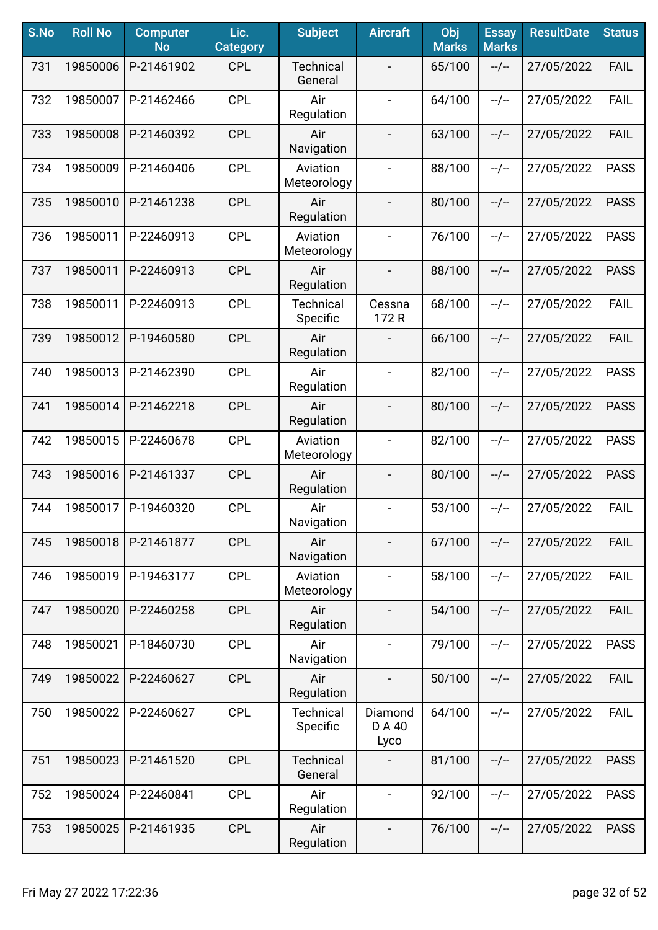| S.No | <b>Roll No</b> | <b>Computer</b><br><b>No</b> | Lic.<br><b>Category</b> | <b>Subject</b>               | <b>Aircraft</b>           | Obj<br><b>Marks</b> | <b>Essay</b><br><b>Marks</b> | <b>ResultDate</b> | <b>Status</b> |
|------|----------------|------------------------------|-------------------------|------------------------------|---------------------------|---------------------|------------------------------|-------------------|---------------|
| 731  | 19850006       | P-21461902                   | <b>CPL</b>              | <b>Technical</b><br>General  |                           | 65/100              | $-/-$                        | 27/05/2022        | <b>FAIL</b>   |
| 732  | 19850007       | P-21462466                   | <b>CPL</b>              | Air<br>Regulation            | $\blacksquare$            | 64/100              | $-/-$                        | 27/05/2022        | <b>FAIL</b>   |
| 733  | 19850008       | P-21460392                   | <b>CPL</b>              | Air<br>Navigation            | $\overline{\phantom{a}}$  | 63/100              | $-/-$                        | 27/05/2022        | <b>FAIL</b>   |
| 734  | 19850009       | P-21460406                   | <b>CPL</b>              | Aviation<br>Meteorology      | $\overline{\phantom{a}}$  | 88/100              | $-/-$                        | 27/05/2022        | <b>PASS</b>   |
| 735  | 19850010       | P-21461238                   | <b>CPL</b>              | Air<br>Regulation            | $\overline{\phantom{a}}$  | 80/100              | $-/-$                        | 27/05/2022        | <b>PASS</b>   |
| 736  | 19850011       | P-22460913                   | <b>CPL</b>              | Aviation<br>Meteorology      | $\overline{\phantom{a}}$  | 76/100              | $-/-$                        | 27/05/2022        | <b>PASS</b>   |
| 737  | 19850011       | P-22460913                   | <b>CPL</b>              | Air<br>Regulation            | $\overline{\phantom{a}}$  | 88/100              | $-/-$                        | 27/05/2022        | <b>PASS</b>   |
| 738  | 19850011       | P-22460913                   | <b>CPL</b>              | <b>Technical</b><br>Specific | Cessna<br>172R            | 68/100              | $-/-$                        | 27/05/2022        | <b>FAIL</b>   |
| 739  | 19850012       | P-19460580                   | <b>CPL</b>              | Air<br>Regulation            |                           | 66/100              | $-/-$                        | 27/05/2022        | <b>FAIL</b>   |
| 740  | 19850013       | P-21462390                   | <b>CPL</b>              | Air<br>Regulation            | $\blacksquare$            | 82/100              | $-/-$                        | 27/05/2022        | <b>PASS</b>   |
| 741  | 19850014       | P-21462218                   | <b>CPL</b>              | Air<br>Regulation            | $\overline{\phantom{a}}$  | 80/100              | $-/-$                        | 27/05/2022        | <b>PASS</b>   |
| 742  | 19850015       | P-22460678                   | <b>CPL</b>              | Aviation<br>Meteorology      | $\blacksquare$            | 82/100              | $-/-$                        | 27/05/2022        | <b>PASS</b>   |
| 743  | 19850016       | P-21461337                   | <b>CPL</b>              | Air<br>Regulation            | $\overline{\phantom{a}}$  | 80/100              | $-/-$                        | 27/05/2022        | <b>PASS</b>   |
| 744  | 19850017       | P-19460320                   | <b>CPL</b>              | Air<br>Navigation            | $\overline{\phantom{a}}$  | 53/100              | $-/-$                        | 27/05/2022        | <b>FAIL</b>   |
| 745  | 19850018       | P-21461877                   | <b>CPL</b>              | Air<br>Navigation            |                           | 67/100              | $-/-$                        | 27/05/2022        | <b>FAIL</b>   |
| 746  | 19850019       | P-19463177                   | <b>CPL</b>              | Aviation<br>Meteorology      | $\overline{\phantom{a}}$  | 58/100              | $-/-$                        | 27/05/2022        | <b>FAIL</b>   |
| 747  | 19850020       | P-22460258                   | <b>CPL</b>              | Air<br>Regulation            | $\overline{\phantom{a}}$  | 54/100              | $-/-$                        | 27/05/2022        | <b>FAIL</b>   |
| 748  | 19850021       | P-18460730                   | <b>CPL</b>              | Air<br>Navigation            | $\overline{\phantom{a}}$  | 79/100              | $-/-$                        | 27/05/2022        | <b>PASS</b>   |
| 749  | 19850022       | P-22460627                   | <b>CPL</b>              | Air<br>Regulation            | $\overline{\phantom{a}}$  | 50/100              | $-/-$                        | 27/05/2022        | <b>FAIL</b>   |
| 750  | 19850022       | P-22460627                   | <b>CPL</b>              | <b>Technical</b><br>Specific | Diamond<br>D A 40<br>Lyco | 64/100              | $-/-$                        | 27/05/2022        | <b>FAIL</b>   |
| 751  | 19850023       | P-21461520                   | <b>CPL</b>              | <b>Technical</b><br>General  |                           | 81/100              | $-/-$                        | 27/05/2022        | <b>PASS</b>   |
| 752  | 19850024       | P-22460841                   | <b>CPL</b>              | Air<br>Regulation            | $\blacksquare$            | 92/100              | $-/-$                        | 27/05/2022        | <b>PASS</b>   |
| 753  | 19850025       | P-21461935                   | <b>CPL</b>              | Air<br>Regulation            | $\overline{\phantom{a}}$  | 76/100              | --/--                        | 27/05/2022        | <b>PASS</b>   |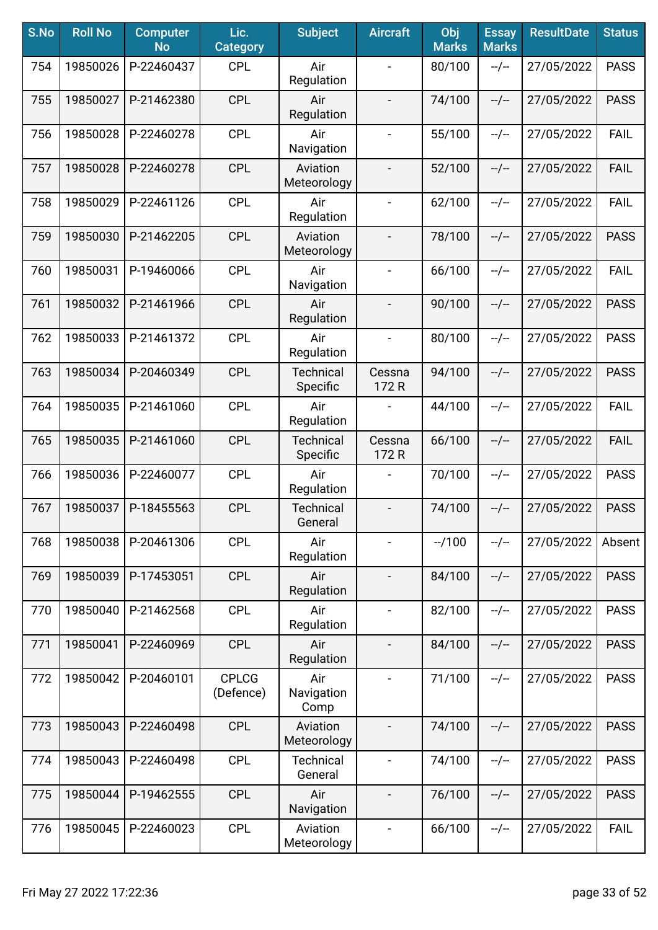| S.No | <b>Roll No</b> | <b>Computer</b><br><b>No</b> | Lic.<br><b>Category</b>   | <b>Subject</b>               | <b>Aircraft</b>          | Obj<br><b>Marks</b> | <b>Essay</b><br><b>Marks</b> | <b>ResultDate</b> | <b>Status</b> |
|------|----------------|------------------------------|---------------------------|------------------------------|--------------------------|---------------------|------------------------------|-------------------|---------------|
| 754  | 19850026       | P-22460437                   | <b>CPL</b>                | Air<br>Regulation            |                          | 80/100              | $-/-$                        | 27/05/2022        | <b>PASS</b>   |
| 755  | 19850027       | P-21462380                   | <b>CPL</b>                | Air<br>Regulation            | $\overline{\phantom{a}}$ | 74/100              | $-/-$                        | 27/05/2022        | <b>PASS</b>   |
| 756  | 19850028       | P-22460278                   | <b>CPL</b>                | Air<br>Navigation            | $\blacksquare$           | 55/100              | $-/-$                        | 27/05/2022        | <b>FAIL</b>   |
| 757  | 19850028       | P-22460278                   | <b>CPL</b>                | Aviation<br>Meteorology      |                          | 52/100              | $-/-$                        | 27/05/2022        | <b>FAIL</b>   |
| 758  | 19850029       | P-22461126                   | <b>CPL</b>                | Air<br>Regulation            | $\overline{\phantom{a}}$ | 62/100              | $-/-$                        | 27/05/2022        | <b>FAIL</b>   |
| 759  | 19850030       | P-21462205                   | <b>CPL</b>                | Aviation<br>Meteorology      | $\overline{a}$           | 78/100              | $-/-$                        | 27/05/2022        | <b>PASS</b>   |
| 760  | 19850031       | P-19460066                   | <b>CPL</b>                | Air<br>Navigation            |                          | 66/100              | $-/-$                        | 27/05/2022        | <b>FAIL</b>   |
| 761  | 19850032       | P-21461966                   | <b>CPL</b>                | Air<br>Regulation            | $\overline{\phantom{a}}$ | 90/100              | $-/-$                        | 27/05/2022        | <b>PASS</b>   |
| 762  | 19850033       | P-21461372                   | <b>CPL</b>                | Air<br>Regulation            | $\overline{\phantom{a}}$ | 80/100              | $-/-$                        | 27/05/2022        | <b>PASS</b>   |
| 763  | 19850034       | P-20460349                   | <b>CPL</b>                | Technical<br>Specific        | Cessna<br>172R           | 94/100              | $-/-$                        | 27/05/2022        | <b>PASS</b>   |
| 764  | 19850035       | P-21461060                   | <b>CPL</b>                | Air<br>Regulation            |                          | 44/100              | $-/-$                        | 27/05/2022        | <b>FAIL</b>   |
| 765  | 19850035       | P-21461060                   | <b>CPL</b>                | <b>Technical</b><br>Specific | Cessna<br>172R           | 66/100              | $-/-$                        | 27/05/2022        | <b>FAIL</b>   |
| 766  | 19850036       | P-22460077                   | <b>CPL</b>                | Air<br>Regulation            |                          | 70/100              | $-/-$                        | 27/05/2022        | <b>PASS</b>   |
| 767  | 19850037       | P-18455563                   | <b>CPL</b>                | <b>Technical</b><br>General  |                          | 74/100              | $-/-$                        | 27/05/2022        | <b>PASS</b>   |
| 768  | 19850038       | P-20461306                   | <b>CPL</b>                | Air<br>Regulation            |                          | $-1100$             | $-/-$                        | 27/05/2022        | Absent        |
| 769  | 19850039       | P-17453051                   | <b>CPL</b>                | Air<br>Regulation            | $\overline{\phantom{a}}$ | 84/100              | $-/-$                        | 27/05/2022        | <b>PASS</b>   |
| 770  | 19850040       | P-21462568                   | <b>CPL</b>                | Air<br>Regulation            | $\overline{\phantom{a}}$ | 82/100              | $-/-$                        | 27/05/2022        | <b>PASS</b>   |
| 771  | 19850041       | P-22460969                   | <b>CPL</b>                | Air<br>Regulation            | $\overline{a}$           | 84/100              | $-/-$                        | 27/05/2022        | <b>PASS</b>   |
| 772  | 19850042       | P-20460101                   | <b>CPLCG</b><br>(Defence) | Air<br>Navigation<br>Comp    |                          | 71/100              | $-/-$                        | 27/05/2022        | <b>PASS</b>   |
| 773  | 19850043       | P-22460498                   | <b>CPL</b>                | Aviation<br>Meteorology      |                          | 74/100              | $-/-$                        | 27/05/2022        | <b>PASS</b>   |
| 774  | 19850043       | P-22460498                   | <b>CPL</b>                | <b>Technical</b><br>General  |                          | 74/100              | $-/-$                        | 27/05/2022        | <b>PASS</b>   |
| 775  | 19850044       | P-19462555                   | <b>CPL</b>                | Air<br>Navigation            | $\overline{\phantom{a}}$ | 76/100              | $-/-$                        | 27/05/2022        | <b>PASS</b>   |
| 776  | 19850045       | P-22460023                   | <b>CPL</b>                | Aviation<br>Meteorology      | $\blacksquare$           | 66/100              | --/--                        | 27/05/2022        | <b>FAIL</b>   |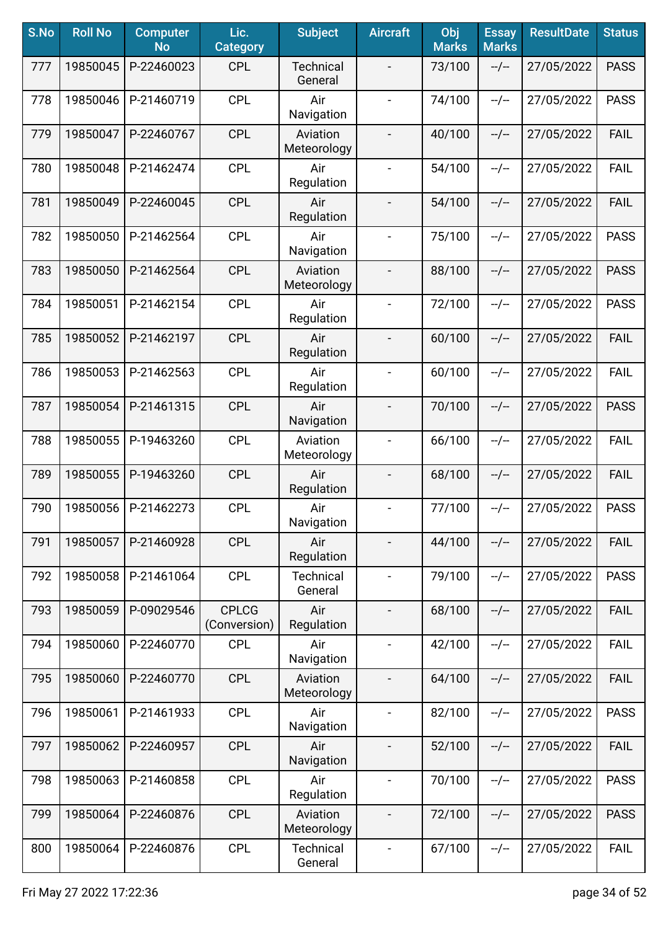| S.No | <b>Roll No</b> | <b>Computer</b><br><b>No</b> | Lic.<br><b>Category</b>      | <b>Subject</b>              | <b>Aircraft</b>          | Obj<br><b>Marks</b> | <b>Essay</b><br><b>Marks</b> | <b>ResultDate</b> | <b>Status</b> |
|------|----------------|------------------------------|------------------------------|-----------------------------|--------------------------|---------------------|------------------------------|-------------------|---------------|
| 777  | 19850045       | P-22460023                   | <b>CPL</b>                   | <b>Technical</b><br>General |                          | 73/100              | $-/-$                        | 27/05/2022        | <b>PASS</b>   |
| 778  | 19850046       | P-21460719                   | <b>CPL</b>                   | Air<br>Navigation           |                          | 74/100              | $-/-$                        | 27/05/2022        | <b>PASS</b>   |
| 779  | 19850047       | P-22460767                   | <b>CPL</b>                   | Aviation<br>Meteorology     | $\overline{\phantom{a}}$ | 40/100              | $-/-$                        | 27/05/2022        | <b>FAIL</b>   |
| 780  | 19850048       | P-21462474                   | <b>CPL</b>                   | Air<br>Regulation           | $\blacksquare$           | 54/100              | $-/-$                        | 27/05/2022        | <b>FAIL</b>   |
| 781  | 19850049       | P-22460045                   | <b>CPL</b>                   | Air<br>Regulation           |                          | 54/100              | $-/-$                        | 27/05/2022        | <b>FAIL</b>   |
| 782  | 19850050       | P-21462564                   | <b>CPL</b>                   | Air<br>Navigation           |                          | 75/100              | $-/-$                        | 27/05/2022        | <b>PASS</b>   |
| 783  | 19850050       | P-21462564                   | <b>CPL</b>                   | Aviation<br>Meteorology     |                          | 88/100              | $-/-$                        | 27/05/2022        | <b>PASS</b>   |
| 784  | 19850051       | P-21462154                   | <b>CPL</b>                   | Air<br>Regulation           | $\overline{\phantom{a}}$ | 72/100              | $-/-$                        | 27/05/2022        | <b>PASS</b>   |
| 785  | 19850052       | P-21462197                   | <b>CPL</b>                   | Air<br>Regulation           | $\overline{\phantom{0}}$ | 60/100              | $-/-$                        | 27/05/2022        | <b>FAIL</b>   |
| 786  | 19850053       | P-21462563                   | <b>CPL</b>                   | Air<br>Regulation           | $\blacksquare$           | 60/100              | $-/-$                        | 27/05/2022        | <b>FAIL</b>   |
| 787  | 19850054       | P-21461315                   | <b>CPL</b>                   | Air<br>Navigation           |                          | 70/100              | $-/-$                        | 27/05/2022        | <b>PASS</b>   |
| 788  | 19850055       | P-19463260                   | <b>CPL</b>                   | Aviation<br>Meteorology     |                          | 66/100              | $-/-$                        | 27/05/2022        | <b>FAIL</b>   |
| 789  | 19850055       | P-19463260                   | <b>CPL</b>                   | Air<br>Regulation           |                          | 68/100              | $-/-$                        | 27/05/2022        | <b>FAIL</b>   |
| 790  | 19850056       | P-21462273                   | <b>CPL</b>                   | Air<br>Navigation           | $\blacksquare$           | 77/100              | $-/-$                        | 27/05/2022        | <b>PASS</b>   |
| 791  | 19850057       | P-21460928                   | <b>CPL</b>                   | Air<br>Regulation           |                          | 44/100              | $-/-$                        | 27/05/2022        | <b>FAIL</b>   |
| 792  | 19850058       | P-21461064                   | <b>CPL</b>                   | <b>Technical</b><br>General | $\blacksquare$           | 79/100              | $-/-$                        | 27/05/2022        | <b>PASS</b>   |
| 793  | 19850059       | P-09029546                   | <b>CPLCG</b><br>(Conversion) | Air<br>Regulation           | $\overline{\phantom{a}}$ | 68/100              | $-/-$                        | 27/05/2022        | <b>FAIL</b>   |
| 794  | 19850060       | P-22460770                   | <b>CPL</b>                   | Air<br>Navigation           | $\blacksquare$           | 42/100              | $-/-$                        | 27/05/2022        | <b>FAIL</b>   |
| 795  | 19850060       | P-22460770                   | <b>CPL</b>                   | Aviation<br>Meteorology     | $\overline{\phantom{a}}$ | 64/100              | $-/-$                        | 27/05/2022        | <b>FAIL</b>   |
| 796  | 19850061       | P-21461933                   | <b>CPL</b>                   | Air<br>Navigation           | $\overline{\phantom{a}}$ | 82/100              | $-/-$                        | 27/05/2022        | <b>PASS</b>   |
| 797  | 19850062       | P-22460957                   | <b>CPL</b>                   | Air<br>Navigation           |                          | 52/100              | $-/-$                        | 27/05/2022        | <b>FAIL</b>   |
| 798  | 19850063       | P-21460858                   | <b>CPL</b>                   | Air<br>Regulation           | $\overline{\phantom{a}}$ | 70/100              | $-/-$                        | 27/05/2022        | <b>PASS</b>   |
| 799  | 19850064       | P-22460876                   | <b>CPL</b>                   | Aviation<br>Meteorology     |                          | 72/100              | --/--                        | 27/05/2022        | <b>PASS</b>   |
| 800  | 19850064       | P-22460876                   | <b>CPL</b>                   | <b>Technical</b><br>General | $\overline{\phantom{a}}$ | 67/100              | $-/-$                        | 27/05/2022        | <b>FAIL</b>   |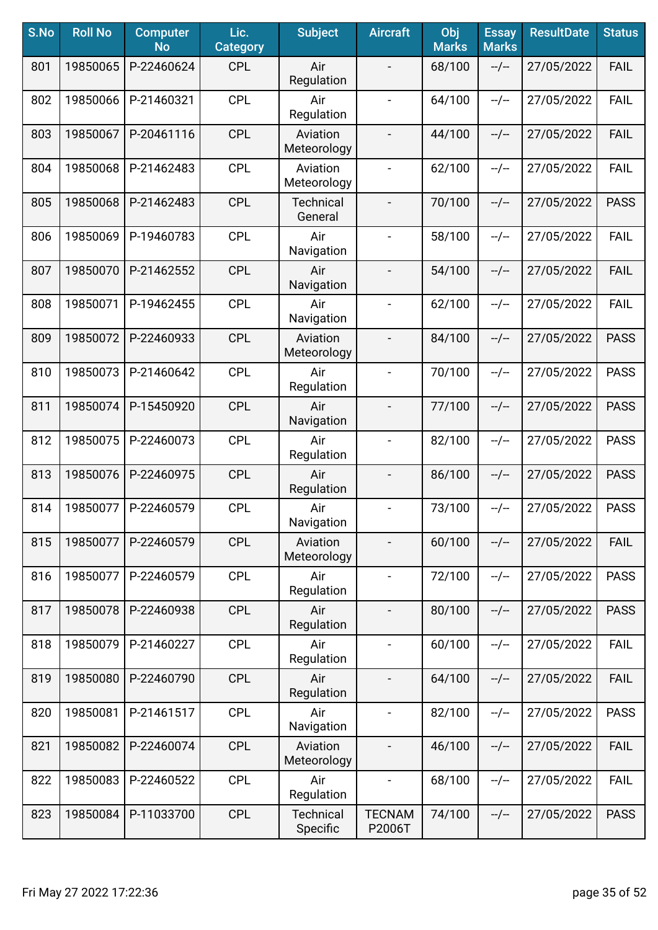| S.No | <b>Roll No</b> | <b>Computer</b><br><b>No</b> | Lic.<br><b>Category</b> | <b>Subject</b>               | <b>Aircraft</b>              | Obj<br><b>Marks</b> | <b>Essay</b><br><b>Marks</b> | <b>ResultDate</b> | <b>Status</b> |
|------|----------------|------------------------------|-------------------------|------------------------------|------------------------------|---------------------|------------------------------|-------------------|---------------|
| 801  | 19850065       | P-22460624                   | <b>CPL</b>              | Air<br>Regulation            |                              | 68/100              | $-/-$                        | 27/05/2022        | <b>FAIL</b>   |
| 802  | 19850066       | P-21460321                   | <b>CPL</b>              | Air<br>Regulation            | $\overline{\phantom{a}}$     | 64/100              | $-/-$                        | 27/05/2022        | <b>FAIL</b>   |
| 803  | 19850067       | P-20461116                   | <b>CPL</b>              | Aviation<br>Meteorology      | $\overline{\phantom{a}}$     | 44/100              | $-/-$                        | 27/05/2022        | <b>FAIL</b>   |
| 804  | 19850068       | P-21462483                   | <b>CPL</b>              | Aviation<br>Meteorology      | $\overline{\phantom{a}}$     | 62/100              | $-/-$                        | 27/05/2022        | <b>FAIL</b>   |
| 805  | 19850068       | P-21462483                   | <b>CPL</b>              | <b>Technical</b><br>General  | $\overline{\phantom{a}}$     | 70/100              | $-/-$                        | 27/05/2022        | <b>PASS</b>   |
| 806  | 19850069       | P-19460783                   | <b>CPL</b>              | Air<br>Navigation            | $\overline{\phantom{a}}$     | 58/100              | $-/-$                        | 27/05/2022        | <b>FAIL</b>   |
| 807  | 19850070       | P-21462552                   | <b>CPL</b>              | Air<br>Navigation            |                              | 54/100              | $-/-$                        | 27/05/2022        | <b>FAIL</b>   |
| 808  | 19850071       | P-19462455                   | <b>CPL</b>              | Air<br>Navigation            | $\overline{\phantom{a}}$     | 62/100              | $-/-$                        | 27/05/2022        | <b>FAIL</b>   |
| 809  | 19850072       | P-22460933                   | <b>CPL</b>              | Aviation<br>Meteorology      | $\overline{\phantom{a}}$     | 84/100              | $-/-$                        | 27/05/2022        | <b>PASS</b>   |
| 810  | 19850073       | P-21460642                   | <b>CPL</b>              | Air<br>Regulation            | $\blacksquare$               | 70/100              | $-/-$                        | 27/05/2022        | <b>PASS</b>   |
| 811  | 19850074       | P-15450920                   | <b>CPL</b>              | Air<br>Navigation            | $\blacksquare$               | 77/100              | $-/-$                        | 27/05/2022        | <b>PASS</b>   |
| 812  | 19850075       | P-22460073                   | <b>CPL</b>              | Air<br>Regulation            | $\blacksquare$               | 82/100              | $-/-$                        | 27/05/2022        | <b>PASS</b>   |
| 813  | 19850076       | P-22460975                   | <b>CPL</b>              | Air<br>Regulation            | $\overline{\phantom{a}}$     | 86/100              | $-/-$                        | 27/05/2022        | <b>PASS</b>   |
| 814  | 19850077       | P-22460579                   | <b>CPL</b>              | Air<br>Navigation            | $\overline{\phantom{a}}$     | 73/100              | $-/-$                        | 27/05/2022        | <b>PASS</b>   |
| 815  | 19850077       | P-22460579                   | <b>CPL</b>              | Aviation<br>Meteorology      |                              | 60/100              | $-/-$                        | 27/05/2022        | <b>FAIL</b>   |
| 816  | 19850077       | P-22460579                   | <b>CPL</b>              | Air<br>Regulation            | $\blacksquare$               | 72/100              | $-/-$                        | 27/05/2022        | <b>PASS</b>   |
| 817  | 19850078       | P-22460938                   | <b>CPL</b>              | Air<br>Regulation            | $\overline{\phantom{a}}$     | 80/100              | $-/-$                        | 27/05/2022        | <b>PASS</b>   |
| 818  | 19850079       | P-21460227                   | <b>CPL</b>              | Air<br>Regulation            | $\overline{\phantom{a}}$     | 60/100              | $-/-$                        | 27/05/2022        | <b>FAIL</b>   |
| 819  | 19850080       | P-22460790                   | <b>CPL</b>              | Air<br>Regulation            |                              | 64/100              | $-/-$                        | 27/05/2022        | <b>FAIL</b>   |
| 820  | 19850081       | P-21461517                   | <b>CPL</b>              | Air<br>Navigation            | $\overline{\phantom{a}}$     | 82/100              | $-/-$                        | 27/05/2022        | <b>PASS</b>   |
| 821  | 19850082       | P-22460074                   | <b>CPL</b>              | Aviation<br>Meteorology      |                              | 46/100              | $-/-$                        | 27/05/2022        | <b>FAIL</b>   |
| 822  | 19850083       | P-22460522                   | <b>CPL</b>              | Air<br>Regulation            | $\qquad \qquad \blacksquare$ | 68/100              | $-/-$                        | 27/05/2022        | <b>FAIL</b>   |
| 823  | 19850084       | P-11033700                   | <b>CPL</b>              | <b>Technical</b><br>Specific | <b>TECNAM</b><br>P2006T      | 74/100              | --/--                        | 27/05/2022        | <b>PASS</b>   |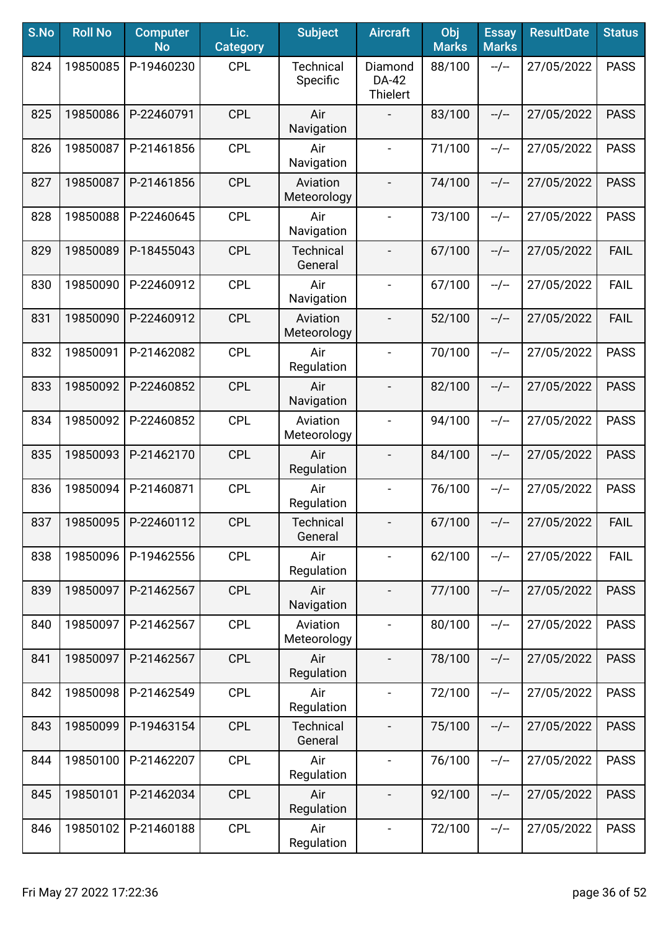| S.No | <b>Roll No</b> | <b>Computer</b><br><b>No</b> | Lic.<br><b>Category</b> | <b>Subject</b>               | <b>Aircraft</b>                     | Obj<br><b>Marks</b> | <b>Essay</b><br><b>Marks</b> | <b>ResultDate</b> | <b>Status</b> |
|------|----------------|------------------------------|-------------------------|------------------------------|-------------------------------------|---------------------|------------------------------|-------------------|---------------|
| 824  | 19850085       | P-19460230                   | <b>CPL</b>              | <b>Technical</b><br>Specific | Diamond<br>DA-42<br><b>Thielert</b> | 88/100              | $-/-$                        | 27/05/2022        | <b>PASS</b>   |
| 825  | 19850086       | P-22460791                   | <b>CPL</b>              | Air<br>Navigation            |                                     | 83/100              | $-/-$                        | 27/05/2022        | <b>PASS</b>   |
| 826  | 19850087       | P-21461856                   | <b>CPL</b>              | Air<br>Navigation            | $\blacksquare$                      | 71/100              | $-/-$                        | 27/05/2022        | <b>PASS</b>   |
| 827  | 19850087       | P-21461856                   | <b>CPL</b>              | Aviation<br>Meteorology      |                                     | 74/100              | $-/-$                        | 27/05/2022        | <b>PASS</b>   |
| 828  | 19850088       | P-22460645                   | <b>CPL</b>              | Air<br>Navigation            |                                     | 73/100              | $-/-$                        | 27/05/2022        | <b>PASS</b>   |
| 829  | 19850089       | P-18455043                   | <b>CPL</b>              | <b>Technical</b><br>General  |                                     | 67/100              | $-/-$                        | 27/05/2022        | <b>FAIL</b>   |
| 830  | 19850090       | P-22460912                   | <b>CPL</b>              | Air<br>Navigation            | $\overline{\phantom{a}}$            | 67/100              | $-/-$                        | 27/05/2022        | <b>FAIL</b>   |
| 831  | 19850090       | P-22460912                   | <b>CPL</b>              | Aviation<br>Meteorology      | $\overline{\phantom{a}}$            | 52/100              | $-/-$                        | 27/05/2022        | <b>FAIL</b>   |
| 832  | 19850091       | P-21462082                   | <b>CPL</b>              | Air<br>Regulation            | $\frac{1}{2}$                       | 70/100              | $-/-$                        | 27/05/2022        | <b>PASS</b>   |
| 833  | 19850092       | P-22460852                   | <b>CPL</b>              | Air<br>Navigation            |                                     | 82/100              | $-/-$                        | 27/05/2022        | <b>PASS</b>   |
| 834  | 19850092       | P-22460852                   | <b>CPL</b>              | Aviation<br>Meteorology      |                                     | 94/100              | $-/-$                        | 27/05/2022        | <b>PASS</b>   |
| 835  | 19850093       | P-21462170                   | <b>CPL</b>              | Air<br>Regulation            |                                     | 84/100              | $-/-$                        | 27/05/2022        | <b>PASS</b>   |
| 836  | 19850094       | P-21460871                   | <b>CPL</b>              | Air<br>Regulation            | $\overline{\phantom{a}}$            | 76/100              | $-/-$                        | 27/05/2022        | <b>PASS</b>   |
| 837  | 19850095       | P-22460112                   | <b>CPL</b>              | Technical<br>General         | $\overline{\phantom{0}}$            | 67/100              | --/--                        | 27/05/2022        | <b>FAIL</b>   |
| 838  | 19850096       | P-19462556                   | <b>CPL</b>              | Air<br>Regulation            | $\overline{\phantom{a}}$            | 62/100              | $-/-$                        | 27/05/2022        | <b>FAIL</b>   |
| 839  | 19850097       | P-21462567                   | <b>CPL</b>              | Air<br>Navigation            | $\blacksquare$                      | 77/100              | $-/-$                        | 27/05/2022        | <b>PASS</b>   |
| 840  | 19850097       | P-21462567                   | <b>CPL</b>              | Aviation<br>Meteorology      | $\blacksquare$                      | 80/100              | $-/-$                        | 27/05/2022        | <b>PASS</b>   |
| 841  | 19850097       | P-21462567                   | <b>CPL</b>              | Air<br>Regulation            | $\blacksquare$                      | 78/100              | $-/-$                        | 27/05/2022        | <b>PASS</b>   |
| 842  | 19850098       | P-21462549                   | <b>CPL</b>              | Air<br>Regulation            | $\overline{\phantom{a}}$            | 72/100              | $-/-$                        | 27/05/2022        | <b>PASS</b>   |
| 843  | 19850099       | P-19463154                   | <b>CPL</b>              | <b>Technical</b><br>General  |                                     | 75/100              | $-/-$                        | 27/05/2022        | <b>PASS</b>   |
| 844  | 19850100       | P-21462207                   | <b>CPL</b>              | Air<br>Regulation            | $\blacksquare$                      | 76/100              | --/--                        | 27/05/2022        | <b>PASS</b>   |
| 845  | 19850101       | P-21462034                   | <b>CPL</b>              | Air<br>Regulation            | $\overline{\phantom{a}}$            | 92/100              | $-/-$                        | 27/05/2022        | <b>PASS</b>   |
| 846  | 19850102       | P-21460188                   | <b>CPL</b>              | Air<br>Regulation            | $\blacksquare$                      | 72/100              | --/--                        | 27/05/2022        | <b>PASS</b>   |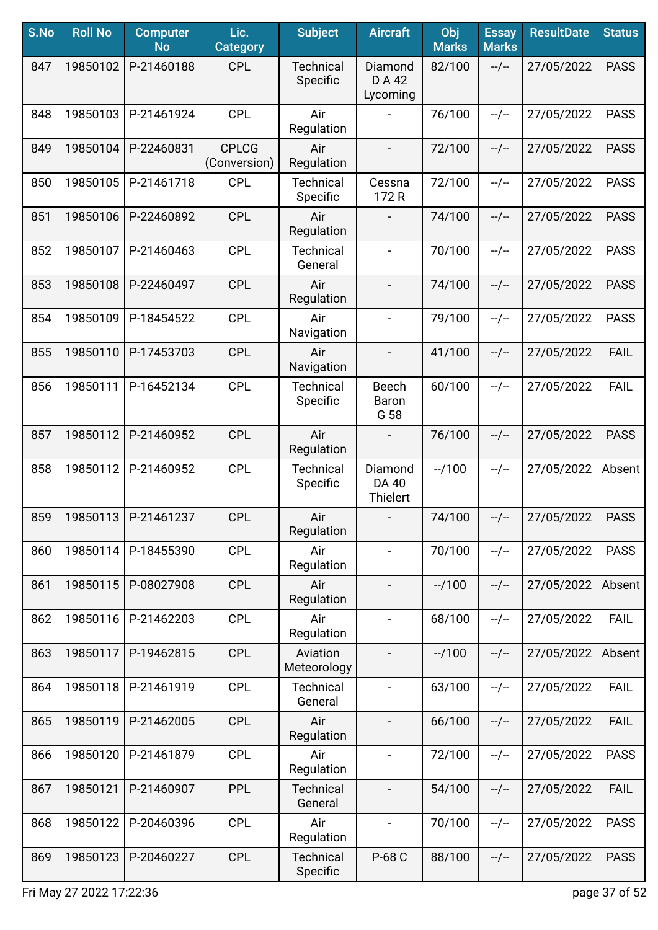| S.No | <b>Roll No</b> | <b>Computer</b><br><b>No</b> | Lic.<br><b>Category</b>      | <b>Subject</b>               | <b>Aircraft</b>                     | Obj<br><b>Marks</b> | <b>Essay</b><br><b>Marks</b> | <b>ResultDate</b> | <b>Status</b> |
|------|----------------|------------------------------|------------------------------|------------------------------|-------------------------------------|---------------------|------------------------------|-------------------|---------------|
| 847  | 19850102       | P-21460188                   | <b>CPL</b>                   | <b>Technical</b><br>Specific | Diamond<br>D A 42<br>Lycoming       | 82/100              | $-/-$                        | 27/05/2022        | <b>PASS</b>   |
| 848  | 19850103       | P-21461924                   | <b>CPL</b>                   | Air<br>Regulation            |                                     | 76/100              | $-/-$                        | 27/05/2022        | <b>PASS</b>   |
| 849  | 19850104       | P-22460831                   | <b>CPLCG</b><br>(Conversion) | Air<br>Regulation            | $\overline{\phantom{a}}$            | 72/100              | $-/-$                        | 27/05/2022        | <b>PASS</b>   |
| 850  | 19850105       | P-21461718                   | <b>CPL</b>                   | <b>Technical</b><br>Specific | Cessna<br>172R                      | 72/100              | $-/-$                        | 27/05/2022        | <b>PASS</b>   |
| 851  | 19850106       | P-22460892                   | <b>CPL</b>                   | Air<br>Regulation            |                                     | 74/100              | $-/-$                        | 27/05/2022        | <b>PASS</b>   |
| 852  | 19850107       | P-21460463                   | <b>CPL</b>                   | <b>Technical</b><br>General  |                                     | 70/100              | $-/-$                        | 27/05/2022        | <b>PASS</b>   |
| 853  | 19850108       | P-22460497                   | <b>CPL</b>                   | Air<br>Regulation            | $\overline{\phantom{a}}$            | 74/100              | $-/-$                        | 27/05/2022        | <b>PASS</b>   |
| 854  | 19850109       | P-18454522                   | <b>CPL</b>                   | Air<br>Navigation            | $\blacksquare$                      | 79/100              | $-/-$                        | 27/05/2022        | <b>PASS</b>   |
| 855  | 19850110       | P-17453703                   | <b>CPL</b>                   | Air<br>Navigation            | $\blacksquare$                      | 41/100              | $-/-$                        | 27/05/2022        | <b>FAIL</b>   |
| 856  | 19850111       | P-16452134                   | <b>CPL</b>                   | <b>Technical</b><br>Specific | <b>Beech</b><br>Baron<br>G 58       | 60/100              | $-/-$                        | 27/05/2022        | <b>FAIL</b>   |
| 857  | 19850112       | P-21460952                   | <b>CPL</b>                   | Air<br>Regulation            |                                     | 76/100              | $-/-$                        | 27/05/2022        | <b>PASS</b>   |
| 858  | 19850112       | P-21460952                   | <b>CPL</b>                   | <b>Technical</b><br>Specific | Diamond<br>DA 40<br><b>Thielert</b> | $-1100$             | $-/-$                        | 27/05/2022        | Absent        |
| 859  | 19850113       | P-21461237                   | <b>CPL</b>                   | Air<br>Regulation            |                                     | 74/100              | $-/-$                        | 27/05/2022        | <b>PASS</b>   |
| 860  | 19850114       | P-18455390                   | <b>CPL</b>                   | Air<br>Regulation            | $\blacksquare$                      | 70/100              | $-/-$                        | 27/05/2022        | <b>PASS</b>   |
| 861  | 19850115       | P-08027908                   | <b>CPL</b>                   | Air<br>Regulation            |                                     | $-1100$             | $-/-$                        | 27/05/2022        | Absent        |
| 862  | 19850116       | P-21462203                   | <b>CPL</b>                   | Air<br>Regulation            | $\blacksquare$                      | 68/100              | $-/-$                        | 27/05/2022        | <b>FAIL</b>   |
| 863  | 19850117       | P-19462815                   | <b>CPL</b>                   | Aviation<br>Meteorology      |                                     | $-1/100$            | $-/-$                        | 27/05/2022        | Absent        |
| 864  | 19850118       | P-21461919                   | <b>CPL</b>                   | <b>Technical</b><br>General  |                                     | 63/100              | $-/-$                        | 27/05/2022        | <b>FAIL</b>   |
| 865  | 19850119       | P-21462005                   | <b>CPL</b>                   | Air<br>Regulation            |                                     | 66/100              | $-/-$                        | 27/05/2022        | <b>FAIL</b>   |
| 866  | 19850120       | P-21461879                   | <b>CPL</b>                   | Air<br>Regulation            | $\blacksquare$                      | 72/100              | $-/-$                        | 27/05/2022        | <b>PASS</b>   |
| 867  | 19850121       | P-21460907                   | <b>PPL</b>                   | <b>Technical</b><br>General  | $\overline{\phantom{a}}$            | 54/100              | $-/-$                        | 27/05/2022        | <b>FAIL</b>   |
| 868  | 19850122       | P-20460396                   | <b>CPL</b>                   | Air<br>Regulation            | $\blacksquare$                      | 70/100              | $-/-$                        | 27/05/2022        | <b>PASS</b>   |
| 869  | 19850123       | P-20460227                   | <b>CPL</b>                   | <b>Technical</b><br>Specific | P-68 C                              | 88/100              | $-/-$                        | 27/05/2022        | <b>PASS</b>   |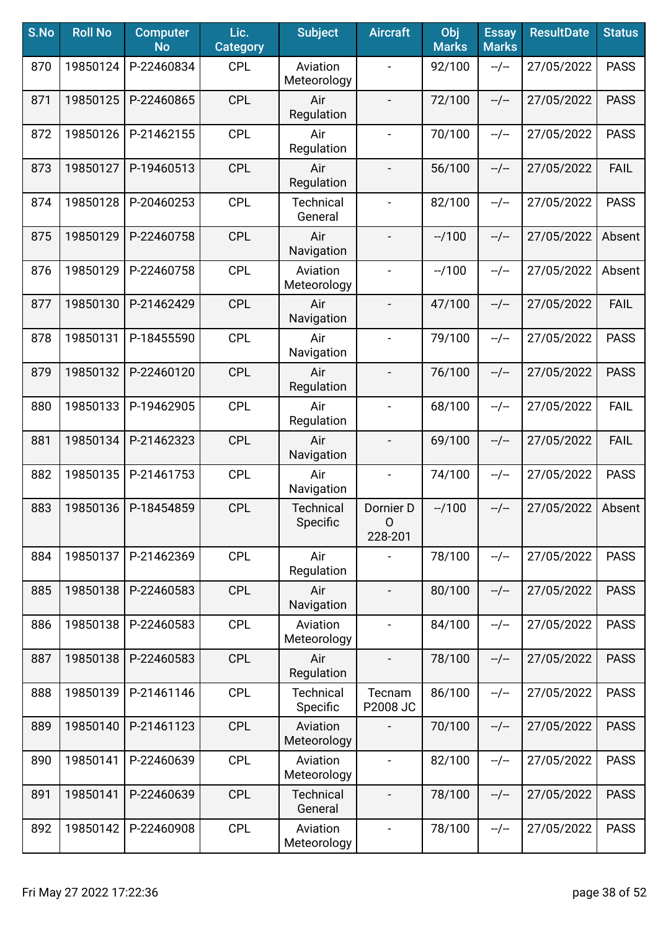| S.No | <b>Roll No</b> | <b>Computer</b><br><b>No</b> | Lic.<br><b>Category</b> | <b>Subject</b>               | <b>Aircraft</b>           | Obj<br><b>Marks</b> | <b>Essay</b><br><b>Marks</b> | <b>ResultDate</b> | <b>Status</b> |
|------|----------------|------------------------------|-------------------------|------------------------------|---------------------------|---------------------|------------------------------|-------------------|---------------|
| 870  | 19850124       | P-22460834                   | <b>CPL</b>              | Aviation<br>Meteorology      |                           | 92/100              | $-/-$                        | 27/05/2022        | <b>PASS</b>   |
| 871  | 19850125       | P-22460865                   | <b>CPL</b>              | Air<br>Regulation            | $\overline{\phantom{a}}$  | 72/100              | $-/-$                        | 27/05/2022        | <b>PASS</b>   |
| 872  | 19850126       | P-21462155                   | <b>CPL</b>              | Air<br>Regulation            | $\blacksquare$            | 70/100              | $-/-$                        | 27/05/2022        | <b>PASS</b>   |
| 873  | 19850127       | P-19460513                   | <b>CPL</b>              | Air<br>Regulation            |                           | 56/100              | $-/-$                        | 27/05/2022        | <b>FAIL</b>   |
| 874  | 19850128       | P-20460253                   | <b>CPL</b>              | <b>Technical</b><br>General  | $\overline{\phantom{a}}$  | 82/100              | $-/-$                        | 27/05/2022        | <b>PASS</b>   |
| 875  | 19850129       | P-22460758                   | <b>CPL</b>              | Air<br>Navigation            | $\overline{\phantom{a}}$  | $-1100$             | $-/-$                        | 27/05/2022        | Absent        |
| 876  | 19850129       | P-22460758                   | <b>CPL</b>              | Aviation<br>Meteorology      |                           | $-1100$             | $-/-$                        | 27/05/2022        | Absent        |
| 877  | 19850130       | P-21462429                   | <b>CPL</b>              | Air<br>Navigation            | $\overline{\phantom{a}}$  | 47/100              | $-/-$                        | 27/05/2022        | <b>FAIL</b>   |
| 878  | 19850131       | P-18455590                   | <b>CPL</b>              | Air<br>Navigation            | $\blacksquare$            | 79/100              | $-/-$                        | 27/05/2022        | <b>PASS</b>   |
| 879  | 19850132       | P-22460120                   | <b>CPL</b>              | Air<br>Regulation            | $\overline{\phantom{a}}$  | 76/100              | $-/-$                        | 27/05/2022        | <b>PASS</b>   |
| 880  | 19850133       | P-19462905                   | <b>CPL</b>              | Air<br>Regulation            | $\overline{\phantom{a}}$  | 68/100              | $-/-$                        | 27/05/2022        | <b>FAIL</b>   |
| 881  | 19850134       | P-21462323                   | <b>CPL</b>              | Air<br>Navigation            | $\blacksquare$            | 69/100              | $-/-$                        | 27/05/2022        | <b>FAIL</b>   |
| 882  | 19850135       | P-21461753                   | <b>CPL</b>              | Air<br>Navigation            | $\blacksquare$            | 74/100              | $-/-$                        | 27/05/2022        | <b>PASS</b>   |
| 883  | 19850136       | P-18454859                   | <b>CPL</b>              | <b>Technical</b><br>Specific | Dornier D<br>0<br>228-201 | $-1100$             | $-/-$                        | 27/05/2022        | Absent        |
| 884  | 19850137       | P-21462369                   | <b>CPL</b>              | Air<br>Regulation            |                           | 78/100              | $-/-$                        | 27/05/2022        | <b>PASS</b>   |
| 885  | 19850138       | P-22460583                   | <b>CPL</b>              | Air<br>Navigation            | $\overline{\phantom{a}}$  | 80/100              | $-/-$                        | 27/05/2022        | <b>PASS</b>   |
| 886  | 19850138       | P-22460583                   | <b>CPL</b>              | Aviation<br>Meteorology      | $\overline{\phantom{a}}$  | 84/100              | $-/-$                        | 27/05/2022        | <b>PASS</b>   |
| 887  | 19850138       | P-22460583                   | <b>CPL</b>              | Air<br>Regulation            |                           | 78/100              | $-/-$                        | 27/05/2022        | <b>PASS</b>   |
| 888  | 19850139       | P-21461146                   | <b>CPL</b>              | <b>Technical</b><br>Specific | Tecnam<br>P2008 JC        | 86/100              | $-/-$                        | 27/05/2022        | <b>PASS</b>   |
| 889  | 19850140       | P-21461123                   | <b>CPL</b>              | Aviation<br>Meteorology      |                           | 70/100              | $-/-$                        | 27/05/2022        | <b>PASS</b>   |
| 890  | 19850141       | P-22460639                   | <b>CPL</b>              | Aviation<br>Meteorology      |                           | 82/100              | $-/-$                        | 27/05/2022        | <b>PASS</b>   |
| 891  | 19850141       | P-22460639                   | <b>CPL</b>              | <b>Technical</b><br>General  | $\overline{\phantom{a}}$  | 78/100              | $-/-$                        | 27/05/2022        | <b>PASS</b>   |
| 892  | 19850142       | P-22460908                   | <b>CPL</b>              | Aviation<br>Meteorology      | $\blacksquare$            | 78/100              | --/--                        | 27/05/2022        | <b>PASS</b>   |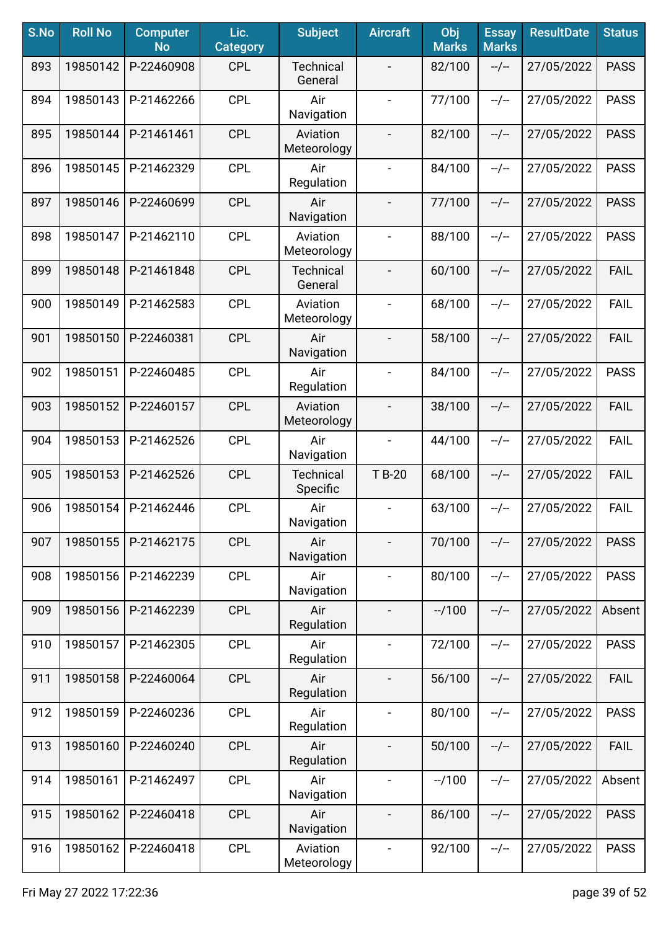| S.No | <b>Roll No</b> | <b>Computer</b><br><b>No</b> | Lic.<br><b>Category</b> | <b>Subject</b>               | <b>Aircraft</b>          | Obj<br><b>Marks</b> | <b>Essay</b><br><b>Marks</b> | <b>ResultDate</b> | <b>Status</b> |
|------|----------------|------------------------------|-------------------------|------------------------------|--------------------------|---------------------|------------------------------|-------------------|---------------|
| 893  | 19850142       | P-22460908                   | <b>CPL</b>              | <b>Technical</b><br>General  |                          | 82/100              | $-/-$                        | 27/05/2022        | <b>PASS</b>   |
| 894  | 19850143       | P-21462266                   | <b>CPL</b>              | Air<br>Navigation            | $\blacksquare$           | 77/100              | $-/-$                        | 27/05/2022        | <b>PASS</b>   |
| 895  | 19850144       | P-21461461                   | <b>CPL</b>              | Aviation<br>Meteorology      | $\blacksquare$           | 82/100              | $-/-$                        | 27/05/2022        | <b>PASS</b>   |
| 896  | 19850145       | P-21462329                   | <b>CPL</b>              | Air<br>Regulation            | $\blacksquare$           | 84/100              | $-/-$                        | 27/05/2022        | <b>PASS</b>   |
| 897  | 19850146       | P-22460699                   | <b>CPL</b>              | Air<br>Navigation            | $\overline{\phantom{a}}$ | 77/100              | $-/-$                        | 27/05/2022        | <b>PASS</b>   |
| 898  | 19850147       | P-21462110                   | <b>CPL</b>              | Aviation<br>Meteorology      |                          | 88/100              | $-/-$                        | 27/05/2022        | <b>PASS</b>   |
| 899  | 19850148       | P-21461848                   | <b>CPL</b>              | <b>Technical</b><br>General  |                          | 60/100              | $-/-$                        | 27/05/2022        | <b>FAIL</b>   |
| 900  | 19850149       | P-21462583                   | <b>CPL</b>              | Aviation<br>Meteorology      | $\blacksquare$           | 68/100              | $-/-$                        | 27/05/2022        | <b>FAIL</b>   |
| 901  | 19850150       | P-22460381                   | <b>CPL</b>              | Air<br>Navigation            | $\overline{\phantom{a}}$ | 58/100              | $-/-$                        | 27/05/2022        | <b>FAIL</b>   |
| 902  | 19850151       | P-22460485                   | <b>CPL</b>              | Air<br>Regulation            | $\blacksquare$           | 84/100              | $-/-$                        | 27/05/2022        | <b>PASS</b>   |
| 903  | 19850152       | P-22460157                   | <b>CPL</b>              | Aviation<br>Meteorology      |                          | 38/100              | $-/-$                        | 27/05/2022        | <b>FAIL</b>   |
| 904  | 19850153       | P-21462526                   | <b>CPL</b>              | Air<br>Navigation            | $\blacksquare$           | 44/100              | $-/-$                        | 27/05/2022        | <b>FAIL</b>   |
| 905  | 19850153       | P-21462526                   | <b>CPL</b>              | <b>Technical</b><br>Specific | T B-20                   | 68/100              | $-/-$                        | 27/05/2022        | <b>FAIL</b>   |
| 906  | 19850154       | P-21462446                   | <b>CPL</b>              | Air<br>Navigation            | $\overline{\phantom{a}}$ | 63/100              | $-/-$                        | 27/05/2022        | <b>FAIL</b>   |
| 907  | 19850155       | P-21462175                   | <b>CPL</b>              | Air<br>Navigation            |                          | 70/100              | $-/-$                        | 27/05/2022        | <b>PASS</b>   |
| 908  | 19850156       | P-21462239                   | <b>CPL</b>              | Air<br>Navigation            | $\blacksquare$           | 80/100              | --/--                        | 27/05/2022        | <b>PASS</b>   |
| 909  | 19850156       | P-21462239                   | <b>CPL</b>              | Air<br>Regulation            | $\overline{\phantom{a}}$ | $-1100$             | $-/-$                        | 27/05/2022        | Absent        |
| 910  | 19850157       | P-21462305                   | <b>CPL</b>              | Air<br>Regulation            | $\blacksquare$           | 72/100              | $-/-$                        | 27/05/2022        | <b>PASS</b>   |
| 911  | 19850158       | P-22460064                   | <b>CPL</b>              | Air<br>Regulation            | $\overline{\phantom{a}}$ | 56/100              | $-/-$                        | 27/05/2022        | <b>FAIL</b>   |
| 912  | 19850159       | P-22460236                   | <b>CPL</b>              | Air<br>Regulation            | $\blacksquare$           | 80/100              | $-/-$                        | 27/05/2022        | <b>PASS</b>   |
| 913  | 19850160       | P-22460240                   | <b>CPL</b>              | Air<br>Regulation            | $\overline{\phantom{a}}$ | 50/100              | $-/-$                        | 27/05/2022        | <b>FAIL</b>   |
| 914  | 19850161       | P-21462497                   | <b>CPL</b>              | Air<br>Navigation            | $\blacksquare$           | $-1100$             | $-/-$                        | 27/05/2022        | Absent        |
| 915  | 19850162       | P-22460418                   | <b>CPL</b>              | Air<br>Navigation            | $\overline{\phantom{a}}$ | 86/100              | $-/-$                        | 27/05/2022        | <b>PASS</b>   |
| 916  | 19850162       | P-22460418                   | <b>CPL</b>              | Aviation<br>Meteorology      | $\blacksquare$           | 92/100              | $-/-$                        | 27/05/2022        | <b>PASS</b>   |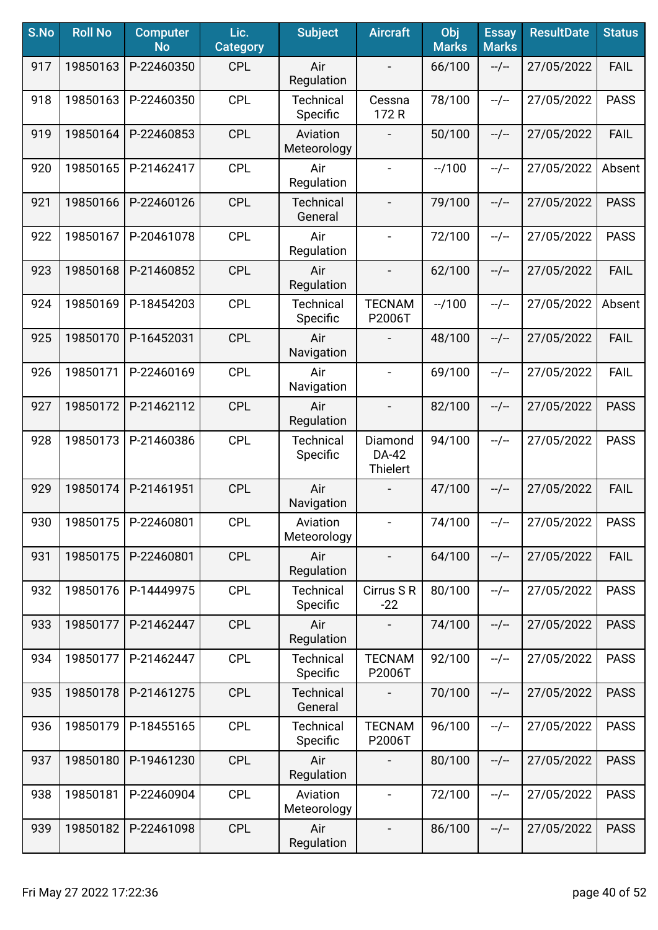| S.No | <b>Roll No</b> | <b>Computer</b><br><b>No</b> | Lic.<br><b>Category</b> | <b>Subject</b>               | <b>Aircraft</b>              | Obj<br><b>Marks</b> | <b>Essay</b><br><b>Marks</b> | <b>ResultDate</b> | <b>Status</b> |
|------|----------------|------------------------------|-------------------------|------------------------------|------------------------------|---------------------|------------------------------|-------------------|---------------|
| 917  | 19850163       | P-22460350                   | <b>CPL</b>              | Air<br>Regulation            |                              | 66/100              | $-/-$                        | 27/05/2022        | <b>FAIL</b>   |
| 918  | 19850163       | P-22460350                   | CPL                     | <b>Technical</b><br>Specific | Cessna<br>172 R              | 78/100              | $-/-$                        | 27/05/2022        | <b>PASS</b>   |
| 919  | 19850164       | P-22460853                   | <b>CPL</b>              | Aviation<br>Meteorology      |                              | 50/100              | $-/-$                        | 27/05/2022        | <b>FAIL</b>   |
| 920  | 19850165       | P-21462417                   | <b>CPL</b>              | Air<br>Regulation            | $\overline{\phantom{0}}$     | $-1100$             | $-/-$                        | 27/05/2022        | Absent        |
| 921  | 19850166       | P-22460126                   | <b>CPL</b>              | <b>Technical</b><br>General  | $\overline{\phantom{0}}$     | 79/100              | $-/-$                        | 27/05/2022        | <b>PASS</b>   |
| 922  | 19850167       | P-20461078                   | CPL                     | Air<br>Regulation            | $\qquad \qquad -$            | 72/100              | $-/-$                        | 27/05/2022        | <b>PASS</b>   |
| 923  | 19850168       | P-21460852                   | <b>CPL</b>              | Air<br>Regulation            |                              | 62/100              | $-/-$                        | 27/05/2022        | <b>FAIL</b>   |
| 924  | 19850169       | P-18454203                   | <b>CPL</b>              | <b>Technical</b><br>Specific | <b>TECNAM</b><br>P2006T      | $-1100$             | $-/-$                        | 27/05/2022        | Absent        |
| 925  | 19850170       | P-16452031                   | <b>CPL</b>              | Air<br>Navigation            |                              | 48/100              | $-/-$                        | 27/05/2022        | <b>FAIL</b>   |
| 926  | 19850171       | P-22460169                   | <b>CPL</b>              | Air<br>Navigation            | $\blacksquare$               | 69/100              | $-/-$                        | 27/05/2022        | <b>FAIL</b>   |
| 927  | 19850172       | P-21462112                   | <b>CPL</b>              | Air<br>Regulation            | $\blacksquare$               | 82/100              | $-/-$                        | 27/05/2022        | <b>PASS</b>   |
| 928  | 19850173       | P-21460386                   | <b>CPL</b>              | Technical<br>Specific        | Diamond<br>DA-42<br>Thielert | 94/100              | $-/-$                        | 27/05/2022        | <b>PASS</b>   |
| 929  | 19850174       | P-21461951                   | <b>CPL</b>              | Air<br>Navigation            |                              | 47/100              | $-/-$                        | 27/05/2022        | <b>FAIL</b>   |
| 930  | 19850175       | P-22460801                   | <b>CPL</b>              | Aviation<br>Meteorology      | $\blacksquare$               | 74/100              | --/--                        | 27/05/2022        | <b>PASS</b>   |
| 931  | 19850175       | P-22460801                   | <b>CPL</b>              | Air<br>Regulation            |                              | 64/100              | $-/-$                        | 27/05/2022        | <b>FAIL</b>   |
| 932  | 19850176       | P-14449975                   | <b>CPL</b>              | <b>Technical</b><br>Specific | Cirrus S R<br>$-22$          | 80/100              | $-/-$                        | 27/05/2022        | <b>PASS</b>   |
| 933  | 19850177       | P-21462447                   | <b>CPL</b>              | Air<br>Regulation            |                              | 74/100              | $-/-$                        | 27/05/2022        | <b>PASS</b>   |
| 934  | 19850177       | P-21462447                   | <b>CPL</b>              | <b>Technical</b><br>Specific | <b>TECNAM</b><br>P2006T      | 92/100              | $-/-$                        | 27/05/2022        | <b>PASS</b>   |
| 935  | 19850178       | P-21461275                   | <b>CPL</b>              | <b>Technical</b><br>General  |                              | 70/100              | $-/-$                        | 27/05/2022        | <b>PASS</b>   |
| 936  | 19850179       | P-18455165                   | <b>CPL</b>              | <b>Technical</b><br>Specific | <b>TECNAM</b><br>P2006T      | 96/100              | $-/-$                        | 27/05/2022        | <b>PASS</b>   |
| 937  | 19850180       | P-19461230                   | <b>CPL</b>              | Air<br>Regulation            |                              | 80/100              | $-/-$                        | 27/05/2022        | <b>PASS</b>   |
| 938  | 19850181       | P-22460904                   | <b>CPL</b>              | Aviation<br>Meteorology      | $\qquad \qquad \blacksquare$ | 72/100              | $-/-$                        | 27/05/2022        | <b>PASS</b>   |
| 939  | 19850182       | P-22461098                   | <b>CPL</b>              | Air<br>Regulation            | $\overline{\phantom{a}}$     | 86/100              | --/--                        | 27/05/2022        | <b>PASS</b>   |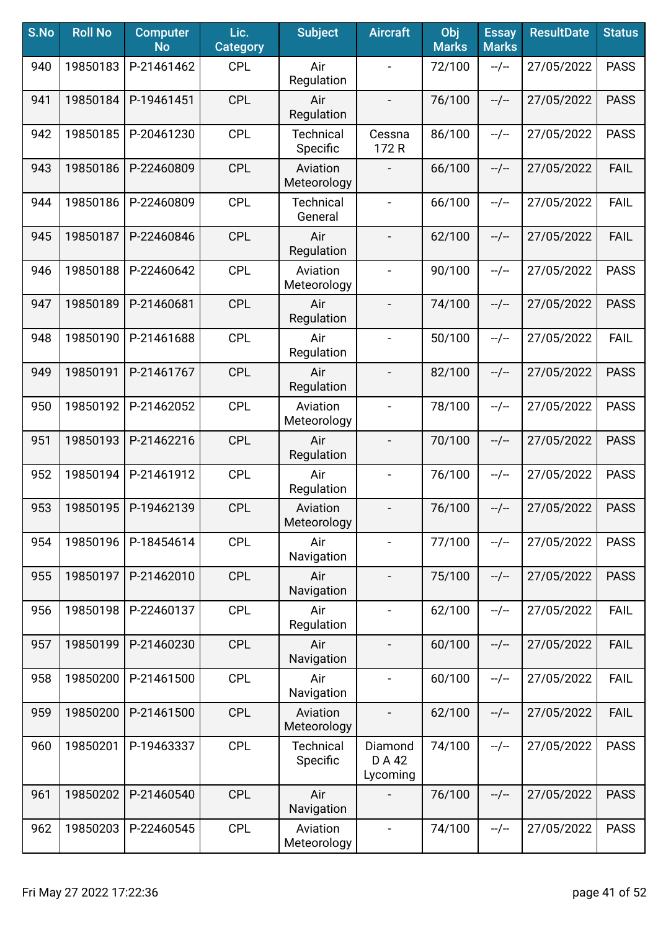| S.No | <b>Roll No</b> | <b>Computer</b><br><b>No</b> | Lic.<br><b>Category</b> | <b>Subject</b>               | <b>Aircraft</b>               | Obj<br><b>Marks</b> | <b>Essay</b><br><b>Marks</b> | <b>ResultDate</b> | <b>Status</b> |
|------|----------------|------------------------------|-------------------------|------------------------------|-------------------------------|---------------------|------------------------------|-------------------|---------------|
| 940  | 19850183       | P-21461462                   | <b>CPL</b>              | Air<br>Regulation            |                               | 72/100              | $-/-$                        | 27/05/2022        | <b>PASS</b>   |
| 941  | 19850184       | P-19461451                   | <b>CPL</b>              | Air<br>Regulation            | $\overline{\phantom{a}}$      | 76/100              | $-/-$                        | 27/05/2022        | <b>PASS</b>   |
| 942  | 19850185       | P-20461230                   | <b>CPL</b>              | Technical<br>Specific        | Cessna<br>172 R               | 86/100              | $-/-$                        | 27/05/2022        | <b>PASS</b>   |
| 943  | 19850186       | P-22460809                   | <b>CPL</b>              | Aviation<br>Meteorology      |                               | 66/100              | $-/-$                        | 27/05/2022        | <b>FAIL</b>   |
| 944  | 19850186       | P-22460809                   | <b>CPL</b>              | <b>Technical</b><br>General  | $\blacksquare$                | 66/100              | $-/-$                        | 27/05/2022        | <b>FAIL</b>   |
| 945  | 19850187       | P-22460846                   | <b>CPL</b>              | Air<br>Regulation            | $\overline{\phantom{a}}$      | 62/100              | $-/-$                        | 27/05/2022        | <b>FAIL</b>   |
| 946  | 19850188       | P-22460642                   | <b>CPL</b>              | Aviation<br>Meteorology      |                               | 90/100              | $-/-$                        | 27/05/2022        | <b>PASS</b>   |
| 947  | 19850189       | P-21460681                   | <b>CPL</b>              | Air<br>Regulation            | $\overline{\phantom{a}}$      | 74/100              | $-/-$                        | 27/05/2022        | <b>PASS</b>   |
| 948  | 19850190       | P-21461688                   | <b>CPL</b>              | Air<br>Regulation            | $\blacksquare$                | 50/100              | $-/-$                        | 27/05/2022        | <b>FAIL</b>   |
| 949  | 19850191       | P-21461767                   | <b>CPL</b>              | Air<br>Regulation            | $\overline{\phantom{a}}$      | 82/100              | $-/-$                        | 27/05/2022        | <b>PASS</b>   |
| 950  | 19850192       | P-21462052                   | <b>CPL</b>              | Aviation<br>Meteorology      | $\overline{\phantom{a}}$      | 78/100              | $-/-$                        | 27/05/2022        | <b>PASS</b>   |
| 951  | 19850193       | P-21462216                   | <b>CPL</b>              | Air<br>Regulation            | $\blacksquare$                | 70/100              | $-/-$                        | 27/05/2022        | <b>PASS</b>   |
| 952  | 19850194       | P-21461912                   | <b>CPL</b>              | Air<br>Regulation            | $\blacksquare$                | 76/100              | $-/-$                        | 27/05/2022        | <b>PASS</b>   |
| 953  | 19850195       | P-19462139                   | <b>CPL</b>              | Aviation<br>Meteorology      | $\qquad \qquad \blacksquare$  | 76/100              | $-/-$                        | 27/05/2022        | <b>PASS</b>   |
| 954  | 19850196       | P-18454614                   | <b>CPL</b>              | Air<br>Navigation            |                               | 77/100              | $-/-$                        | 27/05/2022        | <b>PASS</b>   |
| 955  | 19850197       | P-21462010                   | <b>CPL</b>              | Air<br>Navigation            | $\overline{\phantom{a}}$      | 75/100              | $-/-$                        | 27/05/2022        | <b>PASS</b>   |
| 956  | 19850198       | P-22460137                   | <b>CPL</b>              | Air<br>Regulation            | $\blacksquare$                | 62/100              | $-/-$                        | 27/05/2022        | <b>FAIL</b>   |
| 957  | 19850199       | P-21460230                   | <b>CPL</b>              | Air<br>Navigation            | $\overline{\phantom{a}}$      | 60/100              | $-/-$                        | 27/05/2022        | <b>FAIL</b>   |
| 958  | 19850200       | P-21461500                   | <b>CPL</b>              | Air<br>Navigation            |                               | 60/100              | $-/-$                        | 27/05/2022        | <b>FAIL</b>   |
| 959  | 19850200       | P-21461500                   | <b>CPL</b>              | Aviation<br>Meteorology      |                               | 62/100              | $-/-$                        | 27/05/2022        | <b>FAIL</b>   |
| 960  | 19850201       | P-19463337                   | <b>CPL</b>              | <b>Technical</b><br>Specific | Diamond<br>D A 42<br>Lycoming | 74/100              | $-/-$                        | 27/05/2022        | <b>PASS</b>   |
| 961  | 19850202       | P-21460540                   | <b>CPL</b>              | Air<br>Navigation            |                               | 76/100              | $-/-$                        | 27/05/2022        | <b>PASS</b>   |
| 962  | 19850203       | P-22460545                   | <b>CPL</b>              | Aviation<br>Meteorology      | $\blacksquare$                | 74/100              | --/--                        | 27/05/2022        | <b>PASS</b>   |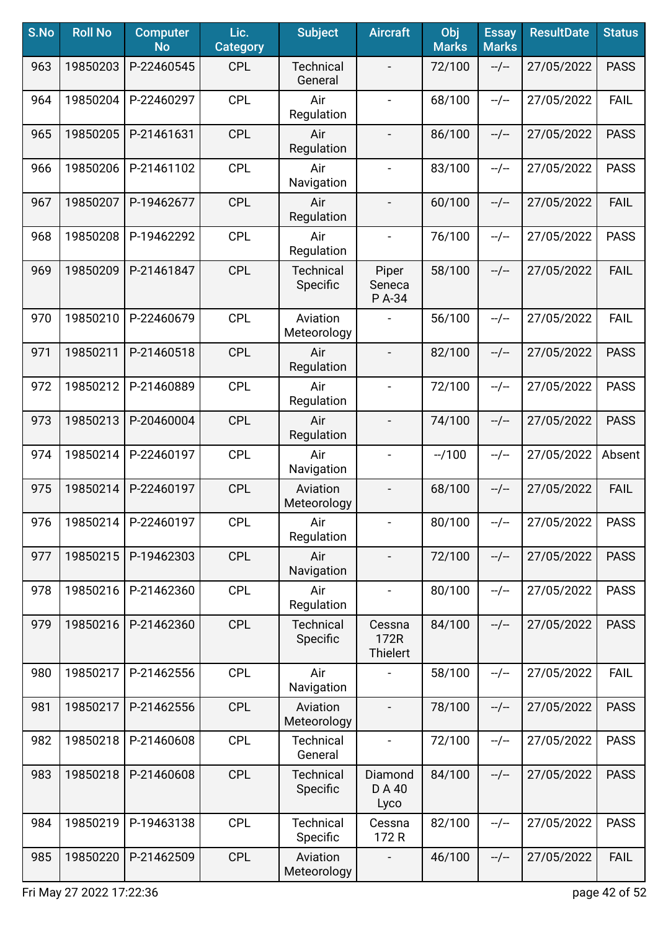| S.No | <b>Roll No</b> | <b>Computer</b><br><b>No</b> | Lic.<br><b>Category</b> | <b>Subject</b>               | <b>Aircraft</b>                   | Obj<br><b>Marks</b> | <b>Essay</b><br><b>Marks</b> | <b>ResultDate</b> | <b>Status</b> |
|------|----------------|------------------------------|-------------------------|------------------------------|-----------------------------------|---------------------|------------------------------|-------------------|---------------|
| 963  | 19850203       | P-22460545                   | <b>CPL</b>              | <b>Technical</b><br>General  |                                   | 72/100              | $-/-$                        | 27/05/2022        | <b>PASS</b>   |
| 964  | 19850204       | P-22460297                   | <b>CPL</b>              | Air<br>Regulation            | $\blacksquare$                    | 68/100              | $-/-$                        | 27/05/2022        | <b>FAIL</b>   |
| 965  | 19850205       | P-21461631                   | <b>CPL</b>              | Air<br>Regulation            | $\overline{\phantom{a}}$          | 86/100              | $-/-$                        | 27/05/2022        | <b>PASS</b>   |
| 966  | 19850206       | P-21461102                   | <b>CPL</b>              | Air<br>Navigation            | $\blacksquare$                    | 83/100              | $-/-$                        | 27/05/2022        | <b>PASS</b>   |
| 967  | 19850207       | P-19462677                   | <b>CPL</b>              | Air<br>Regulation            | $\blacksquare$                    | 60/100              | $-/-$                        | 27/05/2022        | <b>FAIL</b>   |
| 968  | 19850208       | P-19462292                   | <b>CPL</b>              | Air<br>Regulation            | $\blacksquare$                    | 76/100              | $-/-$                        | 27/05/2022        | <b>PASS</b>   |
| 969  | 19850209       | P-21461847                   | <b>CPL</b>              | <b>Technical</b><br>Specific | Piper<br>Seneca<br>P A-34         | 58/100              | $-/-$                        | 27/05/2022        | <b>FAIL</b>   |
| 970  | 19850210       | P-22460679                   | <b>CPL</b>              | Aviation<br>Meteorology      | $\overline{\phantom{a}}$          | 56/100              | $-/-$                        | 27/05/2022        | FAIL          |
| 971  | 19850211       | P-21460518                   | <b>CPL</b>              | Air<br>Regulation            |                                   | 82/100              | $-/-$                        | 27/05/2022        | <b>PASS</b>   |
| 972  | 19850212       | P-21460889                   | <b>CPL</b>              | Air<br>Regulation            | $\qquad \qquad -$                 | 72/100              | $-/-$                        | 27/05/2022        | <b>PASS</b>   |
| 973  | 19850213       | P-20460004                   | <b>CPL</b>              | Air<br>Regulation            | $\overline{\phantom{a}}$          | 74/100              | $-/-$                        | 27/05/2022        | <b>PASS</b>   |
| 974  | 19850214       | P-22460197                   | <b>CPL</b>              | Air<br>Navigation            |                                   | $-1100$             | $-/-$                        | 27/05/2022        | Absent        |
| 975  | 19850214       | P-22460197                   | <b>CPL</b>              | Aviation<br>Meteorology      |                                   | 68/100              | $-/-$                        | 27/05/2022        | <b>FAIL</b>   |
| 976  | 19850214       | P-22460197                   | <b>CPL</b>              | Air<br>Regulation            |                                   | 80/100              | --/--                        | 27/05/2022        | <b>PASS</b>   |
| 977  | 19850215       | P-19462303                   | <b>CPL</b>              | Air<br>Navigation            |                                   | 72/100              | $-/-$                        | 27/05/2022        | <b>PASS</b>   |
| 978  | 19850216       | P-21462360                   | <b>CPL</b>              | Air<br>Regulation            | $\blacksquare$                    | 80/100              | $-/-$                        | 27/05/2022        | <b>PASS</b>   |
| 979  | 19850216       | P-21462360                   | <b>CPL</b>              | <b>Technical</b><br>Specific | Cessna<br>172R<br><b>Thielert</b> | 84/100              | $-/-$                        | 27/05/2022        | <b>PASS</b>   |
| 980  | 19850217       | P-21462556                   | <b>CPL</b>              | Air<br>Navigation            |                                   | 58/100              | $-/-$                        | 27/05/2022        | <b>FAIL</b>   |
| 981  | 19850217       | P-21462556                   | <b>CPL</b>              | Aviation<br>Meteorology      |                                   | 78/100              | $-/-$                        | 27/05/2022        | <b>PASS</b>   |
| 982  | 19850218       | P-21460608                   | <b>CPL</b>              | <b>Technical</b><br>General  |                                   | 72/100              | $-/-$                        | 27/05/2022        | <b>PASS</b>   |
| 983  | 19850218       | P-21460608                   | <b>CPL</b>              | <b>Technical</b><br>Specific | Diamond<br>DA40<br>Lyco           | 84/100              | $-/-$                        | 27/05/2022        | <b>PASS</b>   |
| 984  | 19850219       | P-19463138                   | <b>CPL</b>              | <b>Technical</b><br>Specific | Cessna<br>172 R                   | 82/100              | $-/-$                        | 27/05/2022        | <b>PASS</b>   |
| 985  | 19850220       | P-21462509                   | <b>CPL</b>              | Aviation<br>Meteorology      |                                   | 46/100              | $-/-$                        | 27/05/2022        | <b>FAIL</b>   |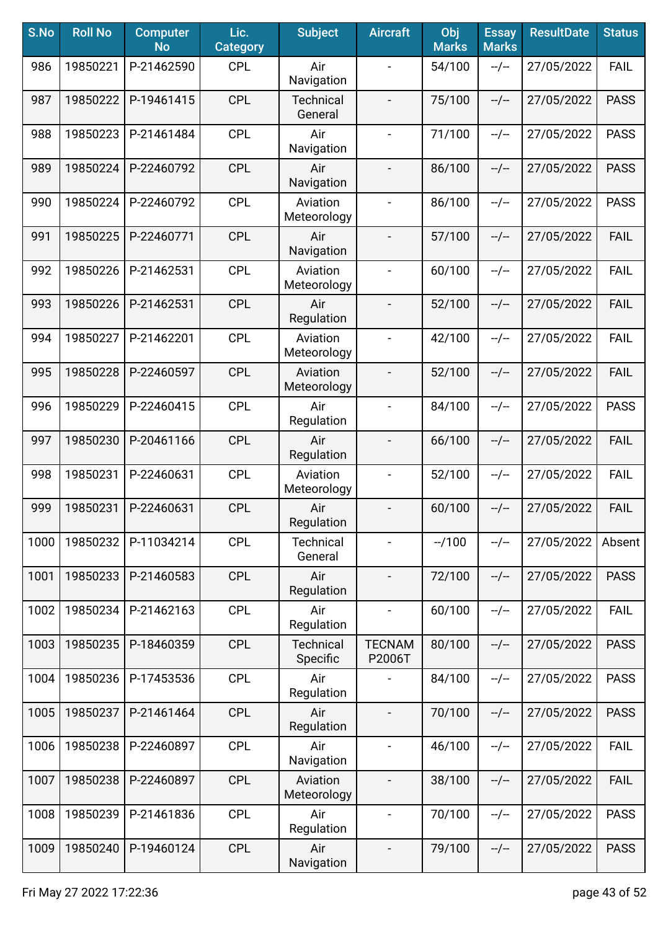| S.No | <b>Roll No</b> | <b>Computer</b><br><b>No</b> | Lic.<br><b>Category</b> | <b>Subject</b>              | <b>Aircraft</b>          | Obj<br><b>Marks</b> | <b>Essay</b><br><b>Marks</b> | <b>ResultDate</b> | <b>Status</b> |
|------|----------------|------------------------------|-------------------------|-----------------------------|--------------------------|---------------------|------------------------------|-------------------|---------------|
| 986  | 19850221       | P-21462590                   | <b>CPL</b>              | Air<br>Navigation           |                          | 54/100              | $-/-$                        | 27/05/2022        | <b>FAIL</b>   |
| 987  | 19850222       | P-19461415                   | <b>CPL</b>              | <b>Technical</b><br>General |                          | 75/100              | $-/-$                        | 27/05/2022        | <b>PASS</b>   |
| 988  | 19850223       | P-21461484                   | <b>CPL</b>              | Air<br>Navigation           | $\blacksquare$           | 71/100              | $-/-$                        | 27/05/2022        | <b>PASS</b>   |
| 989  | 19850224       | P-22460792                   | <b>CPL</b>              | Air<br>Navigation           |                          | 86/100              | $-/-$                        | 27/05/2022        | <b>PASS</b>   |
| 990  | 19850224       | P-22460792                   | <b>CPL</b>              | Aviation<br>Meteorology     |                          | 86/100              | $-/-$                        | 27/05/2022        | <b>PASS</b>   |
| 991  | 19850225       | P-22460771                   | <b>CPL</b>              | Air<br>Navigation           |                          | 57/100              | $-/-$                        | 27/05/2022        | <b>FAIL</b>   |
| 992  | 19850226       | P-21462531                   | <b>CPL</b>              | Aviation<br>Meteorology     |                          | 60/100              | $-/-$                        | 27/05/2022        | FAIL          |
| 993  | 19850226       | P-21462531                   | <b>CPL</b>              | Air<br>Regulation           | $\overline{\phantom{a}}$ | 52/100              | $-/-$                        | 27/05/2022        | <b>FAIL</b>   |
| 994  | 19850227       | P-21462201                   | <b>CPL</b>              | Aviation<br>Meteorology     | $\blacksquare$           | 42/100              | $-/-$                        | 27/05/2022        | <b>FAIL</b>   |
| 995  | 19850228       | P-22460597                   | <b>CPL</b>              | Aviation<br>Meteorology     | $\blacksquare$           | 52/100              | $-/-$                        | 27/05/2022        | <b>FAIL</b>   |
| 996  | 19850229       | P-22460415                   | <b>CPL</b>              | Air<br>Regulation           | $\blacksquare$           | 84/100              | $-/-$                        | 27/05/2022        | <b>PASS</b>   |
| 997  | 19850230       | P-20461166                   | <b>CPL</b>              | Air<br>Regulation           |                          | 66/100              | $-/-$                        | 27/05/2022        | <b>FAIL</b>   |
| 998  | 19850231       | P-22460631                   | <b>CPL</b>              | Aviation<br>Meteorology     |                          | 52/100              | $-/-$                        | 27/05/2022        | <b>FAIL</b>   |
| 999  | 19850231       | P-22460631                   | <b>CPL</b>              | Air<br>Regulation           |                          | 60/100              | $-/-$                        | 27/05/2022        | <b>FAIL</b>   |
| 1000 | 19850232       | P-11034214                   | <b>CPL</b>              | <b>Technical</b><br>General |                          | $-1100$             | $-/-$                        | 27/05/2022        | Absent        |
| 1001 | 19850233       | P-21460583                   | <b>CPL</b>              | Air<br>Regulation           | $\overline{\phantom{a}}$ | 72/100              | $-/-$                        | 27/05/2022        | <b>PASS</b>   |
| 1002 | 19850234       | P-21462163                   | <b>CPL</b>              | Air<br>Regulation           | $\overline{\phantom{a}}$ | 60/100              | $-/-$                        | 27/05/2022        | <b>FAIL</b>   |
| 1003 | 19850235       | P-18460359                   | <b>CPL</b>              | Technical<br>Specific       | <b>TECNAM</b><br>P2006T  | 80/100              | $-/-$                        | 27/05/2022        | <b>PASS</b>   |
| 1004 | 19850236       | P-17453536                   | <b>CPL</b>              | Air<br>Regulation           |                          | 84/100              | $-/-$                        | 27/05/2022        | <b>PASS</b>   |
| 1005 | 19850237       | P-21461464                   | <b>CPL</b>              | Air<br>Regulation           |                          | 70/100              | $-/-$                        | 27/05/2022        | <b>PASS</b>   |
| 1006 | 19850238       | P-22460897                   | <b>CPL</b>              | Air<br>Navigation           |                          | 46/100              | $-/-$                        | 27/05/2022        | <b>FAIL</b>   |
| 1007 | 19850238       | P-22460897                   | <b>CPL</b>              | Aviation<br>Meteorology     |                          | 38/100              | $-/-$                        | 27/05/2022        | <b>FAIL</b>   |
| 1008 | 19850239       | P-21461836                   | <b>CPL</b>              | Air<br>Regulation           | $\overline{\phantom{a}}$ | 70/100              | $-/-$                        | 27/05/2022        | <b>PASS</b>   |
| 1009 | 19850240       | P-19460124                   | <b>CPL</b>              | Air<br>Navigation           | $\overline{\phantom{a}}$ | 79/100              | $-/-$                        | 27/05/2022        | <b>PASS</b>   |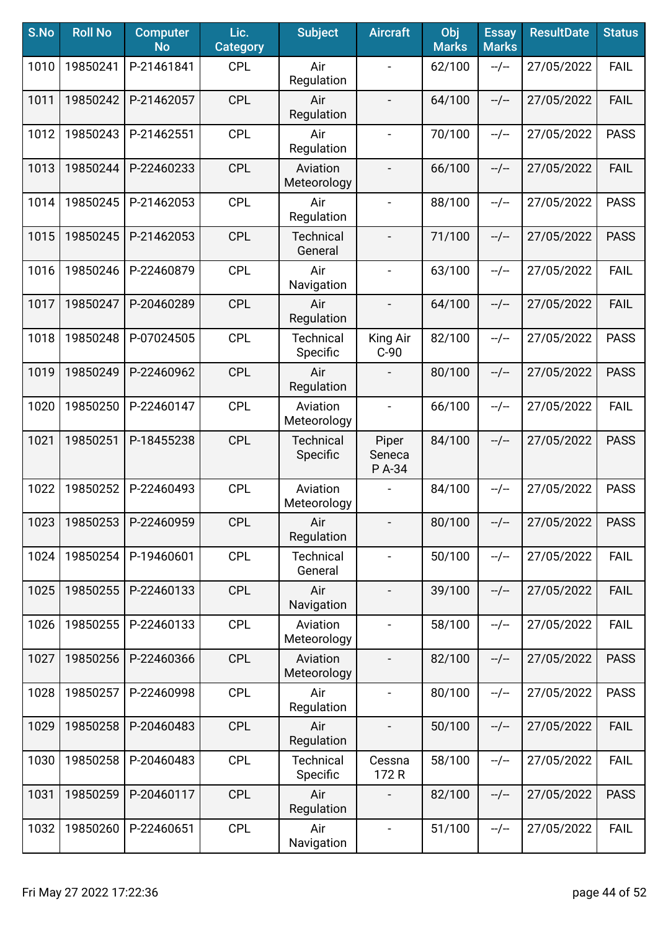| S.No | <b>Roll No</b> | <b>Computer</b><br><b>No</b> | Lic.<br><b>Category</b> | <b>Subject</b>               | <b>Aircraft</b>           | Obj<br><b>Marks</b> | <b>Essay</b><br><b>Marks</b> | <b>ResultDate</b> | <b>Status</b> |
|------|----------------|------------------------------|-------------------------|------------------------------|---------------------------|---------------------|------------------------------|-------------------|---------------|
| 1010 | 19850241       | P-21461841                   | <b>CPL</b>              | Air<br>Regulation            |                           | 62/100              | $-/-$                        | 27/05/2022        | FAIL          |
| 1011 | 19850242       | P-21462057                   | <b>CPL</b>              | Air<br>Regulation            |                           | 64/100              | $-/-$                        | 27/05/2022        | <b>FAIL</b>   |
| 1012 | 19850243       | P-21462551                   | <b>CPL</b>              | Air<br>Regulation            | $\blacksquare$            | 70/100              | $-/-$                        | 27/05/2022        | <b>PASS</b>   |
| 1013 | 19850244       | P-22460233                   | <b>CPL</b>              | Aviation<br>Meteorology      |                           | 66/100              | $-/-$                        | 27/05/2022        | <b>FAIL</b>   |
| 1014 | 19850245       | P-21462053                   | <b>CPL</b>              | Air<br>Regulation            | $\blacksquare$            | 88/100              | $-/-$                        | 27/05/2022        | <b>PASS</b>   |
| 1015 | 19850245       | P-21462053                   | <b>CPL</b>              | <b>Technical</b><br>General  | $\overline{a}$            | 71/100              | $-/-$                        | 27/05/2022        | <b>PASS</b>   |
| 1016 | 19850246       | P-22460879                   | <b>CPL</b>              | Air<br>Navigation            |                           | 63/100              | $-/-$                        | 27/05/2022        | <b>FAIL</b>   |
| 1017 | 19850247       | P-20460289                   | <b>CPL</b>              | Air<br>Regulation            | $\overline{\phantom{a}}$  | 64/100              | $-/-$                        | 27/05/2022        | <b>FAIL</b>   |
| 1018 | 19850248       | P-07024505                   | <b>CPL</b>              | <b>Technical</b><br>Specific | King Air<br>$C-90$        | 82/100              | $-/-$                        | 27/05/2022        | <b>PASS</b>   |
| 1019 | 19850249       | P-22460962                   | <b>CPL</b>              | Air<br>Regulation            | $\blacksquare$            | 80/100              | $-/-$                        | 27/05/2022        | <b>PASS</b>   |
| 1020 | 19850250       | P-22460147                   | <b>CPL</b>              | Aviation<br>Meteorology      | $\overline{\phantom{a}}$  | 66/100              | $-/-$                        | 27/05/2022        | <b>FAIL</b>   |
| 1021 | 19850251       | P-18455238                   | <b>CPL</b>              | <b>Technical</b><br>Specific | Piper<br>Seneca<br>P A-34 | 84/100              | $-/-$                        | 27/05/2022        | <b>PASS</b>   |
| 1022 | 19850252       | P-22460493                   | <b>CPL</b>              | Aviation<br>Meteorology      |                           | 84/100              | $-/-$                        | 27/05/2022        | <b>PASS</b>   |
| 1023 | 19850253       | P-22460959                   | <b>CPL</b>              | Air<br>Regulation            | $\overline{\phantom{a}}$  | 80/100              | --/--                        | 27/05/2022        | <b>PASS</b>   |
| 1024 | 19850254       | P-19460601                   | <b>CPL</b>              | <b>Technical</b><br>General  | $\blacksquare$            | 50/100              | $-/-$                        | 27/05/2022        | <b>FAIL</b>   |
| 1025 | 19850255       | P-22460133                   | <b>CPL</b>              | Air<br>Navigation            | $\overline{\phantom{a}}$  | 39/100              | --/--                        | 27/05/2022        | <b>FAIL</b>   |
| 1026 | 19850255       | P-22460133                   | <b>CPL</b>              | Aviation<br>Meteorology      | $\frac{1}{2}$             | 58/100              | $-/-$                        | 27/05/2022        | <b>FAIL</b>   |
| 1027 | 19850256       | P-22460366                   | <b>CPL</b>              | Aviation<br>Meteorology      |                           | 82/100              | $-/-$                        | 27/05/2022        | <b>PASS</b>   |
| 1028 | 19850257       | P-22460998                   | <b>CPL</b>              | Air<br>Regulation            |                           | 80/100              | $-/-$                        | 27/05/2022        | <b>PASS</b>   |
| 1029 | 19850258       | P-20460483                   | <b>CPL</b>              | Air<br>Regulation            |                           | 50/100              | $-/-$                        | 27/05/2022        | <b>FAIL</b>   |
| 1030 | 19850258       | P-20460483                   | <b>CPL</b>              | <b>Technical</b><br>Specific | Cessna<br>172 R           | 58/100              | $-/-$                        | 27/05/2022        | <b>FAIL</b>   |
| 1031 | 19850259       | P-20460117                   | <b>CPL</b>              | Air<br>Regulation            |                           | 82/100              | $-/-$                        | 27/05/2022        | <b>PASS</b>   |
| 1032 | 19850260       | P-22460651                   | <b>CPL</b>              | Air<br>Navigation            | $\blacksquare$            | 51/100              | --/--                        | 27/05/2022        | <b>FAIL</b>   |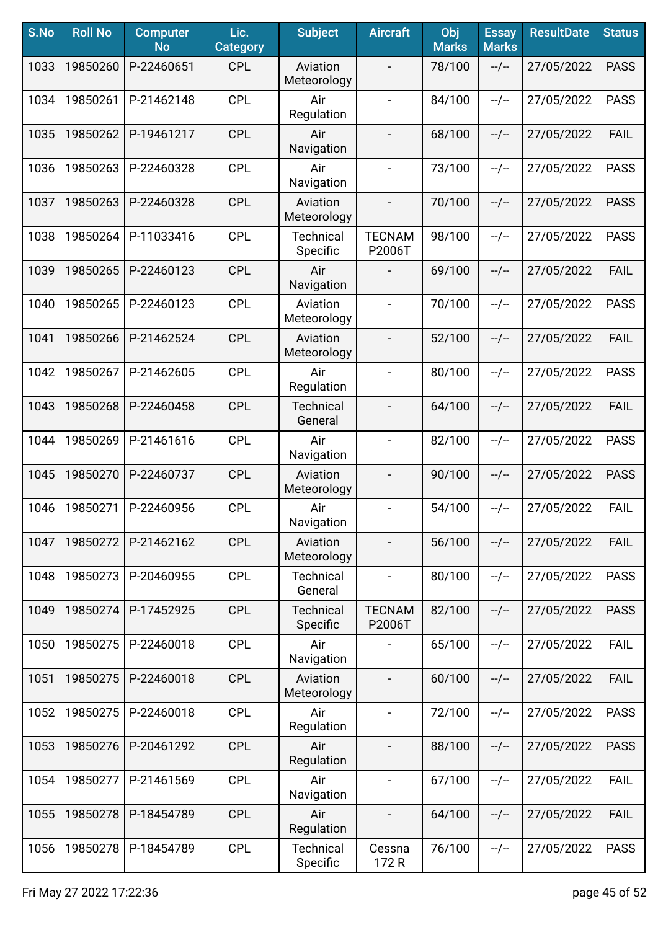| S.No | <b>Roll No</b> | <b>Computer</b><br><b>No</b> | Lic.<br><b>Category</b> | <b>Subject</b>               | <b>Aircraft</b>              | Obj<br><b>Marks</b> | <b>Essay</b><br><b>Marks</b> | <b>ResultDate</b> | <b>Status</b> |
|------|----------------|------------------------------|-------------------------|------------------------------|------------------------------|---------------------|------------------------------|-------------------|---------------|
| 1033 | 19850260       | P-22460651                   | <b>CPL</b>              | Aviation<br>Meteorology      |                              | 78/100              | $-/-$                        | 27/05/2022        | <b>PASS</b>   |
| 1034 | 19850261       | P-21462148                   | <b>CPL</b>              | Air<br>Regulation            | $\overline{\phantom{a}}$     | 84/100              | $-/-$                        | 27/05/2022        | <b>PASS</b>   |
| 1035 | 19850262       | P-19461217                   | <b>CPL</b>              | Air<br>Navigation            | $\overline{\phantom{a}}$     | 68/100              | $-/-$                        | 27/05/2022        | <b>FAIL</b>   |
| 1036 | 19850263       | P-22460328                   | <b>CPL</b>              | Air<br>Navigation            | $\blacksquare$               | 73/100              | $-/-$                        | 27/05/2022        | <b>PASS</b>   |
| 1037 | 19850263       | P-22460328                   | <b>CPL</b>              | Aviation<br>Meteorology      |                              | 70/100              | $-/-$                        | 27/05/2022        | <b>PASS</b>   |
| 1038 | 19850264       | P-11033416                   | <b>CPL</b>              | <b>Technical</b><br>Specific | <b>TECNAM</b><br>P2006T      | 98/100              | $-/-$                        | 27/05/2022        | <b>PASS</b>   |
| 1039 | 19850265       | P-22460123                   | <b>CPL</b>              | Air<br>Navigation            |                              | 69/100              | $-/-$                        | 27/05/2022        | <b>FAIL</b>   |
| 1040 | 19850265       | P-22460123                   | <b>CPL</b>              | Aviation<br>Meteorology      | $\blacksquare$               | 70/100              | $-/-$                        | 27/05/2022        | <b>PASS</b>   |
| 1041 | 19850266       | P-21462524                   | <b>CPL</b>              | Aviation<br>Meteorology      | $\overline{\phantom{a}}$     | 52/100              | $-/-$                        | 27/05/2022        | <b>FAIL</b>   |
| 1042 | 19850267       | P-21462605                   | <b>CPL</b>              | Air<br>Regulation            | $\blacksquare$               | 80/100              | $-/-$                        | 27/05/2022        | <b>PASS</b>   |
| 1043 | 19850268       | P-22460458                   | <b>CPL</b>              | <b>Technical</b><br>General  |                              | 64/100              | $-/-$                        | 27/05/2022        | <b>FAIL</b>   |
| 1044 | 19850269       | P-21461616                   | <b>CPL</b>              | Air<br>Navigation            | $\blacksquare$               | 82/100              | $-/-$                        | 27/05/2022        | <b>PASS</b>   |
| 1045 | 19850270       | P-22460737                   | <b>CPL</b>              | Aviation<br>Meteorology      |                              | 90/100              | $-/-$                        | 27/05/2022        | <b>PASS</b>   |
| 1046 | 19850271       | P-22460956                   | <b>CPL</b>              | Air<br>Navigation            | $\qquad \qquad \blacksquare$ | 54/100              | $-/-$                        | 27/05/2022        | <b>FAIL</b>   |
| 1047 | 19850272       | P-21462162                   | <b>CPL</b>              | Aviation<br>Meteorology      |                              | 56/100              | $-/-$                        | 27/05/2022        | <b>FAIL</b>   |
| 1048 | 19850273       | P-20460955                   | <b>CPL</b>              | <b>Technical</b><br>General  | $\blacksquare$               | 80/100              | $-/-$                        | 27/05/2022        | <b>PASS</b>   |
| 1049 | 19850274       | P-17452925                   | <b>CPL</b>              | <b>Technical</b><br>Specific | <b>TECNAM</b><br>P2006T      | 82/100              | $-/-$                        | 27/05/2022        | <b>PASS</b>   |
| 1050 | 19850275       | P-22460018                   | <b>CPL</b>              | Air<br>Navigation            |                              | 65/100              | $-/-$                        | 27/05/2022        | <b>FAIL</b>   |
| 1051 | 19850275       | P-22460018                   | <b>CPL</b>              | Aviation<br>Meteorology      | $\overline{\phantom{a}}$     | 60/100              | $-/-$                        | 27/05/2022        | <b>FAIL</b>   |
| 1052 | 19850275       | P-22460018                   | <b>CPL</b>              | Air<br>Regulation            | $\blacksquare$               | 72/100              | $-/-$                        | 27/05/2022        | <b>PASS</b>   |
| 1053 | 19850276       | P-20461292                   | <b>CPL</b>              | Air<br>Regulation            | $\overline{\phantom{a}}$     | 88/100              | $-/-$                        | 27/05/2022        | <b>PASS</b>   |
| 1054 | 19850277       | P-21461569                   | <b>CPL</b>              | Air<br>Navigation            | $\blacksquare$               | 67/100              | $-/-$                        | 27/05/2022        | <b>FAIL</b>   |
| 1055 | 19850278       | P-18454789                   | <b>CPL</b>              | Air<br>Regulation            | $\overline{\phantom{a}}$     | 64/100              | $-/-$                        | 27/05/2022        | <b>FAIL</b>   |
| 1056 | 19850278       | P-18454789                   | <b>CPL</b>              | <b>Technical</b><br>Specific | Cessna<br>172 R              | 76/100              | $-/-$                        | 27/05/2022        | <b>PASS</b>   |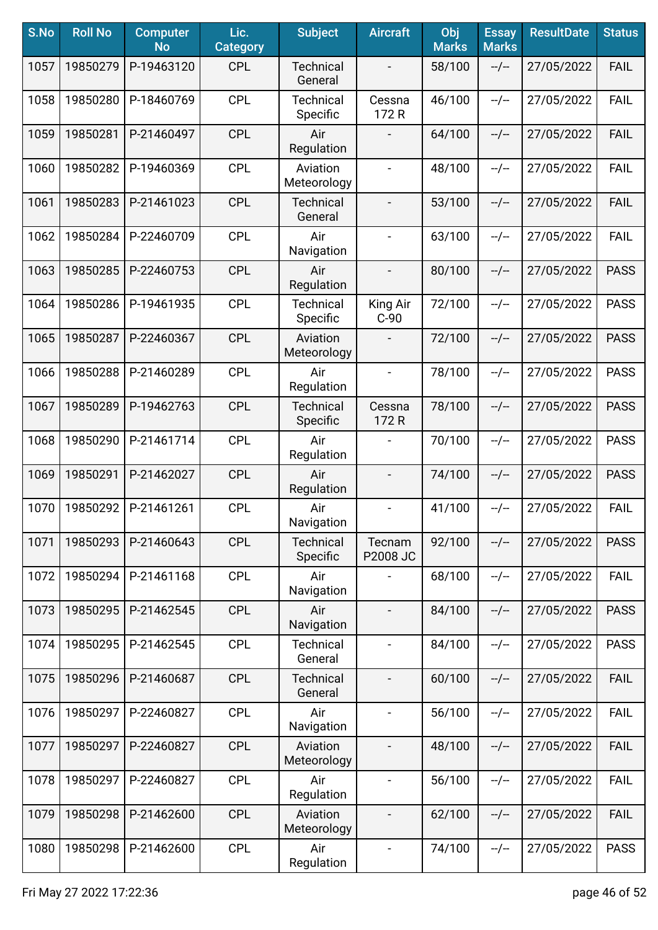| S.No | <b>Roll No</b> | <b>Computer</b><br><b>No</b> | Lic.<br><b>Category</b> | <b>Subject</b>               | <b>Aircraft</b>          | Obj<br><b>Marks</b> | <b>Essay</b><br><b>Marks</b> | <b>ResultDate</b> | <b>Status</b> |
|------|----------------|------------------------------|-------------------------|------------------------------|--------------------------|---------------------|------------------------------|-------------------|---------------|
| 1057 | 19850279       | P-19463120                   | <b>CPL</b>              | <b>Technical</b><br>General  |                          | 58/100              | $-/-$                        | 27/05/2022        | <b>FAIL</b>   |
| 1058 | 19850280       | P-18460769                   | <b>CPL</b>              | <b>Technical</b><br>Specific | Cessna<br>172 R          | 46/100              | $-/-$                        | 27/05/2022        | <b>FAIL</b>   |
| 1059 | 19850281       | P-21460497                   | <b>CPL</b>              | Air<br>Regulation            |                          | 64/100              | $-/-$                        | 27/05/2022        | <b>FAIL</b>   |
| 1060 | 19850282       | P-19460369                   | <b>CPL</b>              | Aviation<br>Meteorology      | $\blacksquare$           | 48/100              | $-/-$                        | 27/05/2022        | <b>FAIL</b>   |
| 1061 | 19850283       | P-21461023                   | <b>CPL</b>              | <b>Technical</b><br>General  | $\overline{\phantom{a}}$ | 53/100              | $-/-$                        | 27/05/2022        | <b>FAIL</b>   |
| 1062 | 19850284       | P-22460709                   | <b>CPL</b>              | Air<br>Navigation            |                          | 63/100              | $-/-$                        | 27/05/2022        | <b>FAIL</b>   |
| 1063 | 19850285       | P-22460753                   | <b>CPL</b>              | Air<br>Regulation            | $\overline{\phantom{a}}$ | 80/100              | $-/-$                        | 27/05/2022        | <b>PASS</b>   |
| 1064 | 19850286       | P-19461935                   | <b>CPL</b>              | <b>Technical</b><br>Specific | King Air<br>$C-90$       | 72/100              | $-/-$                        | 27/05/2022        | <b>PASS</b>   |
| 1065 | 19850287       | P-22460367                   | <b>CPL</b>              | Aviation<br>Meteorology      |                          | 72/100              | $-/-$                        | 27/05/2022        | <b>PASS</b>   |
| 1066 | 19850288       | P-21460289                   | <b>CPL</b>              | Air<br>Regulation            | $\blacksquare$           | 78/100              | $-/-$                        | 27/05/2022        | <b>PASS</b>   |
| 1067 | 19850289       | P-19462763                   | <b>CPL</b>              | <b>Technical</b><br>Specific | Cessna<br>172 R          | 78/100              | $-/-$                        | 27/05/2022        | <b>PASS</b>   |
| 1068 | 19850290       | P-21461714                   | <b>CPL</b>              | Air<br>Regulation            |                          | 70/100              | $-/-$                        | 27/05/2022        | <b>PASS</b>   |
| 1069 | 19850291       | P-21462027                   | <b>CPL</b>              | Air<br>Regulation            |                          | 74/100              | $-/-$                        | 27/05/2022        | <b>PASS</b>   |
| 1070 | 19850292       | P-21461261                   | <b>CPL</b>              | Air<br>Navigation            | $\overline{\phantom{a}}$ | 41/100              | $-/-$                        | 27/05/2022        | <b>FAIL</b>   |
| 1071 | 19850293       | P-21460643                   | <b>CPL</b>              | <b>Technical</b><br>Specific | Tecnam<br>P2008 JC       | 92/100              | $-/-$                        | 27/05/2022        | <b>PASS</b>   |
| 1072 | 19850294       | P-21461168                   | <b>CPL</b>              | Air<br>Navigation            | $\overline{\phantom{a}}$ | 68/100              | --/--                        | 27/05/2022        | <b>FAIL</b>   |
| 1073 | 19850295       | P-21462545                   | <b>CPL</b>              | Air<br>Navigation            | $\overline{\phantom{a}}$ | 84/100              | $-/-$                        | 27/05/2022        | <b>PASS</b>   |
| 1074 | 19850295       | P-21462545                   | <b>CPL</b>              | Technical<br>General         | $\blacksquare$           | 84/100              | $-/-$                        | 27/05/2022        | <b>PASS</b>   |
| 1075 | 19850296       | P-21460687                   | <b>CPL</b>              | <b>Technical</b><br>General  | $\blacksquare$           | 60/100              | $-/-$                        | 27/05/2022        | <b>FAIL</b>   |
| 1076 | 19850297       | P-22460827                   | <b>CPL</b>              | Air<br>Navigation            | $\overline{\phantom{a}}$ | 56/100              | $-/-$                        | 27/05/2022        | <b>FAIL</b>   |
| 1077 | 19850297       | P-22460827                   | <b>CPL</b>              | Aviation<br>Meteorology      |                          | 48/100              | $-/-$                        | 27/05/2022        | <b>FAIL</b>   |
| 1078 | 19850297       | P-22460827                   | <b>CPL</b>              | Air<br>Regulation            | $\blacksquare$           | 56/100              | $-/-$                        | 27/05/2022        | <b>FAIL</b>   |
| 1079 | 19850298       | P-21462600                   | <b>CPL</b>              | Aviation<br>Meteorology      |                          | 62/100              | $-/-$                        | 27/05/2022        | <b>FAIL</b>   |
| 1080 | 19850298       | P-21462600                   | <b>CPL</b>              | Air<br>Regulation            | $\blacksquare$           | 74/100              | $-/-$                        | 27/05/2022        | <b>PASS</b>   |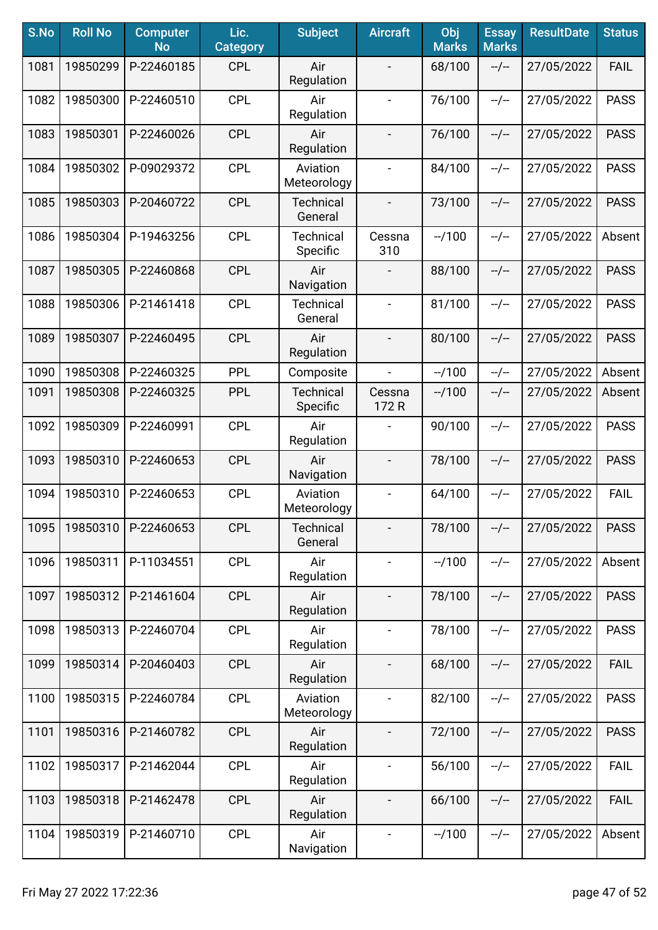| S.No | <b>Roll No</b> | <b>Computer</b><br><b>No</b> | Lic.<br><b>Category</b> | <b>Subject</b>               | <b>Aircraft</b>          | Obj<br><b>Marks</b> | <b>Essay</b><br><b>Marks</b> | <b>ResultDate</b> | <b>Status</b> |
|------|----------------|------------------------------|-------------------------|------------------------------|--------------------------|---------------------|------------------------------|-------------------|---------------|
| 1081 | 19850299       | P-22460185                   | <b>CPL</b>              | Air<br>Regulation            | $\overline{\phantom{a}}$ | 68/100              | $-/-$                        | 27/05/2022        | <b>FAIL</b>   |
| 1082 | 19850300       | P-22460510                   | <b>CPL</b>              | Air<br>Regulation            | $\overline{\phantom{a}}$ | 76/100              | $-/-$                        | 27/05/2022        | <b>PASS</b>   |
| 1083 | 19850301       | P-22460026                   | <b>CPL</b>              | Air<br>Regulation            | $\overline{\phantom{a}}$ | 76/100              | $-/-$                        | 27/05/2022        | <b>PASS</b>   |
| 1084 | 19850302       | P-09029372                   | <b>CPL</b>              | Aviation<br>Meteorology      | $\overline{\phantom{a}}$ | 84/100              | $-/-$                        | 27/05/2022        | <b>PASS</b>   |
| 1085 | 19850303       | P-20460722                   | <b>CPL</b>              | <b>Technical</b><br>General  | $\overline{\phantom{a}}$ | 73/100              | $-/-$                        | 27/05/2022        | <b>PASS</b>   |
| 1086 | 19850304       | P-19463256                   | <b>CPL</b>              | <b>Technical</b><br>Specific | Cessna<br>310            | $-1100$             | $-/-$                        | 27/05/2022        | Absent        |
| 1087 | 19850305       | P-22460868                   | <b>CPL</b>              | Air<br>Navigation            |                          | 88/100              | $-/-$                        | 27/05/2022        | <b>PASS</b>   |
| 1088 | 19850306       | P-21461418                   | <b>CPL</b>              | <b>Technical</b><br>General  | $\overline{\phantom{a}}$ | 81/100              | $-/-$                        | 27/05/2022        | <b>PASS</b>   |
| 1089 | 19850307       | P-22460495                   | <b>CPL</b>              | Air<br>Regulation            | $\overline{\phantom{a}}$ | 80/100              | $-/-$                        | 27/05/2022        | <b>PASS</b>   |
| 1090 | 19850308       | P-22460325                   | <b>PPL</b>              | Composite                    | $\blacksquare$           | $-1100$             | $-/-$                        | 27/05/2022        | Absent        |
| 1091 | 19850308       | P-22460325                   | <b>PPL</b>              | <b>Technical</b><br>Specific | Cessna<br>172 R          | $-1100$             | $-/-$                        | 27/05/2022        | Absent        |
| 1092 | 19850309       | P-22460991                   | <b>CPL</b>              | Air<br>Regulation            |                          | 90/100              | $-/-$                        | 27/05/2022        | <b>PASS</b>   |
| 1093 | 19850310       | P-22460653                   | <b>CPL</b>              | Air<br>Navigation            | $\blacksquare$           | 78/100              | $-/-$                        | 27/05/2022        | <b>PASS</b>   |
| 1094 | 19850310       | P-22460653                   | <b>CPL</b>              | Aviation<br>Meteorology      |                          | 64/100              | $-/-$                        | 27/05/2022        | <b>FAIL</b>   |
| 1095 | 19850310       | P-22460653                   | <b>CPL</b>              | <b>Technical</b><br>General  |                          | 78/100              | $-/-$                        | 27/05/2022        | <b>PASS</b>   |
| 1096 | 19850311       | P-11034551                   | <b>CPL</b>              | Air<br>Regulation            |                          | $-1100$             | $-/-$                        | 27/05/2022        | Absent        |
| 1097 | 19850312       | P-21461604                   | <b>CPL</b>              | Air<br>Regulation            | $\overline{\phantom{a}}$ | 78/100              | $-/-$                        | 27/05/2022        | <b>PASS</b>   |
| 1098 | 19850313       | P-22460704                   | <b>CPL</b>              | Air<br>Regulation            | $\blacksquare$           | 78/100              | --/--                        | 27/05/2022        | <b>PASS</b>   |
| 1099 | 19850314       | P-20460403                   | <b>CPL</b>              | Air<br>Regulation            | $\overline{\phantom{a}}$ | 68/100              | $-/-$                        | 27/05/2022        | <b>FAIL</b>   |
| 1100 | 19850315       | P-22460784                   | <b>CPL</b>              | Aviation<br>Meteorology      | $\overline{\phantom{a}}$ | 82/100              | $-/-$                        | 27/05/2022        | <b>PASS</b>   |
| 1101 | 19850316       | P-21460782                   | <b>CPL</b>              | Air<br>Regulation            | $\overline{\phantom{a}}$ | 72/100              | $-/-$                        | 27/05/2022        | <b>PASS</b>   |
| 1102 | 19850317       | P-21462044                   | <b>CPL</b>              | Air<br>Regulation            |                          | 56/100              | $-/-$                        | 27/05/2022        | <b>FAIL</b>   |
| 1103 | 19850318       | P-21462478                   | <b>CPL</b>              | Air<br>Regulation            |                          | 66/100              | $-/-$                        | 27/05/2022        | <b>FAIL</b>   |
| 1104 | 19850319       | P-21460710                   | <b>CPL</b>              | Air<br>Navigation            | $\blacksquare$           | $-1100$             | --/--                        | 27/05/2022        | Absent        |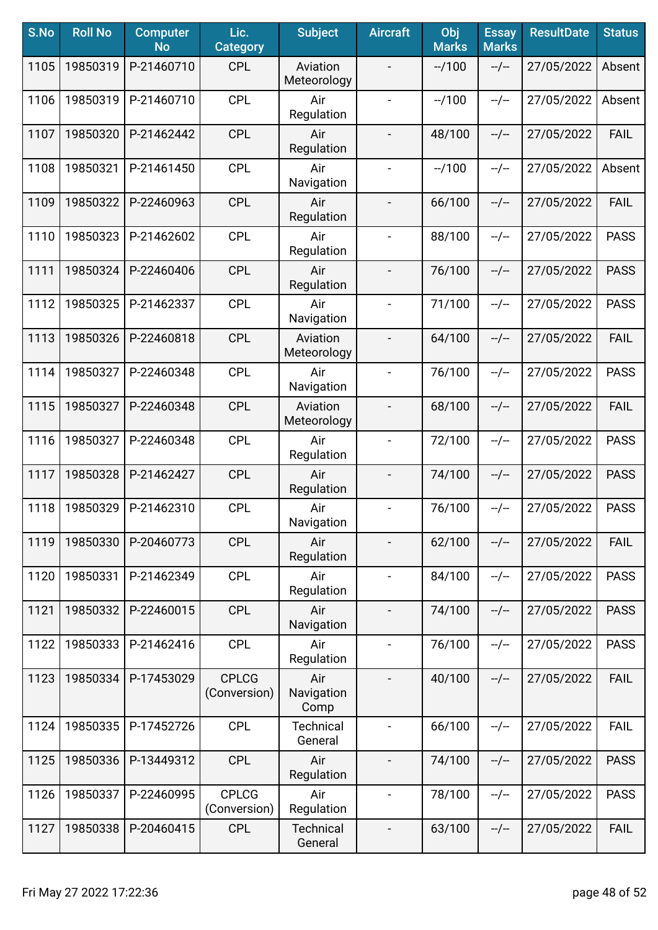| S.No | <b>Roll No</b> | <b>Computer</b><br><b>No</b> | Lic.<br><b>Category</b>      | <b>Subject</b>              | <b>Aircraft</b>          | Obj<br><b>Marks</b> | <b>Essay</b><br><b>Marks</b> | <b>ResultDate</b> | <b>Status</b> |
|------|----------------|------------------------------|------------------------------|-----------------------------|--------------------------|---------------------|------------------------------|-------------------|---------------|
| 1105 | 19850319       | P-21460710                   | <b>CPL</b>                   | Aviation<br>Meteorology     | $\blacksquare$           | $-1100$             | $-/-$                        | 27/05/2022        | Absent        |
| 1106 | 19850319       | P-21460710                   | <b>CPL</b>                   | Air<br>Regulation           | $\overline{\phantom{a}}$ | $-1100$             | $-/-$                        | 27/05/2022        | Absent        |
| 1107 | 19850320       | P-21462442                   | <b>CPL</b>                   | Air<br>Regulation           | $\overline{\phantom{a}}$ | 48/100              | $-/-$                        | 27/05/2022        | <b>FAIL</b>   |
| 1108 | 19850321       | P-21461450                   | <b>CPL</b>                   | Air<br>Navigation           |                          | $-1100$             | $-/-$                        | 27/05/2022        | Absent        |
| 1109 | 19850322       | P-22460963                   | <b>CPL</b>                   | Air<br>Regulation           | $\overline{\phantom{a}}$ | 66/100              | $-/-$                        | 27/05/2022        | <b>FAIL</b>   |
| 1110 | 19850323       | P-21462602                   | <b>CPL</b>                   | Air<br>Regulation           | $\overline{\phantom{a}}$ | 88/100              | $-/-$                        | 27/05/2022        | <b>PASS</b>   |
| 1111 | 19850324       | P-22460406                   | <b>CPL</b>                   | Air<br>Regulation           | $\blacksquare$           | 76/100              | $-/-$                        | 27/05/2022        | <b>PASS</b>   |
| 1112 | 19850325       | P-21462337                   | <b>CPL</b>                   | Air<br>Navigation           | $\overline{\phantom{a}}$ | 71/100              | $-/-$                        | 27/05/2022        | <b>PASS</b>   |
| 1113 | 19850326       | P-22460818                   | <b>CPL</b>                   | Aviation<br>Meteorology     | $\overline{\phantom{a}}$ | 64/100              | $-/-$                        | 27/05/2022        | <b>FAIL</b>   |
| 1114 | 19850327       | P-22460348                   | <b>CPL</b>                   | Air<br>Navigation           | $\blacksquare$           | 76/100              | $-/-$                        | 27/05/2022        | <b>PASS</b>   |
| 1115 | 19850327       | P-22460348                   | <b>CPL</b>                   | Aviation<br>Meteorology     | $\overline{\phantom{a}}$ | 68/100              | $-/-$                        | 27/05/2022        | <b>FAIL</b>   |
| 1116 | 19850327       | P-22460348                   | <b>CPL</b>                   | Air<br>Regulation           | $\blacksquare$           | 72/100              | $-/-$                        | 27/05/2022        | <b>PASS</b>   |
| 1117 | 19850328       | P-21462427                   | <b>CPL</b>                   | Air<br>Regulation           | $\overline{\phantom{a}}$ | 74/100              | $-/-$                        | 27/05/2022        | <b>PASS</b>   |
| 1118 | 19850329       | P-21462310                   | <b>CPL</b>                   | Air<br>Navigation           | $\overline{\phantom{a}}$ | 76/100              | $-/-$                        | 27/05/2022        | <b>PASS</b>   |
| 1119 | 19850330       | P-20460773                   | <b>CPL</b>                   | Air<br>Regulation           |                          | 62/100              | $-/-$                        | 27/05/2022        | <b>FAIL</b>   |
| 1120 | 19850331       | P-21462349                   | <b>CPL</b>                   | Air<br>Regulation           | $\overline{\phantom{a}}$ | 84/100              | $-/-$                        | 27/05/2022        | <b>PASS</b>   |
| 1121 | 19850332       | P-22460015                   | <b>CPL</b>                   | Air<br>Navigation           | $\overline{\phantom{a}}$ | 74/100              | $-/-$                        | 27/05/2022        | <b>PASS</b>   |
| 1122 | 19850333       | P-21462416                   | <b>CPL</b>                   | Air<br>Regulation           | $\overline{\phantom{a}}$ | 76/100              | $-/-$                        | 27/05/2022        | <b>PASS</b>   |
| 1123 | 19850334       | P-17453029                   | <b>CPLCG</b><br>(Conversion) | Air<br>Navigation<br>Comp   |                          | 40/100              | $-/-$                        | 27/05/2022        | <b>FAIL</b>   |
| 1124 | 19850335       | P-17452726                   | <b>CPL</b>                   | <b>Technical</b><br>General |                          | 66/100              | $-/-$                        | 27/05/2022        | <b>FAIL</b>   |
| 1125 | 19850336       | P-13449312                   | <b>CPL</b>                   | Air<br>Regulation           |                          | 74/100              | $-/-$                        | 27/05/2022        | <b>PASS</b>   |
| 1126 | 19850337       | P-22460995                   | <b>CPLCG</b><br>(Conversion) | Air<br>Regulation           | $\blacksquare$           | 78/100              | $-/-$                        | 27/05/2022        | <b>PASS</b>   |
| 1127 | 19850338       | P-20460415                   | <b>CPL</b>                   | <b>Technical</b><br>General | $\blacksquare$           | 63/100              | $-/-$                        | 27/05/2022        | <b>FAIL</b>   |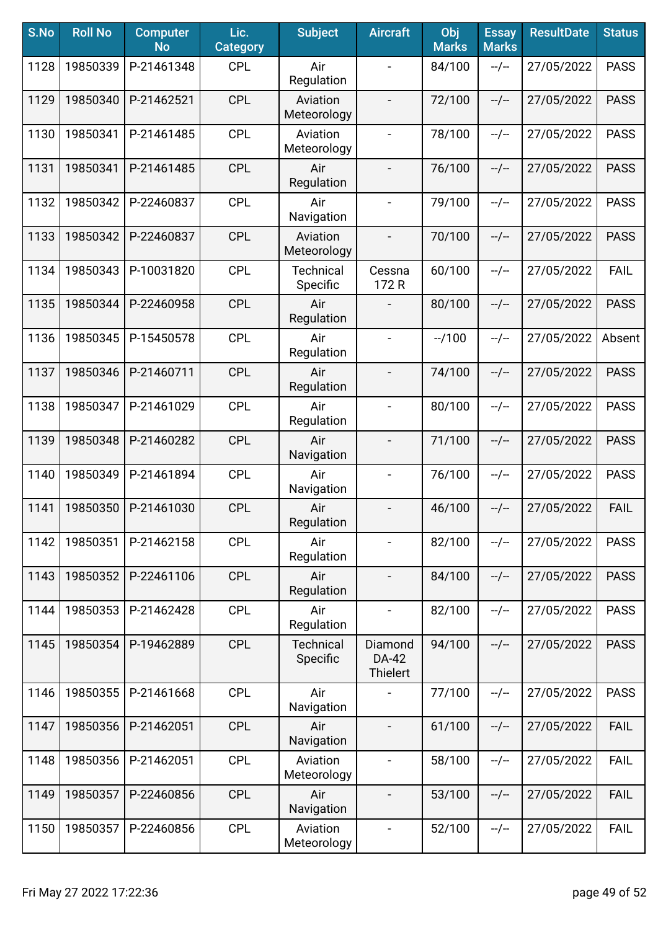| S.No | <b>Roll No</b> | <b>Computer</b><br><b>No</b> | Lic.<br><b>Category</b> | <b>Subject</b>               | <b>Aircraft</b>              | Obj<br><b>Marks</b> | <b>Essay</b><br><b>Marks</b> | <b>ResultDate</b> | <b>Status</b> |
|------|----------------|------------------------------|-------------------------|------------------------------|------------------------------|---------------------|------------------------------|-------------------|---------------|
| 1128 | 19850339       | P-21461348                   | <b>CPL</b>              | Air<br>Regulation            |                              | 84/100              | $-/-$                        | 27/05/2022        | <b>PASS</b>   |
| 1129 | 19850340       | P-21462521                   | <b>CPL</b>              | Aviation<br>Meteorology      | $\overline{\phantom{a}}$     | 72/100              | $-/-$                        | 27/05/2022        | <b>PASS</b>   |
| 1130 | 19850341       | P-21461485                   | <b>CPL</b>              | Aviation<br>Meteorology      | $\blacksquare$               | 78/100              | $-/-$                        | 27/05/2022        | <b>PASS</b>   |
| 1131 | 19850341       | P-21461485                   | <b>CPL</b>              | Air<br>Regulation            | $\blacksquare$               | 76/100              | $-/-$                        | 27/05/2022        | <b>PASS</b>   |
| 1132 | 19850342       | P-22460837                   | <b>CPL</b>              | Air<br>Navigation            | $\blacksquare$               | 79/100              | $-/-$                        | 27/05/2022        | <b>PASS</b>   |
| 1133 | 19850342       | P-22460837                   | <b>CPL</b>              | Aviation<br>Meteorology      |                              | 70/100              | $-/-$                        | 27/05/2022        | <b>PASS</b>   |
| 1134 | 19850343       | P-10031820                   | <b>CPL</b>              | <b>Technical</b><br>Specific | Cessna<br>172 R              | 60/100              | $-/-$                        | 27/05/2022        | <b>FAIL</b>   |
| 1135 | 19850344       | P-22460958                   | <b>CPL</b>              | Air<br>Regulation            |                              | 80/100              | $-/-$                        | 27/05/2022        | <b>PASS</b>   |
| 1136 | 19850345       | P-15450578                   | <b>CPL</b>              | Air<br>Regulation            | $\overline{\phantom{a}}$     | $-1100$             | $-/-$                        | 27/05/2022        | Absent        |
| 1137 | 19850346       | P-21460711                   | <b>CPL</b>              | Air<br>Regulation            | $\overline{\phantom{a}}$     | 74/100              | $-/-$                        | 27/05/2022        | <b>PASS</b>   |
| 1138 | 19850347       | P-21461029                   | <b>CPL</b>              | Air<br>Regulation            |                              | 80/100              | $-/-$                        | 27/05/2022        | <b>PASS</b>   |
| 1139 | 19850348       | P-21460282                   | <b>CPL</b>              | Air<br>Navigation            |                              | 71/100              | $-/-$                        | 27/05/2022        | <b>PASS</b>   |
| 1140 | 19850349       | P-21461894                   | <b>CPL</b>              | Air<br>Navigation            | $\blacksquare$               | 76/100              | $-/-$                        | 27/05/2022        | <b>PASS</b>   |
| 1141 | 19850350       | P-21461030                   | <b>CPL</b>              | Air<br>Regulation            |                              | 46/100              | $-/-$                        | 27/05/2022        | <b>FAIL</b>   |
| 1142 | 19850351       | P-21462158                   | <b>CPL</b>              | Air<br>Regulation            |                              | 82/100              | $-/-$                        | 27/05/2022        | <b>PASS</b>   |
| 1143 | 19850352       | P-22461106                   | <b>CPL</b>              | Air<br>Regulation            | $\overline{\phantom{a}}$     | 84/100              | --/--                        | 27/05/2022        | <b>PASS</b>   |
| 1144 | 19850353       | P-21462428                   | <b>CPL</b>              | Air<br>Regulation            | $\blacksquare$               | 82/100              | $-/-$                        | 27/05/2022        | <b>PASS</b>   |
| 1145 | 19850354       | P-19462889                   | <b>CPL</b>              | <b>Technical</b><br>Specific | Diamond<br>DA-42<br>Thielert | 94/100              | $-/-$                        | 27/05/2022        | <b>PASS</b>   |
| 1146 | 19850355       | P-21461668                   | <b>CPL</b>              | Air<br>Navigation            |                              | 77/100              | $-/-$                        | 27/05/2022        | <b>PASS</b>   |
| 1147 | 19850356       | P-21462051                   | <b>CPL</b>              | Air<br>Navigation            |                              | 61/100              | $-/-$                        | 27/05/2022        | <b>FAIL</b>   |
| 1148 | 19850356       | P-21462051                   | <b>CPL</b>              | Aviation<br>Meteorology      |                              | 58/100              | $-/-$                        | 27/05/2022        | <b>FAIL</b>   |
| 1149 | 19850357       | P-22460856                   | <b>CPL</b>              | Air<br>Navigation            | $\overline{\phantom{a}}$     | 53/100              | $-/-$                        | 27/05/2022        | <b>FAIL</b>   |
| 1150 | 19850357       | P-22460856                   | <b>CPL</b>              | Aviation<br>Meteorology      | $\blacksquare$               | 52/100              | --/--                        | 27/05/2022        | <b>FAIL</b>   |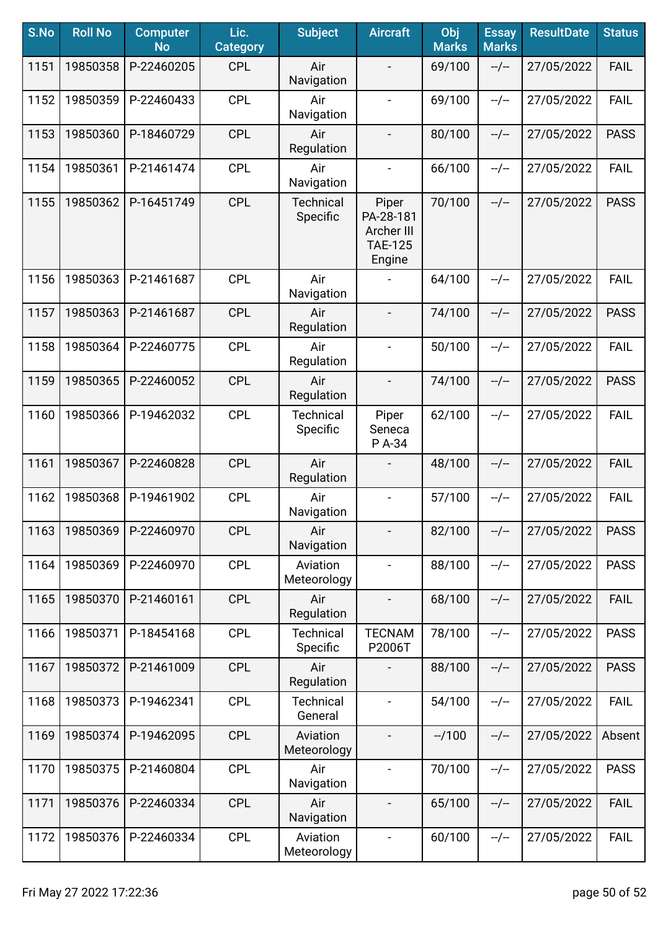| S.No | <b>Roll No</b> | <b>Computer</b><br><b>No</b> | Lic.<br><b>Category</b> | <b>Subject</b>               | <b>Aircraft</b>                                              | Obj<br><b>Marks</b> | <b>Essay</b><br><b>Marks</b> | <b>ResultDate</b> | <b>Status</b> |
|------|----------------|------------------------------|-------------------------|------------------------------|--------------------------------------------------------------|---------------------|------------------------------|-------------------|---------------|
| 1151 | 19850358       | P-22460205                   | <b>CPL</b>              | Air<br>Navigation            |                                                              | 69/100              | $-/-$                        | 27/05/2022        | <b>FAIL</b>   |
| 1152 | 19850359       | P-22460433                   | <b>CPL</b>              | Air<br>Navigation            | $\blacksquare$                                               | 69/100              | $-/-$                        | 27/05/2022        | <b>FAIL</b>   |
| 1153 | 19850360       | P-18460729                   | <b>CPL</b>              | Air<br>Regulation            | $\overline{\phantom{a}}$                                     | 80/100              | $-/-$                        | 27/05/2022        | <b>PASS</b>   |
| 1154 | 19850361       | P-21461474                   | <b>CPL</b>              | Air<br>Navigation            | $\overline{\phantom{a}}$                                     | 66/100              | $-/-$                        | 27/05/2022        | <b>FAIL</b>   |
| 1155 | 19850362       | P-16451749                   | <b>CPL</b>              | <b>Technical</b><br>Specific | Piper<br>PA-28-181<br>Archer III<br><b>TAE-125</b><br>Engine | 70/100              | $-/-$                        | 27/05/2022        | <b>PASS</b>   |
| 1156 | 19850363       | P-21461687                   | <b>CPL</b>              | Air<br>Navigation            |                                                              | 64/100              | $-/-$                        | 27/05/2022        | <b>FAIL</b>   |
| 1157 | 19850363       | P-21461687                   | <b>CPL</b>              | Air<br>Regulation            | $\overline{\phantom{a}}$                                     | 74/100              | $-/-$                        | 27/05/2022        | <b>PASS</b>   |
| 1158 | 19850364       | P-22460775                   | <b>CPL</b>              | Air<br>Regulation            | $\overline{\phantom{a}}$                                     | 50/100              | $-/-$                        | 27/05/2022        | <b>FAIL</b>   |
| 1159 | 19850365       | P-22460052                   | <b>CPL</b>              | Air<br>Regulation            | $\blacksquare$                                               | 74/100              | $-/-$                        | 27/05/2022        | <b>PASS</b>   |
| 1160 | 19850366       | P-19462032                   | <b>CPL</b>              | <b>Technical</b><br>Specific | Piper<br>Seneca<br>P A-34                                    | 62/100              | $-/-$                        | 27/05/2022        | <b>FAIL</b>   |
| 1161 | 19850367       | P-22460828                   | <b>CPL</b>              | Air<br>Regulation            |                                                              | 48/100              | $-/-$                        | 27/05/2022        | <b>FAIL</b>   |
| 1162 | 19850368       | P-19461902                   | <b>CPL</b>              | Air<br>Navigation            | $\overline{\phantom{a}}$                                     | 57/100              | $-/-$                        | 27/05/2022        | <b>FAIL</b>   |
| 1163 | 19850369       | P-22460970                   | <b>CPL</b>              | Air<br>Navigation            | $\overline{\phantom{a}}$                                     | 82/100              | $-/-$                        | 27/05/2022        | <b>PASS</b>   |
| 1164 | 19850369       | P-22460970                   | <b>CPL</b>              | Aviation<br>Meteorology      | $\overline{\phantom{a}}$                                     | 88/100              | $-/-$                        | 27/05/2022        | <b>PASS</b>   |
| 1165 | 19850370       | P-21460161                   | <b>CPL</b>              | Air<br>Regulation            | $\overline{\phantom{a}}$                                     | 68/100              | $-/-$                        | 27/05/2022        | <b>FAIL</b>   |
| 1166 | 19850371       | P-18454168                   | <b>CPL</b>              | <b>Technical</b><br>Specific | <b>TECNAM</b><br>P2006T                                      | 78/100              | $-/-$                        | 27/05/2022        | <b>PASS</b>   |
| 1167 | 19850372       | P-21461009                   | <b>CPL</b>              | Air<br>Regulation            |                                                              | 88/100              | $-/-$                        | 27/05/2022        | <b>PASS</b>   |
| 1168 | 19850373       | P-19462341                   | <b>CPL</b>              | <b>Technical</b><br>General  |                                                              | 54/100              | $-/-$                        | 27/05/2022        | <b>FAIL</b>   |
| 1169 | 19850374       | P-19462095                   | <b>CPL</b>              | Aviation<br>Meteorology      |                                                              | $-1100$             | --/--                        | 27/05/2022        | Absent        |
| 1170 | 19850375       | P-21460804                   | <b>CPL</b>              | Air<br>Navigation            | $\blacksquare$                                               | 70/100              | $-/-$                        | 27/05/2022        | <b>PASS</b>   |
| 1171 | 19850376       | P-22460334                   | <b>CPL</b>              | Air<br>Navigation            | $\overline{\phantom{a}}$                                     | 65/100              | $-/-$                        | 27/05/2022        | <b>FAIL</b>   |
| 1172 | 19850376       | P-22460334                   | <b>CPL</b>              | Aviation<br>Meteorology      | $\blacksquare$                                               | 60/100              | $-/-$                        | 27/05/2022        | <b>FAIL</b>   |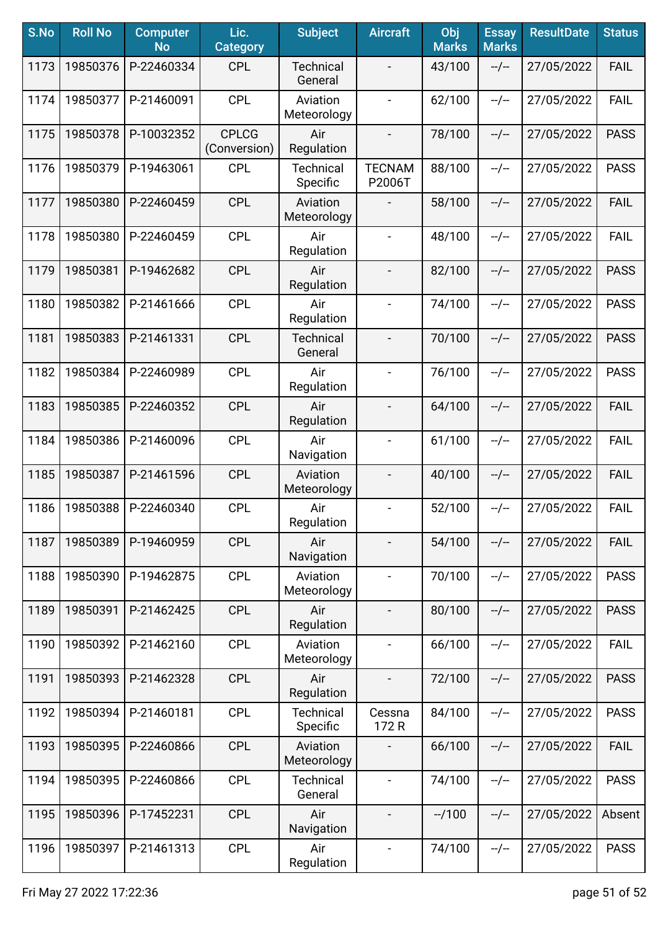| S.No | <b>Roll No</b> | <b>Computer</b><br><b>No</b> | Lic.<br><b>Category</b>      | <b>Subject</b>               | <b>Aircraft</b>              | Obj<br><b>Marks</b> | <b>Essay</b><br><b>Marks</b> | <b>ResultDate</b> | <b>Status</b> |
|------|----------------|------------------------------|------------------------------|------------------------------|------------------------------|---------------------|------------------------------|-------------------|---------------|
| 1173 | 19850376       | P-22460334                   | <b>CPL</b>                   | <b>Technical</b><br>General  |                              | 43/100              | $-/-$                        | 27/05/2022        | <b>FAIL</b>   |
| 1174 | 19850377       | P-21460091                   | <b>CPL</b>                   | Aviation<br>Meteorology      | $\overline{\phantom{a}}$     | 62/100              | $-/-$                        | 27/05/2022        | <b>FAIL</b>   |
| 1175 | 19850378       | P-10032352                   | <b>CPLCG</b><br>(Conversion) | Air<br>Regulation            | $\overline{\phantom{a}}$     | 78/100              | $-/-$                        | 27/05/2022        | <b>PASS</b>   |
| 1176 | 19850379       | P-19463061                   | <b>CPL</b>                   | <b>Technical</b><br>Specific | <b>TECNAM</b><br>P2006T      | 88/100              | $-/-$                        | 27/05/2022        | <b>PASS</b>   |
| 1177 | 19850380       | P-22460459                   | <b>CPL</b>                   | Aviation<br>Meteorology      |                              | 58/100              | $-/-$                        | 27/05/2022        | <b>FAIL</b>   |
| 1178 | 19850380       | P-22460459                   | <b>CPL</b>                   | Air<br>Regulation            |                              | 48/100              | $-/-$                        | 27/05/2022        | <b>FAIL</b>   |
| 1179 | 19850381       | P-19462682                   | <b>CPL</b>                   | Air<br>Regulation            |                              | 82/100              | $-/-$                        | 27/05/2022        | <b>PASS</b>   |
| 1180 | 19850382       | P-21461666                   | <b>CPL</b>                   | Air<br>Regulation            | $\qquad \qquad \blacksquare$ | 74/100              | $-/-$                        | 27/05/2022        | <b>PASS</b>   |
| 1181 | 19850383       | P-21461331                   | <b>CPL</b>                   | <b>Technical</b><br>General  | $\blacksquare$               | 70/100              | $-/-$                        | 27/05/2022        | <b>PASS</b>   |
| 1182 | 19850384       | P-22460989                   | <b>CPL</b>                   | Air<br>Regulation            | $\blacksquare$               | 76/100              | $-/-$                        | 27/05/2022        | <b>PASS</b>   |
| 1183 | 19850385       | P-22460352                   | <b>CPL</b>                   | Air<br>Regulation            | $\overline{\phantom{a}}$     | 64/100              | $-/-$                        | 27/05/2022        | <b>FAIL</b>   |
| 1184 | 19850386       | P-21460096                   | <b>CPL</b>                   | Air<br>Navigation            | $\blacksquare$               | 61/100              | $-/-$                        | 27/05/2022        | <b>FAIL</b>   |
| 1185 | 19850387       | P-21461596                   | <b>CPL</b>                   | Aviation<br>Meteorology      |                              | 40/100              | $-/-$                        | 27/05/2022        | <b>FAIL</b>   |
| 1186 | 19850388       | P-22460340                   | <b>CPL</b>                   | Air<br>Regulation            | $\overline{\phantom{a}}$     | 52/100              | $-/-$                        | 27/05/2022        | <b>FAIL</b>   |
| 1187 | 19850389       | P-19460959                   | <b>CPL</b>                   | Air<br>Navigation            |                              | 54/100              | $-/-$                        | 27/05/2022        | <b>FAIL</b>   |
| 1188 | 19850390       | P-19462875                   | <b>CPL</b>                   | Aviation<br>Meteorology      | $\overline{\phantom{a}}$     | 70/100              | $-/-$                        | 27/05/2022        | <b>PASS</b>   |
| 1189 | 19850391       | P-21462425                   | <b>CPL</b>                   | Air<br>Regulation            | $\overline{\phantom{a}}$     | 80/100              | $-/-$                        | 27/05/2022        | <b>PASS</b>   |
| 1190 | 19850392       | P-21462160                   | <b>CPL</b>                   | Aviation<br>Meteorology      | $\overline{\phantom{a}}$     | 66/100              | $-/-$                        | 27/05/2022        | <b>FAIL</b>   |
| 1191 | 19850393       | P-21462328                   | <b>CPL</b>                   | Air<br>Regulation            | $\overline{\phantom{a}}$     | 72/100              | $-/-$                        | 27/05/2022        | <b>PASS</b>   |
| 1192 | 19850394       | P-21460181                   | <b>CPL</b>                   | <b>Technical</b><br>Specific | Cessna<br>172R               | 84/100              | $-/-$                        | 27/05/2022        | <b>PASS</b>   |
| 1193 | 19850395       | P-22460866                   | <b>CPL</b>                   | Aviation<br>Meteorology      |                              | 66/100              | $-/-$                        | 27/05/2022        | <b>FAIL</b>   |
| 1194 | 19850395       | P-22460866                   | <b>CPL</b>                   | <b>Technical</b><br>General  |                              | 74/100              | $-/-$                        | 27/05/2022        | <b>PASS</b>   |
| 1195 | 19850396       | P-17452231                   | <b>CPL</b>                   | Air<br>Navigation            |                              | $-1100$             | --/--                        | 27/05/2022        | Absent        |
| 1196 | 19850397       | P-21461313                   | <b>CPL</b>                   | Air<br>Regulation            | $\blacksquare$               | 74/100              | $-/-$                        | 27/05/2022        | <b>PASS</b>   |